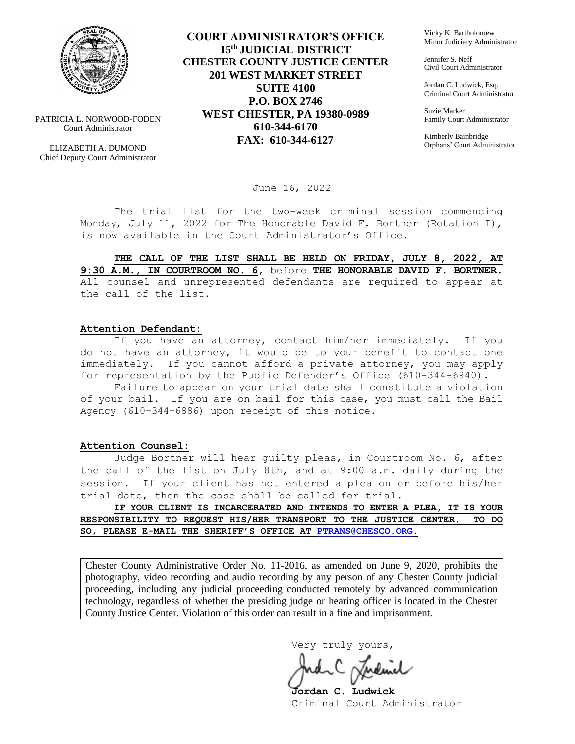

PATRICIA L. NORWOOD-FODEN Court Administrator

ELIZABETH A. DUMOND Chief Deputy Court Administrator

**COURT ADMINISTRATOR'S OFFICE 15th JUDICIAL DISTRICT CHESTER COUNTY JUSTICE CENTER 201 WEST MARKET STREET SUITE 4100 P.O. BOX 2746 WEST CHESTER, PA 19380-0989 610-344-6170 FAX: 610-344-6127**

Vicky K. Bartholomew Minor Judiciary Administrator

Jennifer S. Neff Civil Court Administrator

Jordan C. Ludwick, Esq. Criminal Court Administrator

Suzie Marker Family Court Administrator

Kimberly Bainbridge Orphans' Court Administrator

June 16, 2022

The trial list for the two-week criminal session commencing Monday, July 11, 2022 for The Honorable David F. Bortner (Rotation I), is now available in the Court Administrator's Office.

**THE CALL OF THE LIST SHALL BE HELD ON FRIDAY, JULY 8, 2022, AT 9:30 A.M., IN COURTROOM NO. 6,** before **THE HONORABLE DAVID F. BORTNER.**  All counsel and unrepresented defendants are required to appear at the call of the list.

#### **Attention Defendant:**

If you have an attorney, contact him/her immediately. If you do not have an attorney, it would be to your benefit to contact one immediately. If you cannot afford a private attorney, you may apply for representation by the Public Defender's Office (610-344-6940).

Failure to appear on your trial date shall constitute a violation of your bail. If you are on bail for this case, you must call the Bail Agency (610-344-6886) upon receipt of this notice.

#### **Attention Counsel:**

Judge Bortner will hear guilty pleas, in Courtroom No. 6, after the call of the list on July 8th, and at 9:00 a.m. daily during the session. If your client has not entered a plea on or before his/her trial date, then the case shall be called for trial.

**IF YOUR CLIENT IS INCARCERATED AND INTENDS TO ENTER A PLEA, IT IS YOUR RESPONSIBILITY TO REQUEST HIS/HER TRANSPORT TO THE JUSTICE CENTER. TO DO SO, PLEASE E-MAIL THE SHERIFF'S OFFICE AT [PTRANS@CHESCO.ORG.](mailto:PTRANS@CHESCO.ORG)**

Chester County Administrative Order No. 11-2016, as amended on June 9, 2020, prohibits the photography, video recording and audio recording by any person of any Chester County judicial proceeding, including any judicial proceeding conducted remotely by advanced communication technology, regardless of whether the presiding judge or hearing officer is located in the Chester County Justice Center. Violation of this order can result in a fine and imprisonment.

Very truly yours,

**Jordan C. Ludwick** Criminal Court Administrator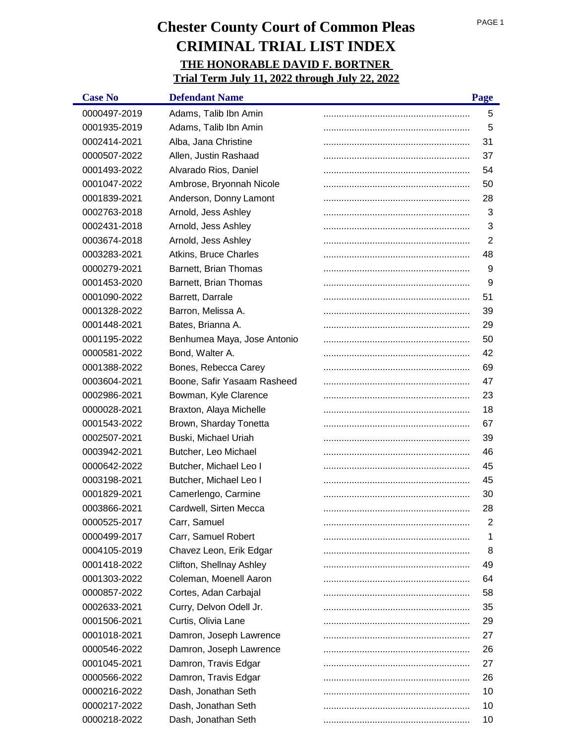| <b>Case No</b> | <b>Defendant Name</b>       | Page |
|----------------|-----------------------------|------|
| 0000497-2019   | Adams, Talib Ibn Amin       | 5    |
| 0001935-2019   | Adams, Talib Ibn Amin       | 5    |
| 0002414-2021   | Alba, Jana Christine        | 31   |
| 0000507-2022   | Allen, Justin Rashaad       | 37   |
| 0001493-2022   | Alvarado Rios, Daniel       | 54   |
| 0001047-2022   | Ambrose, Bryonnah Nicole    | 50   |
| 0001839-2021   | Anderson, Donny Lamont      | 28   |
| 0002763-2018   | Arnold, Jess Ashley         | 3    |
| 0002431-2018   | Arnold, Jess Ashley         | 3    |
| 0003674-2018   | Arnold, Jess Ashley         | 2    |
| 0003283-2021   | Atkins, Bruce Charles       | 48   |
| 0000279-2021   | Barnett, Brian Thomas       | 9    |
| 0001453-2020   | Barnett, Brian Thomas       | 9    |
| 0001090-2022   | Barrett, Darrale            | 51   |
| 0001328-2022   | Barron, Melissa A.          | 39   |
| 0001448-2021   | Bates, Brianna A.           | 29   |
| 0001195-2022   | Benhumea Maya, Jose Antonio | 50   |
| 0000581-2022   | Bond, Walter A.             | 42   |
| 0001388-2022   | Bones, Rebecca Carey        | 69   |
| 0003604-2021   | Boone, Safir Yasaam Rasheed | 47   |
| 0002986-2021   | Bowman, Kyle Clarence       | 23   |
| 0000028-2021   | Braxton, Alaya Michelle     | 18   |
| 0001543-2022   | Brown, Sharday Tonetta      | 67   |
| 0002507-2021   | Buski, Michael Uriah        | 39   |
| 0003942-2021   | Butcher, Leo Michael        | 46   |
| 0000642-2022   | Butcher, Michael Leo I      | 45   |
| 0003198-2021   | Butcher, Michael Leo I      | 45   |
| 0001829-2021   | Camerlengo, Carmine         | 30   |
| 0003866-2021   | Cardwell, Sirten Mecca      | 28   |
| 0000525-2017   | Carr, Samuel                | 2    |
| 0000499-2017   | Carr, Samuel Robert         | 1    |
| 0004105-2019   | Chavez Leon, Erik Edgar     | 8    |
| 0001418-2022   | Clifton, Shellnay Ashley    | 49   |
| 0001303-2022   | Coleman, Moenell Aaron      | 64   |
| 0000857-2022   | Cortes, Adan Carbajal       | 58   |
| 0002633-2021   | Curry, Delvon Odell Jr.     | 35   |
| 0001506-2021   | Curtis, Olivia Lane         | 29   |
| 0001018-2021   | Damron, Joseph Lawrence     | 27   |
| 0000546-2022   | Damron, Joseph Lawrence     | 26   |
| 0001045-2021   | Damron, Travis Edgar        | 27   |
| 0000566-2022   | Damron, Travis Edgar        | 26   |
| 0000216-2022   | Dash, Jonathan Seth         | 10   |
| 0000217-2022   | Dash, Jonathan Seth         | 10   |
| 0000218-2022   | Dash, Jonathan Seth         | 10   |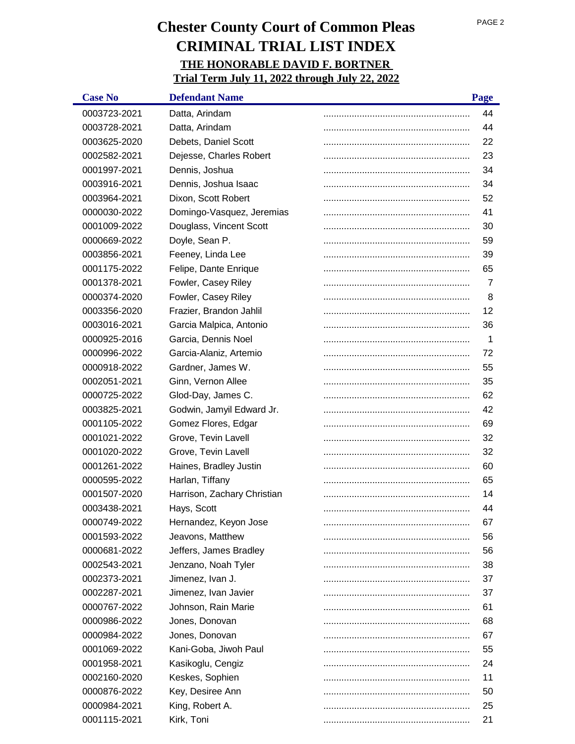| <b>Case No</b> | <b>Defendant Name</b>       | Page |
|----------------|-----------------------------|------|
| 0003723-2021   | Datta, Arindam              | 44   |
| 0003728-2021   | Datta, Arindam              | 44   |
| 0003625-2020   | Debets, Daniel Scott        | 22   |
| 0002582-2021   | Dejesse, Charles Robert     | 23   |
| 0001997-2021   | Dennis, Joshua              | 34   |
| 0003916-2021   | Dennis, Joshua Isaac        | 34   |
| 0003964-2021   | Dixon, Scott Robert         | 52   |
| 0000030-2022   | Domingo-Vasquez, Jeremias   | 41   |
| 0001009-2022   | Douglass, Vincent Scott     | 30   |
| 0000669-2022   | Doyle, Sean P.              | 59   |
| 0003856-2021   | Feeney, Linda Lee           | 39   |
| 0001175-2022   | Felipe, Dante Enrique       | 65   |
| 0001378-2021   | Fowler, Casey Riley         | 7    |
| 0000374-2020   | Fowler, Casey Riley         | 8    |
| 0003356-2020   | Frazier, Brandon Jahlil     | 12   |
| 0003016-2021   | Garcia Malpica, Antonio     | 36   |
| 0000925-2016   | Garcia, Dennis Noel         | 1    |
| 0000996-2022   | Garcia-Alaniz, Artemio      | 72   |
| 0000918-2022   | Gardner, James W.           | 55   |
| 0002051-2021   | Ginn, Vernon Allee          | 35   |
| 0000725-2022   | Glod-Day, James C.          | 62   |
| 0003825-2021   | Godwin, Jamyil Edward Jr.   | 42   |
| 0001105-2022   | Gomez Flores, Edgar         | 69   |
| 0001021-2022   | Grove, Tevin Lavell         | 32   |
| 0001020-2022   | Grove, Tevin Lavell         | 32   |
| 0001261-2022   | Haines, Bradley Justin      | 60   |
| 0000595-2022   | Harlan, Tiffany             | 65   |
| 0001507-2020   | Harrison, Zachary Christian | 14   |
| 0003438-2021   | Hays, Scott                 | 44   |
| 0000749-2022   | Hernandez, Keyon Jose       | 67   |
| 0001593-2022   | Jeavons, Matthew            | 56   |
| 0000681-2022   | Jeffers, James Bradley      | 56   |
| 0002543-2021   | Jenzano, Noah Tyler         | 38   |
| 0002373-2021   | Jimenez, Ivan J.            | 37   |
| 0002287-2021   | Jimenez, Ivan Javier        | 37   |
| 0000767-2022   | Johnson, Rain Marie         | 61   |
| 0000986-2022   | Jones, Donovan              | 68   |
| 0000984-2022   | Jones, Donovan              | 67   |
| 0001069-2022   | Kani-Goba, Jiwoh Paul       | 55   |
| 0001958-2021   | Kasikoglu, Cengiz           | 24   |
| 0002160-2020   | Keskes, Sophien             | 11   |
| 0000876-2022   | Key, Desiree Ann            | 50   |
| 0000984-2021   | King, Robert A.             | 25   |
| 0001115-2021   | Kirk, Toni                  | 21   |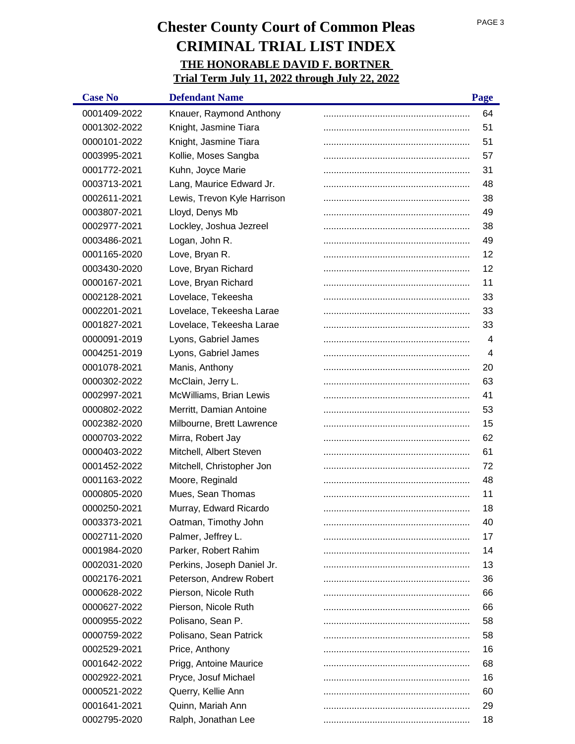| <b>Case No</b> | <b>Defendant Name</b>       | Page           |
|----------------|-----------------------------|----------------|
| 0001409-2022   | Knauer, Raymond Anthony     | 64             |
| 0001302-2022   | Knight, Jasmine Tiara       | 51             |
| 0000101-2022   | Knight, Jasmine Tiara       | 51             |
| 0003995-2021   | Kollie, Moses Sangba        | 57             |
| 0001772-2021   | Kuhn, Joyce Marie           | 31             |
| 0003713-2021   | Lang, Maurice Edward Jr.    | 48             |
| 0002611-2021   | Lewis, Trevon Kyle Harrison | 38             |
| 0003807-2021   | Lloyd, Denys Mb             | 49             |
| 0002977-2021   | Lockley, Joshua Jezreel     | 38             |
| 0003486-2021   | Logan, John R.              | 49             |
| 0001165-2020   | Love, Bryan R.              | 12             |
| 0003430-2020   | Love, Bryan Richard         | 12             |
| 0000167-2021   | Love, Bryan Richard         | 11             |
| 0002128-2021   | Lovelace, Tekeesha          | 33             |
| 0002201-2021   | Lovelace, Tekeesha Larae    | 33             |
| 0001827-2021   | Lovelace, Tekeesha Larae    | 33             |
| 0000091-2019   | Lyons, Gabriel James        | 4              |
| 0004251-2019   | Lyons, Gabriel James        | $\overline{4}$ |
| 0001078-2021   | Manis, Anthony              | 20             |
| 0000302-2022   | McClain, Jerry L.           | 63             |
| 0002997-2021   | McWilliams, Brian Lewis     | 41             |
| 0000802-2022   | Merritt, Damian Antoine     | 53             |
| 0002382-2020   | Milbourne, Brett Lawrence   | 15             |
| 0000703-2022   | Mirra, Robert Jay           | 62             |
| 0000403-2022   | Mitchell, Albert Steven     | 61             |
| 0001452-2022   | Mitchell, Christopher Jon   | 72             |
| 0001163-2022   | Moore, Reginald             | 48             |
| 0000805-2020   | Mues, Sean Thomas           | 11             |
| 0000250-2021   | Murray, Edward Ricardo      | 18             |
| 0003373-2021   | Oatman, Timothy John        | 40             |
| 0002711-2020   | Palmer, Jeffrey L.          | 17             |
| 0001984-2020   | Parker, Robert Rahim        | 14             |
| 0002031-2020   | Perkins, Joseph Daniel Jr.  | 13             |
| 0002176-2021   | Peterson, Andrew Robert     | 36             |
| 0000628-2022   | Pierson, Nicole Ruth        | 66             |
| 0000627-2022   | Pierson, Nicole Ruth        | 66             |
| 0000955-2022   | Polisano, Sean P.           | 58             |
| 0000759-2022   | Polisano, Sean Patrick      | 58             |
| 0002529-2021   | Price, Anthony              | 16             |
| 0001642-2022   | Prigg, Antoine Maurice      | 68             |
| 0002922-2021   | Pryce, Josuf Michael        | 16             |
| 0000521-2022   | Querry, Kellie Ann          | 60             |
| 0001641-2021   | Quinn, Mariah Ann           | 29             |
| 0002795-2020   | Ralph, Jonathan Lee         | 18             |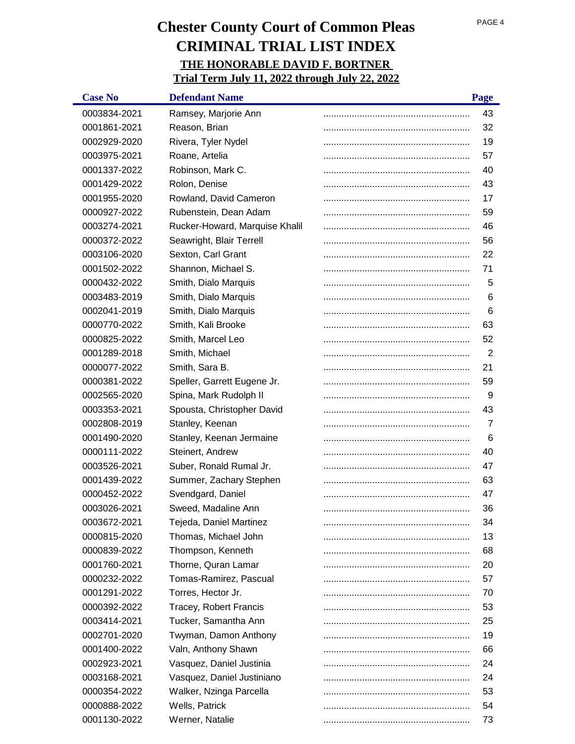| <b>Case No</b> | <b>Defendant Name</b>          | Page |
|----------------|--------------------------------|------|
| 0003834-2021   | Ramsey, Marjorie Ann           | 43   |
| 0001861-2021   | Reason, Brian                  | 32   |
| 0002929-2020   | Rivera, Tyler Nydel            | 19   |
| 0003975-2021   | Roane, Artelia                 | 57   |
| 0001337-2022   | Robinson, Mark C.              | 40   |
| 0001429-2022   | Rolon, Denise                  | 43   |
| 0001955-2020   | Rowland, David Cameron         | 17   |
| 0000927-2022   | Rubenstein, Dean Adam          | 59   |
| 0003274-2021   | Rucker-Howard, Marquise Khalil | 46   |
| 0000372-2022   | Seawright, Blair Terrell       | 56   |
| 0003106-2020   | Sexton, Carl Grant             | 22   |
| 0001502-2022   | Shannon, Michael S.            | 71   |
| 0000432-2022   | Smith, Dialo Marquis           | 5    |
| 0003483-2019   | Smith, Dialo Marquis           | 6    |
| 0002041-2019   | Smith, Dialo Marquis           | 6    |
| 0000770-2022   | Smith, Kali Brooke             | 63   |
| 0000825-2022   | Smith, Marcel Leo              | 52   |
| 0001289-2018   | Smith, Michael                 | 2    |
| 0000077-2022   | Smith, Sara B.                 | 21   |
| 0000381-2022   | Speller, Garrett Eugene Jr.    | 59   |
| 0002565-2020   | Spina, Mark Rudolph II         | 9    |
| 0003353-2021   | Spousta, Christopher David     | 43   |
| 0002808-2019   | Stanley, Keenan                | 7    |
| 0001490-2020   | Stanley, Keenan Jermaine       | 6    |
| 0000111-2022   | Steinert, Andrew               | 40   |
| 0003526-2021   | Suber, Ronald Rumal Jr.        | 47   |
| 0001439-2022   | Summer, Zachary Stephen        | 63   |
| 0000452-2022   | Svendgard, Daniel              | 47   |
| 0003026-2021   | Sweed, Madaline Ann            | 36   |
| 0003672-2021   | Tejeda, Daniel Martinez        | 34   |
| 0000815-2020   | Thomas, Michael John           | 13   |
| 0000839-2022   | Thompson, Kenneth              | 68   |
| 0001760-2021   | Thorne, Quran Lamar            | 20   |
| 0000232-2022   | Tomas-Ramirez, Pascual         | 57   |
| 0001291-2022   | Torres, Hector Jr.             | 70   |
| 0000392-2022   | <b>Tracey, Robert Francis</b>  | 53   |
| 0003414-2021   | Tucker, Samantha Ann           | 25   |
| 0002701-2020   | Twyman, Damon Anthony          | 19   |
| 0001400-2022   | Valn, Anthony Shawn            | 66   |
| 0002923-2021   | Vasquez, Daniel Justinia       | 24   |
| 0003168-2021   | Vasquez, Daniel Justiniano     | 24   |
| 0000354-2022   | Walker, Nzinga Parcella        | 53   |
| 0000888-2022   | Wells, Patrick                 | 54   |
| 0001130-2022   | Werner, Natalie                | 73   |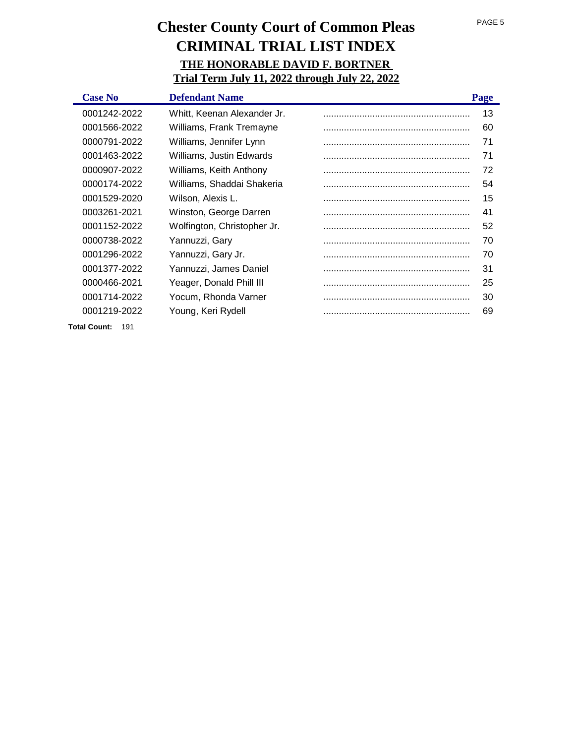| <b>Case No</b>             | <b>Defendant Name</b>       | Page |
|----------------------------|-----------------------------|------|
| 0001242-2022               | Whitt, Keenan Alexander Jr. | 13   |
| 0001566-2022               | Williams, Frank Tremayne    | 60   |
| 0000791-2022               | Williams, Jennifer Lynn     | 71   |
| 0001463-2022               | Williams, Justin Edwards    | 71   |
| 0000907-2022               | Williams, Keith Anthony     | 72   |
| 0000174-2022               | Williams, Shaddai Shakeria  | 54   |
| 0001529-2020               | Wilson, Alexis L.           | 15   |
| 0003261-2021               | Winston, George Darren      | 41   |
| 0001152-2022               | Wolfington, Christopher Jr. | 52   |
| 0000738-2022               | Yannuzzi, Gary              | 70   |
| 0001296-2022               | Yannuzzi, Gary Jr.          | 70   |
| 0001377-2022               | Yannuzzi, James Daniel      | 31   |
| 0000466-2021               | Yeager, Donald Phill III    | 25   |
| 0001714-2022               | Yocum, Rhonda Varner        | 30   |
| 0001219-2022               | Young, Keri Rydell          | 69   |
| <b>Total Count:</b><br>191 |                             |      |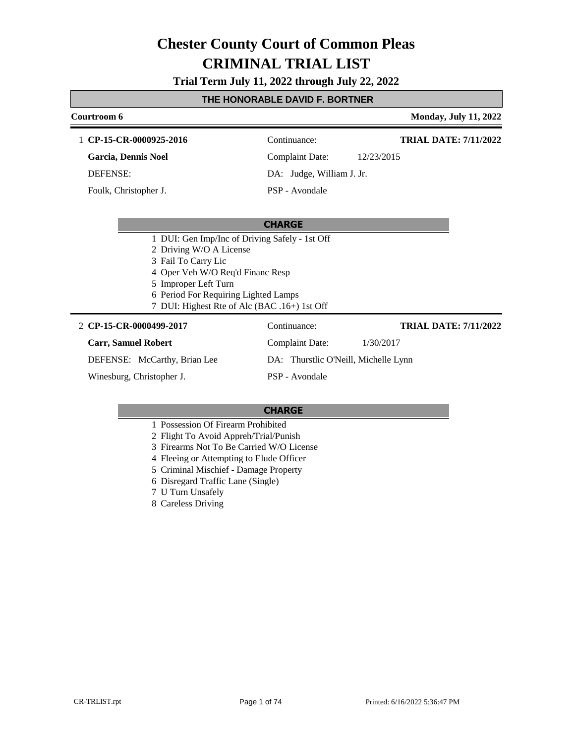**Trial Term July 11, 2022 through July 22, 2022**

### **THE HONORABLE DAVID F. BORTNER**

# **Courtroom 6 Monday, July 11, 2022 CHARGE** 1 **CP-15-CR-0000925-2016** Continuance: **Garcia, Dennis Noel** DEFENSE: Complaint Date: 12/23/2015 DA: Judge, William J. Jr. PSP - Avondale **TRIAL DATE: 7/11/2022** Foulk, Christopher J.

| 1 DUI: Gen Imp/Inc of Driving Safely - 1st Off |                                      |           |                              |
|------------------------------------------------|--------------------------------------|-----------|------------------------------|
| 2 Driving W/O A License                        |                                      |           |                              |
| 3 Fail To Carry Lic                            |                                      |           |                              |
| 4 Oper Veh W/O Req'd Financ Resp               |                                      |           |                              |
| 5 Improper Left Turn                           |                                      |           |                              |
| 6 Period For Requiring Lighted Lamps           |                                      |           |                              |
| 7 DUI: Highest Rte of Alc (BAC .16+) 1st Off   |                                      |           |                              |
| 2 CP-15-CR-0000499-2017                        | Continuance:                         |           | <b>TRIAL DATE: 7/11/2022</b> |
| <b>Carr, Samuel Robert</b>                     | Complaint Date:                      | 1/30/2017 |                              |
| DEFENSE: McCarthy, Brian Lee                   | DA: Thurstlic O'Neill, Michelle Lynn |           |                              |
| Winesburg, Christopher J.                      | PSP - Avondale                       |           |                              |

- 1 Possession Of Firearm Prohibited
- 2 Flight To Avoid Appreh/Trial/Punish
- 3 Firearms Not To Be Carried W/O License
- 4 Fleeing or Attempting to Elude Officer
- 5 Criminal Mischief Damage Property
- 6 Disregard Traffic Lane (Single)
- 7 U Turn Unsafely
- 8 Careless Driving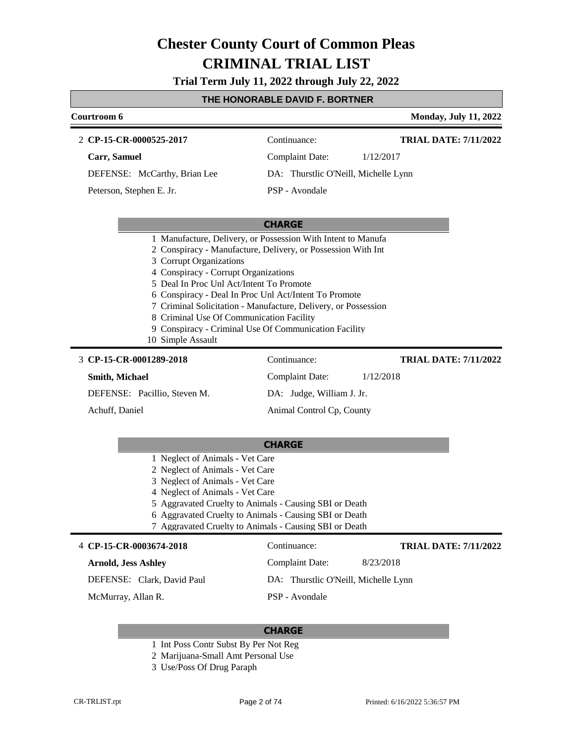**Trial Term July 11, 2022 through July 22, 2022**

### **THE HONORABLE DAVID F. BORTNER**

| Courtroom 6                                                                                                                                                                                                                                                                                    | <b>Monday, July 11, 2022</b>                                                                                                                                                                   |
|------------------------------------------------------------------------------------------------------------------------------------------------------------------------------------------------------------------------------------------------------------------------------------------------|------------------------------------------------------------------------------------------------------------------------------------------------------------------------------------------------|
| 2 CP-15-CR-0000525-2017                                                                                                                                                                                                                                                                        | <b>TRIAL DATE: 7/11/2022</b><br>Continuance:                                                                                                                                                   |
| Carr, Samuel                                                                                                                                                                                                                                                                                   | Complaint Date:<br>1/12/2017                                                                                                                                                                   |
| DEFENSE: McCarthy, Brian Lee                                                                                                                                                                                                                                                                   | DA: Thurstlic O'Neill, Michelle Lynn                                                                                                                                                           |
| Peterson, Stephen E. Jr.                                                                                                                                                                                                                                                                       | PSP - Avondale                                                                                                                                                                                 |
|                                                                                                                                                                                                                                                                                                | <b>CHARGE</b>                                                                                                                                                                                  |
| 3 Corrupt Organizations<br>4 Conspiracy - Corrupt Organizations<br>5 Deal In Proc Unl Act/Intent To Promote<br>6 Conspiracy - Deal In Proc Unl Act/Intent To Promote<br>8 Criminal Use Of Communication Facility<br>9 Conspiracy - Criminal Use Of Communication Facility<br>10 Simple Assault | 1 Manufacture, Delivery, or Possession With Intent to Manufa<br>2 Conspiracy - Manufacture, Delivery, or Possession With Int<br>7 Criminal Solicitation - Manufacture, Delivery, or Possession |
| 3 CP-15-CR-0001289-2018                                                                                                                                                                                                                                                                        | Continuance:<br><b>TRIAL DATE: 7/11/2022</b>                                                                                                                                                   |
| Smith, Michael                                                                                                                                                                                                                                                                                 | <b>Complaint Date:</b><br>1/12/2018                                                                                                                                                            |
| DEFENSE: Pacillio, Steven M.                                                                                                                                                                                                                                                                   | DA: Judge, William J. Jr.                                                                                                                                                                      |
| Achuff, Daniel                                                                                                                                                                                                                                                                                 | Animal Control Cp, County                                                                                                                                                                      |
| 1 Noglect of Animals Vot Caro                                                                                                                                                                                                                                                                  | <b>CHARGE</b>                                                                                                                                                                                  |

- 1 Neglect of Animals Vet Care
- 2 Neglect of Animals Vet Care 3 Neglect of Animals - Vet Care
- 4 Neglect of Animals Vet Care
- 
- 5 Aggravated Cruelty to Animals Causing SBI or Death
- 6 Aggravated Cruelty to Animals Causing SBI or Death
- 7 Aggravated Cruelty to Animals Causing SBI or Death

#### 4 **CP-15-CR-0003674-2018** Continuance:

### **Arnold, Jess Ashley**

DEFENSE: Clark, David Paul

McMurray, Allan R.

#### **CHARGE**

- 1 Int Poss Contr Subst By Per Not Reg
- 2 Marijuana-Small Amt Personal Use
- 3 Use/Poss Of Drug Paraph

**TRIAL DATE: 7/11/2022**

Complaint Date: 8/23/2018

DA: Thurstlic O'Neill, Michelle Lynn

PSP - Avondale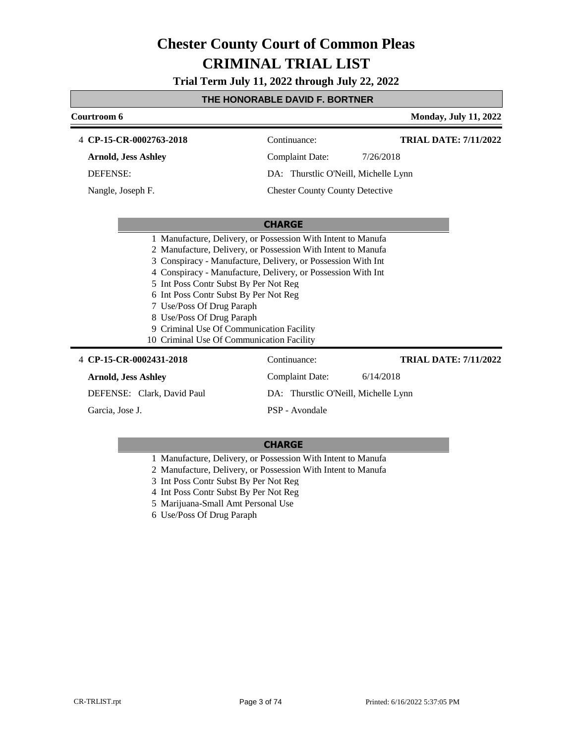**Trial Term July 11, 2022 through July 22, 2022**

## **THE HONORABLE DAVID F. BORTNER**

| Courtroom 6                                                                                                                                                                                                                       |                                                                                                                                                                                                                                                              | <b>Monday, July 11, 2022</b> |
|-----------------------------------------------------------------------------------------------------------------------------------------------------------------------------------------------------------------------------------|--------------------------------------------------------------------------------------------------------------------------------------------------------------------------------------------------------------------------------------------------------------|------------------------------|
| 4 CP-15-CR-0002763-2018                                                                                                                                                                                                           | Continuance:                                                                                                                                                                                                                                                 | <b>TRIAL DATE: 7/11/2022</b> |
| <b>Arnold, Jess Ashley</b>                                                                                                                                                                                                        | <b>Complaint Date:</b>                                                                                                                                                                                                                                       | 7/26/2018                    |
| <b>DEFENSE:</b>                                                                                                                                                                                                                   | DA: Thurstlic O'Neill, Michelle Lynn                                                                                                                                                                                                                         |                              |
| Nangle, Joseph F.                                                                                                                                                                                                                 | <b>Chester County County Detective</b>                                                                                                                                                                                                                       |                              |
|                                                                                                                                                                                                                                   |                                                                                                                                                                                                                                                              |                              |
|                                                                                                                                                                                                                                   | <b>CHARGE</b>                                                                                                                                                                                                                                                |                              |
| 5 Int Poss Contr Subst By Per Not Reg<br>6 Int Poss Contr Subst By Per Not Reg<br>7 Use/Poss Of Drug Paraph<br>8 Use/Poss Of Drug Paraph<br>9 Criminal Use Of Communication Facility<br>10 Criminal Use Of Communication Facility | 1 Manufacture, Delivery, or Possession With Intent to Manufa<br>2 Manufacture, Delivery, or Possession With Intent to Manufa<br>3 Conspiracy - Manufacture, Delivery, or Possession With Int<br>4 Conspiracy - Manufacture, Delivery, or Possession With Int |                              |
| 4 CP-15-CR-0002431-2018                                                                                                                                                                                                           | Continuance:                                                                                                                                                                                                                                                 | <b>TRIAL DATE: 7/11/2022</b> |
| <b>Arnold, Jess Ashley</b>                                                                                                                                                                                                        | <b>Complaint Date:</b>                                                                                                                                                                                                                                       | 6/14/2018                    |
| DEFENSE: Clark, David Paul                                                                                                                                                                                                        | DA: Thurstlic O'Neill, Michelle Lynn                                                                                                                                                                                                                         |                              |
| Garcia, Jose J.                                                                                                                                                                                                                   | PSP - Avondale                                                                                                                                                                                                                                               |                              |

- 1 Manufacture, Delivery, or Possession With Intent to Manufa
- 2 Manufacture, Delivery, or Possession With Intent to Manufa
- 3 Int Poss Contr Subst By Per Not Reg
- 4 Int Poss Contr Subst By Per Not Reg
- 5 Marijuana-Small Amt Personal Use
- 6 Use/Poss Of Drug Paraph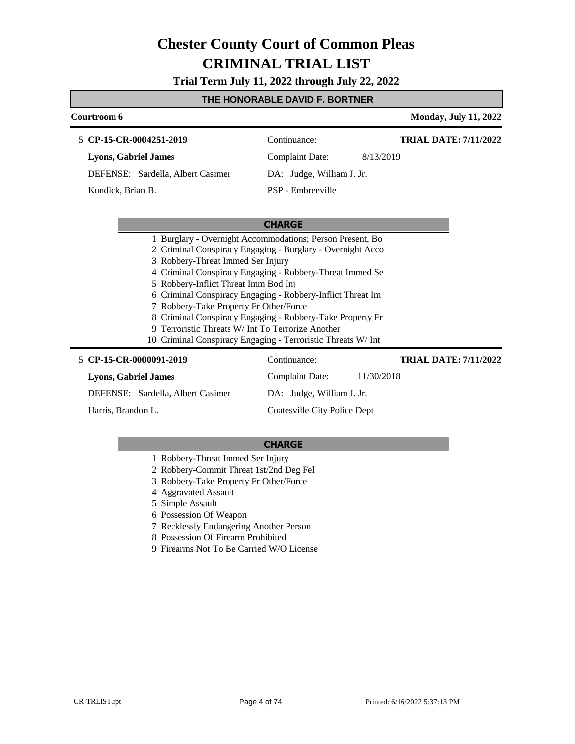**Trial Term July 11, 2022 through July 22, 2022**

#### **THE HONORABLE DAVID F. BORTNER**

| Courtroom 6                                               |                           | <b>Monday, July 11, 2022</b> |
|-----------------------------------------------------------|---------------------------|------------------------------|
| 5 CP-15-CR-0004251-2019                                   | Continuance:              | <b>TRIAL DATE: 7/11/2022</b> |
| <b>Lyons, Gabriel James</b>                               | Complaint Date:           | 8/13/2019                    |
| DEFENSE: Sardella, Albert Casimer                         | DA: Judge, William J. Jr. |                              |
| Kundick, Brian B.                                         | PSP - Embreeville         |                              |
|                                                           | <b>CHARGE</b>             |                              |
| 1 Burglary - Overnight Accommodations; Person Present, Bo |                           |                              |

- 2 Criminal Conspiracy Engaging Burglary Overnight Acco
- 3 Robbery-Threat Immed Ser Injury
- 4 Criminal Conspiracy Engaging Robbery-Threat Immed Se
- 5 Robbery-Inflict Threat Imm Bod Inj
- 6 Criminal Conspiracy Engaging Robbery-Inflict Threat Im
- 7 Robbery-Take Property Fr Other/Force
- 8 Criminal Conspiracy Engaging Robbery-Take Property Fr
- 9 Terroristic Threats W/ Int To Terrorize Another
- 10 Criminal Conspiracy Engaging Terroristic Threats W/ Int

#### **CP-15-CR-0000091-2019** 5 Continuance: **Lyons, Gabriel James** DEFENSE: Sardella, Albert Casimer Complaint Date: 11/30/2018 DA: Judge, William J. Jr. Coatesville City Police Dept **TRIAL DATE: 7/11/2022** Harris, Brandon L.

- 1 Robbery-Threat Immed Ser Injury
- 2 Robbery-Commit Threat 1st/2nd Deg Fel
- 3 Robbery-Take Property Fr Other/Force
- 4 Aggravated Assault
- 5 Simple Assault
- 6 Possession Of Weapon
- 7 Recklessly Endangering Another Person
- 8 Possession Of Firearm Prohibited
- 9 Firearms Not To Be Carried W/O License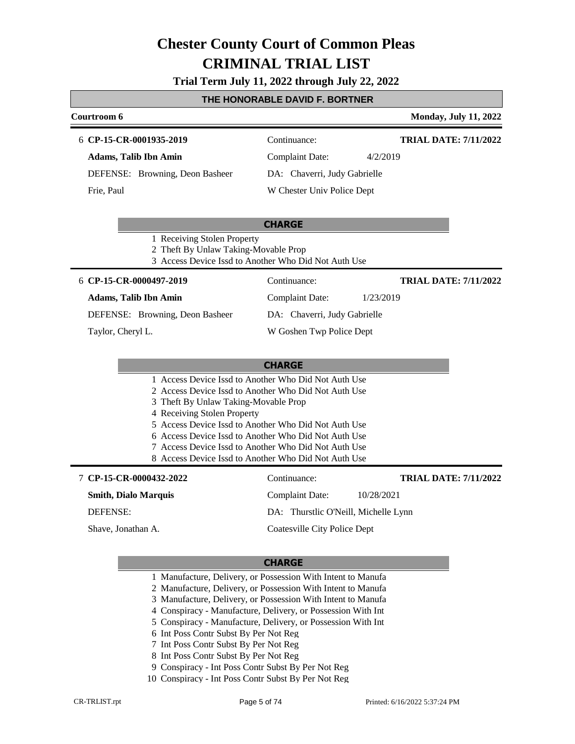# **Trial Term July 11, 2022 through July 22, 2022**

### **THE HONORABLE DAVID F. BORTNER**

| Courtroom 6                                                         |                                                                                                                                                                                                                                                                                                                                              | <b>Monday, July 11, 2022</b> |
|---------------------------------------------------------------------|----------------------------------------------------------------------------------------------------------------------------------------------------------------------------------------------------------------------------------------------------------------------------------------------------------------------------------------------|------------------------------|
| 6 CP-15-CR-0001935-2019                                             | Continuance:                                                                                                                                                                                                                                                                                                                                 | <b>TRIAL DATE: 7/11/2022</b> |
| <b>Adams, Talib Ibn Amin</b>                                        | <b>Complaint Date:</b>                                                                                                                                                                                                                                                                                                                       | 4/2/2019                     |
| DEFENSE: Browning, Deon Basheer                                     | DA: Chaverri, Judy Gabrielle                                                                                                                                                                                                                                                                                                                 |                              |
| Frie, Paul                                                          | W Chester Univ Police Dept                                                                                                                                                                                                                                                                                                                   |                              |
|                                                                     | <b>CHARGE</b>                                                                                                                                                                                                                                                                                                                                |                              |
| 1 Receiving Stolen Property<br>2 Theft By Unlaw Taking-Movable Prop | 3 Access Device Issd to Another Who Did Not Auth Use                                                                                                                                                                                                                                                                                         |                              |
| 6 CP-15-CR-0000497-2019                                             | Continuance:                                                                                                                                                                                                                                                                                                                                 | <b>TRIAL DATE: 7/11/2022</b> |
| <b>Adams, Talib Ibn Amin</b>                                        | Complaint Date:                                                                                                                                                                                                                                                                                                                              | 1/23/2019                    |
| DEFENSE: Browning, Deon Basheer                                     | DA: Chaverri, Judy Gabrielle                                                                                                                                                                                                                                                                                                                 |                              |
| Taylor, Cheryl L.                                                   | W Goshen Twp Police Dept                                                                                                                                                                                                                                                                                                                     |                              |
|                                                                     | <b>CHARGE</b>                                                                                                                                                                                                                                                                                                                                |                              |
| 3 Theft By Unlaw Taking-Movable Prop<br>4 Receiving Stolen Property | 1 Access Device Issd to Another Who Did Not Auth Use<br>2 Access Device Issd to Another Who Did Not Auth Use<br>5 Access Device Issd to Another Who Did Not Auth Use<br>6 Access Device Issd to Another Who Did Not Auth Use<br>7 Access Device Issd to Another Who Did Not Auth Use<br>8 Access Device Issd to Another Who Did Not Auth Use |                              |
| 7 CP-15-CR-0000432-2022                                             | Continuance:                                                                                                                                                                                                                                                                                                                                 | <b>TRIAL DATE: 7/11/2022</b> |
| <b>Smith, Dialo Marquis</b>                                         | <b>Complaint Date:</b>                                                                                                                                                                                                                                                                                                                       | 10/28/2021                   |
| DEFENSE:                                                            | DA: Thurstlic O'Neill, Michelle Lynn                                                                                                                                                                                                                                                                                                         |                              |

Shave, Jonathan A.

### **CHARGE**

Coatesville City Police Dept

- 1 Manufacture, Delivery, or Possession With Intent to Manufa
- 2 Manufacture, Delivery, or Possession With Intent to Manufa
- 3 Manufacture, Delivery, or Possession With Intent to Manufa
- 4 Conspiracy Manufacture, Delivery, or Possession With Int
- 5 Conspiracy Manufacture, Delivery, or Possession With Int
- 6 Int Poss Contr Subst By Per Not Reg
- 7 Int Poss Contr Subst By Per Not Reg
- 8 Int Poss Contr Subst By Per Not Reg
- 9 Conspiracy Int Poss Contr Subst By Per Not Reg
- 10 Conspiracy Int Poss Contr Subst By Per Not Reg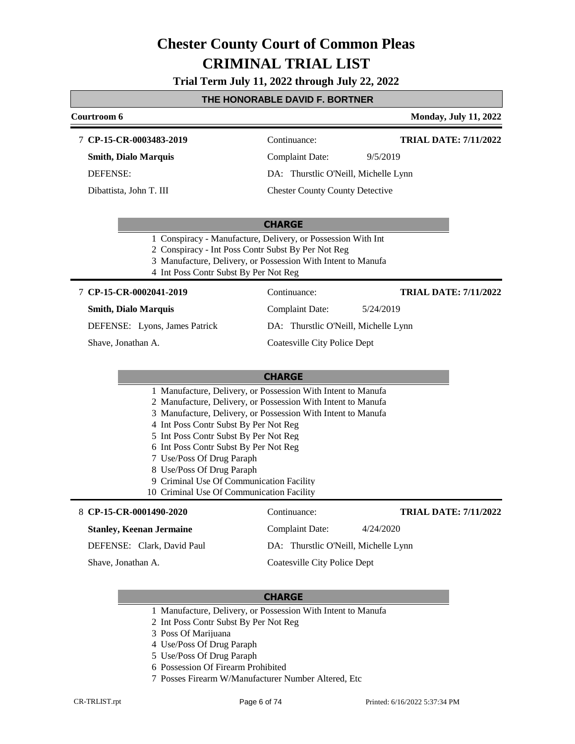**Trial Term July 11, 2022 through July 22, 2022**

|                               | THE HONORABLE DAVID F. BORTNER                                                                                                                                                                                              |                              |
|-------------------------------|-----------------------------------------------------------------------------------------------------------------------------------------------------------------------------------------------------------------------------|------------------------------|
| Courtroom 6                   |                                                                                                                                                                                                                             | <b>Monday, July 11, 2022</b> |
| 7 CP-15-CR-0003483-2019       | Continuance:                                                                                                                                                                                                                | <b>TRIAL DATE: 7/11/2022</b> |
| <b>Smith, Dialo Marquis</b>   | <b>Complaint Date:</b>                                                                                                                                                                                                      | 9/5/2019                     |
| <b>DEFENSE:</b>               | DA: Thurstlic O'Neill, Michelle Lynn                                                                                                                                                                                        |                              |
| Dibattista, John T. III       | <b>Chester County County Detective</b>                                                                                                                                                                                      |                              |
|                               | <b>CHARGE</b>                                                                                                                                                                                                               |                              |
|                               | 1 Conspiracy - Manufacture, Delivery, or Possession With Int<br>2 Conspiracy - Int Poss Contr Subst By Per Not Reg<br>3 Manufacture, Delivery, or Possession With Intent to Manufa<br>4 Int Poss Contr Subst By Per Not Reg |                              |
| 7 CP-15-CR-0002041-2019       | Continuance:                                                                                                                                                                                                                | <b>TRIAL DATE: 7/11/2022</b> |
| <b>Smith, Dialo Marquis</b>   | Complaint Date:                                                                                                                                                                                                             | 5/24/2019                    |
| DEFENSE: Lyons, James Patrick | DA: Thurstlic O'Neill, Michelle Lynn                                                                                                                                                                                        |                              |
| Shave, Jonathan A.            | Coatesville City Police Dept                                                                                                                                                                                                |                              |
|                               | <b>CHARGE</b>                                                                                                                                                                                                               |                              |
|                               | 1 Manufacture, Delivery, or Possession With Intent to Manufa                                                                                                                                                                |                              |
|                               | 2 Manufacture, Delivery, or Possession With Intent to Manufa                                                                                                                                                                |                              |
|                               | 3 Manufacture, Delivery, or Possession With Intent to Manufa                                                                                                                                                                |                              |
|                               | 4 Int Poss Contr Subst By Per Not Reg                                                                                                                                                                                       |                              |
|                               | 5 Int Poss Contr Subst By Per Not Reg<br>6 Int Poss Contr Subst By Per Not Reg                                                                                                                                              |                              |
| 7 Use/Poss Of Drug Paraph     |                                                                                                                                                                                                                             |                              |
| 8 Use/Poss Of Drug Paraph     |                                                                                                                                                                                                                             |                              |
|                               | 9 Criminal Use Of Communication Facility                                                                                                                                                                                    |                              |
|                               | 10 Criminal Use Of Communication Facility                                                                                                                                                                                   |                              |
| 8 CP-15-CR-0001490-2020       | Continuance:                                                                                                                                                                                                                | <b>TRIAL DATE: 7/11/2022</b> |

Г

- 1 Manufacture, Delivery, or Possession With Intent to Manufa
- 2 Int Poss Contr Subst By Per Not Reg
- 3 Poss Of Marijuana
- 4 Use/Poss Of Drug Paraph
- 5 Use/Poss Of Drug Paraph
- 6 Possession Of Firearm Prohibited
- 7 Posses Firearm W/Manufacturer Number Altered, Etc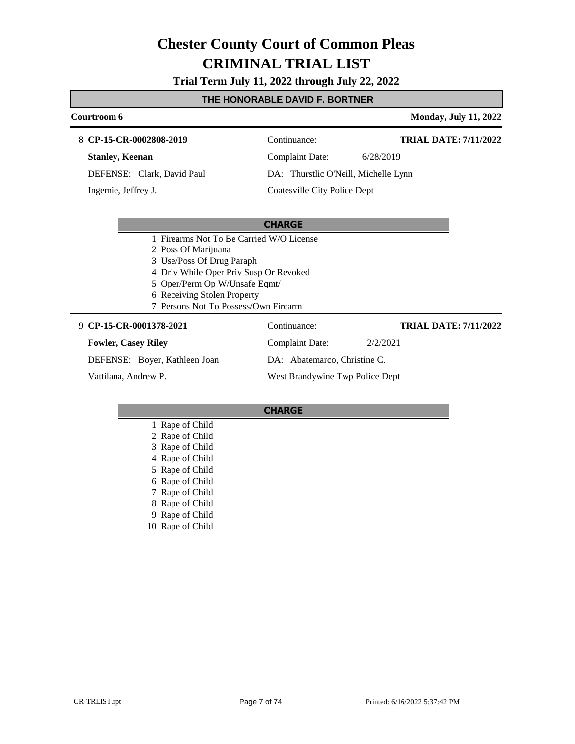**Trial Term July 11, 2022 through July 22, 2022**

### **THE HONORABLE DAVID F. BORTNER**

#### **Courtroom 6 Monday, July 11, 2022 CP-15-CR-0002808-2019** 8 Continuance: **Stanley, Keenan** DEFENSE: Clark, David Paul Complaint Date: 6/28/2019 DA: Thurstlic O'Neill, Michelle Lynn Coatesville City Police Dept **TRIAL DATE: 7/11/2022** Ingemie, Jeffrey J.

### **CHARGE**

- 1 Firearms Not To Be Carried W/O License
- 2 Poss Of Marijuana
- 3 Use/Poss Of Drug Paraph
- 4 Driv While Oper Priv Susp Or Revoked
- 5 Oper/Perm Op W/Unsafe Eqmt/
- 6 Receiving Stolen Property
- 7 Persons Not To Possess/Own Firearm

#### **CP-15-CR-0001378-2021** 9 Continuance:

#### **Fowler, Casey Riley**

DEFENSE: Boyer, Kathleen Joan

Vattilana, Andrew P.

Complaint Date: 2/2/2021 DA: Abatemarco, Christine C. West Brandywine Twp Police Dept

#### **CHARGE**

- 1 Rape of Child
- 2 Rape of Child
- 3 Rape of Child
- 4 Rape of Child
- 5 Rape of Child
- 6 Rape of Child
- 7 Rape of Child
- 8 Rape of Child
- 9 Rape of Child
- 10 Rape of Child

**TRIAL DATE: 7/11/2022**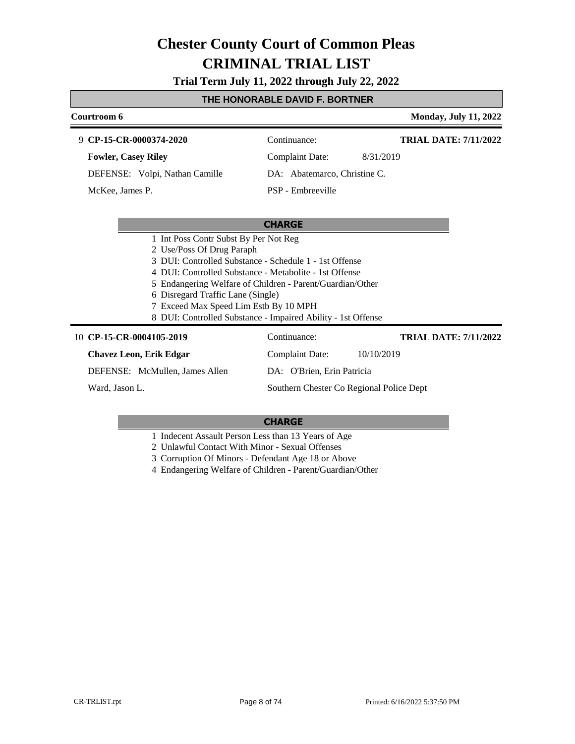**Trial Term July 11, 2022 through July 22, 2022**

### **THE HONORABLE DAVID F. BORTNER**

| Courtroom 6                                                                                                                                                                                                                                                          | <b>Monday, July 11, 2022</b>                                                                                              |
|----------------------------------------------------------------------------------------------------------------------------------------------------------------------------------------------------------------------------------------------------------------------|---------------------------------------------------------------------------------------------------------------------------|
| 9 CP-15-CR-0000374-2020                                                                                                                                                                                                                                              | <b>TRIAL DATE: 7/11/2022</b><br>Continuance:                                                                              |
| <b>Fowler, Casey Riley</b>                                                                                                                                                                                                                                           | <b>Complaint Date:</b><br>8/31/2019                                                                                       |
| DEFENSE: Volpi, Nathan Camille                                                                                                                                                                                                                                       | DA: Abatemarco, Christine C.                                                                                              |
| McKee, James P.                                                                                                                                                                                                                                                      | PSP - Embreeville                                                                                                         |
|                                                                                                                                                                                                                                                                      |                                                                                                                           |
|                                                                                                                                                                                                                                                                      | <b>CHARGE</b>                                                                                                             |
| 1 Int Poss Contr Subst By Per Not Reg<br>2 Use/Poss Of Drug Paraph<br>3 DUI: Controlled Substance - Schedule 1 - 1st Offense<br>4 DUI: Controlled Substance - Metabolite - 1st Offense<br>6 Disregard Traffic Lane (Single)<br>7 Exceed Max Speed Lim Estb By 10 MPH | 5 Endangering Welfare of Children - Parent/Guardian/Other<br>8 DUI: Controlled Substance - Impaired Ability - 1st Offense |
| 10 CP-15-CR-0004105-2019                                                                                                                                                                                                                                             | Continuance:<br><b>TRIAL DATE: 7/11/2022</b>                                                                              |
| <b>Chavez Leon, Erik Edgar</b>                                                                                                                                                                                                                                       | <b>Complaint Date:</b><br>10/10/2019                                                                                      |
| DEFENSE: McMullen, James Allen                                                                                                                                                                                                                                       | DA: O'Brien, Erin Patricia                                                                                                |
| Ward, Jason L.                                                                                                                                                                                                                                                       | Southern Chester Co Regional Police Dept                                                                                  |

### **CHARGE**

1 Indecent Assault Person Less than 13 Years of Age

2 Unlawful Contact With Minor - Sexual Offenses

3 Corruption Of Minors - Defendant Age 18 or Above

4 Endangering Welfare of Children - Parent/Guardian/Other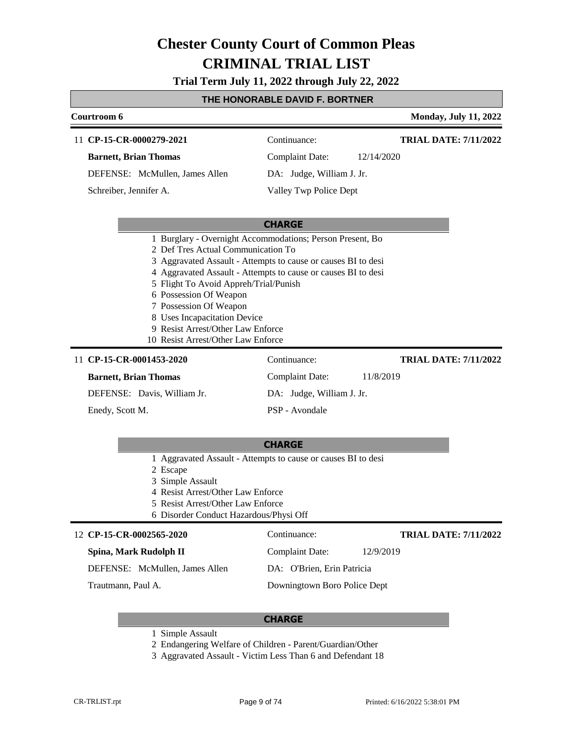**Trial Term July 11, 2022 through July 22, 2022**

# **THE HONORABLE DAVID F. BORTNER**

| Courtroom 6                                                                                                                                                                                                                                                                                                                                                                                                                               |                           | <b>Monday, July 11, 2022</b> |
|-------------------------------------------------------------------------------------------------------------------------------------------------------------------------------------------------------------------------------------------------------------------------------------------------------------------------------------------------------------------------------------------------------------------------------------------|---------------------------|------------------------------|
| 11 CP-15-CR-0000279-2021                                                                                                                                                                                                                                                                                                                                                                                                                  | Continuance:              | <b>TRIAL DATE: 7/11/2022</b> |
| <b>Barnett, Brian Thomas</b>                                                                                                                                                                                                                                                                                                                                                                                                              | <b>Complaint Date:</b>    | 12/14/2020                   |
| DEFENSE: McMullen, James Allen                                                                                                                                                                                                                                                                                                                                                                                                            | DA: Judge, William J. Jr. |                              |
| Schreiber, Jennifer A.                                                                                                                                                                                                                                                                                                                                                                                                                    | Valley Twp Police Dept    |                              |
|                                                                                                                                                                                                                                                                                                                                                                                                                                           |                           |                              |
|                                                                                                                                                                                                                                                                                                                                                                                                                                           | <b>CHARGE</b>             |                              |
| 1 Burglary - Overnight Accommodations; Person Present, Bo<br>2 Def Tres Actual Communication To<br>3 Aggravated Assault - Attempts to cause or causes BI to desi<br>4 Aggravated Assault - Attempts to cause or causes BI to desi<br>5 Flight To Avoid Appreh/Trial/Punish<br>6 Possession Of Weapon<br>7 Possession Of Weapon<br>8 Uses Incapacitation Device<br>9 Resist Arrest/Other Law Enforce<br>10 Resist Arrest/Other Law Enforce |                           |                              |
| 11 CP-15-CR-0001453-2020                                                                                                                                                                                                                                                                                                                                                                                                                  | Continuance:              | <b>TRIAL DATE: 7/11/2022</b> |
| <b>Barnett, Brian Thomas</b>                                                                                                                                                                                                                                                                                                                                                                                                              | <b>Complaint Date:</b>    | 11/8/2019                    |
| DEFENSE: Davis, William Jr.                                                                                                                                                                                                                                                                                                                                                                                                               | DA: Judge, William J. Jr. |                              |
| Enedy, Scott M.                                                                                                                                                                                                                                                                                                                                                                                                                           | PSP - Avondale            |                              |
|                                                                                                                                                                                                                                                                                                                                                                                                                                           |                           |                              |
|                                                                                                                                                                                                                                                                                                                                                                                                                                           | <b>CHARGE</b>             |                              |
| 1 Aggravated Assault - Attempts to cause or causes BI to desi<br>2 Escape<br>3 Simple Assault<br>4 Resist Arrest/Other Law Enforce<br>5 Resist Arrest/Other Law Enforce<br>6 Disorder Conduct Hazardous/Physi Off                                                                                                                                                                                                                         |                           |                              |
| 12 CP-15-CR-0002565-2020                                                                                                                                                                                                                                                                                                                                                                                                                  | Continuance:              | <b>TRIAL DATE: 7/11/2022</b> |
| Spina, Mark Rudolph II                                                                                                                                                                                                                                                                                                                                                                                                                    | Complaint Date:           | 12/9/2019                    |

DEFENSE: McMullen, James Allen

Trautmann, Paul A.

DA: O'Brien, Erin Patricia

Downingtown Boro Police Dept

- 1 Simple Assault
- 2 Endangering Welfare of Children Parent/Guardian/Other
- 3 Aggravated Assault Victim Less Than 6 and Defendant 18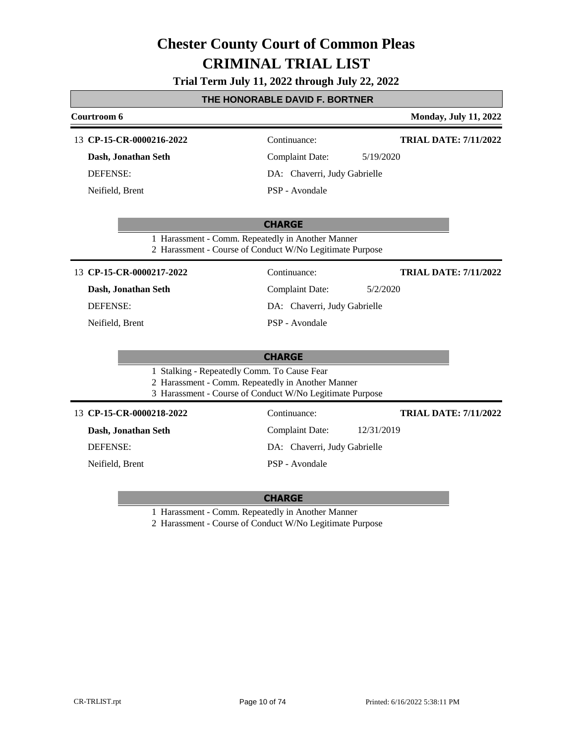**Trial Term July 11, 2022 through July 22, 2022**

## **THE HONORABLE DAVID F. BORTNER**

| Courtroom 6              |                                                                                                                                                              | <b>Monday, July 11, 2022</b> |  |
|--------------------------|--------------------------------------------------------------------------------------------------------------------------------------------------------------|------------------------------|--|
| 13 CP-15-CR-0000216-2022 | Continuance:                                                                                                                                                 | <b>TRIAL DATE: 7/11/2022</b> |  |
| Dash, Jonathan Seth      | <b>Complaint Date:</b>                                                                                                                                       | 5/19/2020                    |  |
| <b>DEFENSE:</b>          | DA: Chaverri, Judy Gabrielle                                                                                                                                 |                              |  |
| Neifield, Brent          | PSP - Avondale                                                                                                                                               |                              |  |
|                          | <b>CHARGE</b><br>1 Harassment - Comm. Repeatedly in Another Manner<br>2 Harassment - Course of Conduct W/No Legitimate Purpose                               |                              |  |
| 13 CP-15-CR-0000217-2022 | Continuance:                                                                                                                                                 | <b>TRIAL DATE: 7/11/2022</b> |  |
| Dash, Jonathan Seth      | <b>Complaint Date:</b>                                                                                                                                       | 5/2/2020                     |  |
| <b>DEFENSE:</b>          |                                                                                                                                                              | DA: Chaverri, Judy Gabrielle |  |
| Neifield, Brent          | PSP - Avondale                                                                                                                                               |                              |  |
|                          | <b>CHARGE</b>                                                                                                                                                |                              |  |
|                          | 1 Stalking - Repeatedly Comm. To Cause Fear<br>2 Harassment - Comm. Repeatedly in Another Manner<br>3 Harassment - Course of Conduct W/No Legitimate Purpose |                              |  |
| 13 CP-15-CR-0000218-2022 | Continuance:                                                                                                                                                 | <b>TRIAL DATE: 7/11/2022</b> |  |
| Dash, Jonathan Seth      | <b>Complaint Date:</b>                                                                                                                                       | 12/31/2019                   |  |
| <b>DEFENSE:</b>          | DA: Chaverri, Judy Gabrielle                                                                                                                                 |                              |  |
| Neifield, Brent          | PSP - Avondale                                                                                                                                               |                              |  |
|                          |                                                                                                                                                              |                              |  |

# **CHARGE**

1 Harassment - Comm. Repeatedly in Another Manner

2 Harassment - Course of Conduct W/No Legitimate Purpose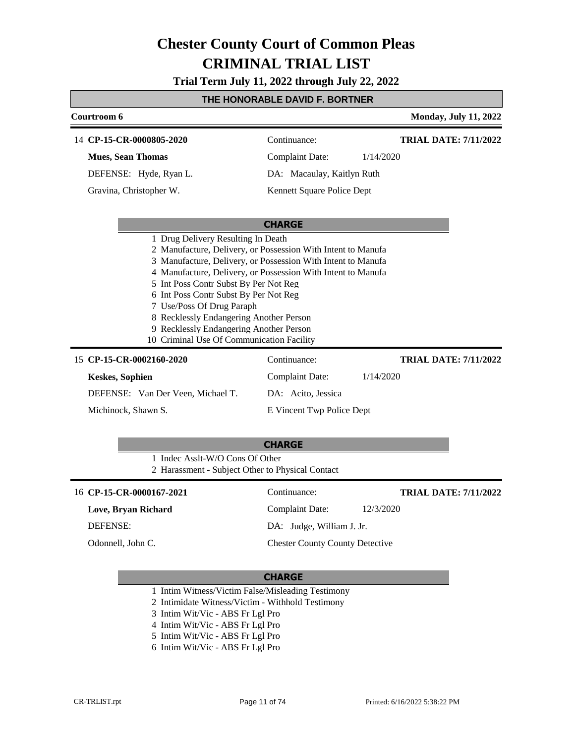**Trial Term July 11, 2022 through July 22, 2022**

### **THE HONORABLE DAVID F. BORTNER**

| Courtroom 6                                                                                                                                                                                                                                    |                                                                                                                                                                                              | <b>Monday, July 11, 2022</b> |
|------------------------------------------------------------------------------------------------------------------------------------------------------------------------------------------------------------------------------------------------|----------------------------------------------------------------------------------------------------------------------------------------------------------------------------------------------|------------------------------|
| 14 CP-15-CR-0000805-2020                                                                                                                                                                                                                       | Continuance:                                                                                                                                                                                 | <b>TRIAL DATE: 7/11/2022</b> |
| <b>Mues, Sean Thomas</b>                                                                                                                                                                                                                       | <b>Complaint Date:</b>                                                                                                                                                                       | 1/14/2020                    |
| DEFENSE: Hyde, Ryan L.                                                                                                                                                                                                                         | DA: Macaulay, Kaitlyn Ruth                                                                                                                                                                   |                              |
| Gravina, Christopher W.                                                                                                                                                                                                                        | Kennett Square Police Dept                                                                                                                                                                   |                              |
|                                                                                                                                                                                                                                                |                                                                                                                                                                                              |                              |
|                                                                                                                                                                                                                                                | <b>CHARGE</b>                                                                                                                                                                                |                              |
| 5 Int Poss Contr Subst By Per Not Reg<br>6 Int Poss Contr Subst By Per Not Reg<br>7 Use/Poss Of Drug Paraph<br>8 Recklessly Endangering Another Person<br>9 Recklessly Endangering Another Person<br>10 Criminal Use Of Communication Facility | 2 Manufacture, Delivery, or Possession With Intent to Manufa<br>3 Manufacture, Delivery, or Possession With Intent to Manufa<br>4 Manufacture, Delivery, or Possession With Intent to Manufa |                              |
| 15 CP-15-CR-0002160-2020                                                                                                                                                                                                                       | Continuance:                                                                                                                                                                                 | <b>TRIAL DATE: 7/11/2022</b> |
| <b>Keskes, Sophien</b>                                                                                                                                                                                                                         | <b>Complaint Date:</b>                                                                                                                                                                       | 1/14/2020                    |
| DEFENSE: Van Der Veen, Michael T.                                                                                                                                                                                                              | DA: Acito, Jessica                                                                                                                                                                           |                              |
| Michinock, Shawn S.                                                                                                                                                                                                                            | E Vincent Twp Police Dept                                                                                                                                                                    |                              |
|                                                                                                                                                                                                                                                |                                                                                                                                                                                              |                              |
|                                                                                                                                                                                                                                                | <b>CHARGE</b>                                                                                                                                                                                |                              |
| 1 Indec Asslt-W/O Cons Of Other                                                                                                                                                                                                                | 2 Harassment - Subject Other to Physical Contact                                                                                                                                             |                              |
| 16 CP-15-CR-0000167-2021                                                                                                                                                                                                                       | Continuance:                                                                                                                                                                                 | <b>TRIAL DATE: 7/11/2022</b> |
| Love, Bryan Richard                                                                                                                                                                                                                            | <b>Complaint Date:</b>                                                                                                                                                                       | 12/3/2020                    |
| DEFENSE:                                                                                                                                                                                                                                       | DA: Judge, William J. Jr.                                                                                                                                                                    |                              |
| Odonnell, John C.                                                                                                                                                                                                                              | <b>Chester County County Detective</b>                                                                                                                                                       |                              |

### **CHARGE**

1 Intim Witness/Victim False/Misleading Testimony

2 Intimidate Witness/Victim - Withhold Testimony

- 3 Intim Wit/Vic ABS Fr Lgl Pro
- 4 Intim Wit/Vic ABS Fr Lgl Pro
- 5 Intim Wit/Vic ABS Fr Lgl Pro
- 6 Intim Wit/Vic ABS Fr Lgl Pro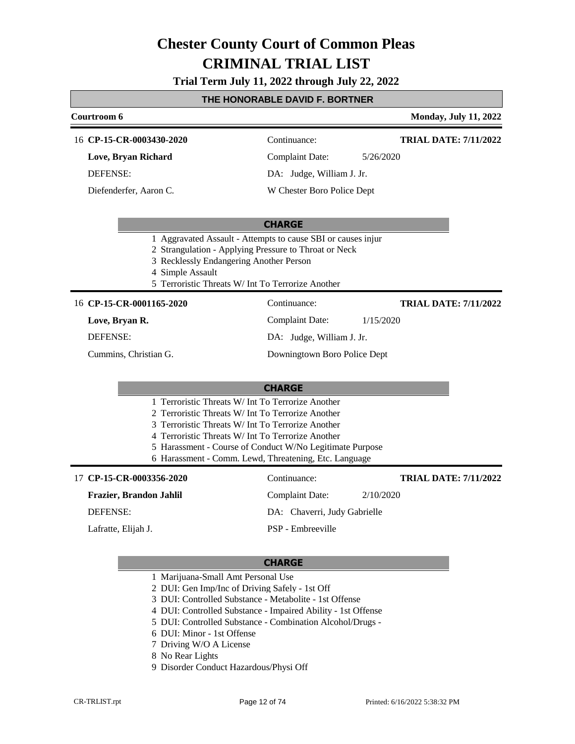**Trial Term July 11, 2022 through July 22, 2022**

|                                                                                                                                                                                                                  | THE HONORABLE DAVID F. BORTNER                                                                                        |                              |
|------------------------------------------------------------------------------------------------------------------------------------------------------------------------------------------------------------------|-----------------------------------------------------------------------------------------------------------------------|------------------------------|
| Courtroom 6                                                                                                                                                                                                      |                                                                                                                       | <b>Monday, July 11, 2022</b> |
| 16 CP-15-CR-0003430-2020                                                                                                                                                                                         | Continuance:                                                                                                          | <b>TRIAL DATE: 7/11/2022</b> |
| Love, Bryan Richard                                                                                                                                                                                              | <b>Complaint Date:</b>                                                                                                | 5/26/2020                    |
| <b>DEFENSE:</b>                                                                                                                                                                                                  | DA: Judge, William J. Jr.                                                                                             |                              |
| Diefenderfer, Aaron C.                                                                                                                                                                                           | W Chester Boro Police Dept                                                                                            |                              |
|                                                                                                                                                                                                                  | <b>CHARGE</b>                                                                                                         |                              |
| 3 Recklessly Endangering Another Person<br>4 Simple Assault<br>5 Terroristic Threats W/ Int To Terrorize Another                                                                                                 | 1 Aggravated Assault - Attempts to cause SBI or causes injur<br>2 Strangulation - Applying Pressure to Throat or Neck |                              |
| 16 CP-15-CR-0001165-2020                                                                                                                                                                                         | Continuance:                                                                                                          | <b>TRIAL DATE: 7/11/2022</b> |
| Love, Bryan R.                                                                                                                                                                                                   | <b>Complaint Date:</b>                                                                                                | 1/15/2020                    |
| <b>DEFENSE:</b>                                                                                                                                                                                                  | DA: Judge, William J. Jr.                                                                                             |                              |
| Cummins, Christian G.                                                                                                                                                                                            | Downingtown Boro Police Dept                                                                                          |                              |
|                                                                                                                                                                                                                  | <b>CHARGE</b>                                                                                                         |                              |
| 1 Terroristic Threats W/ Int To Terrorize Another<br>2 Terroristic Threats W/ Int To Terrorize Another<br>3 Terroristic Threats W/ Int To Terrorize Another<br>4 Terroristic Threats W/ Int To Terrorize Another | 5 Harassment - Course of Conduct W/No Legitimate Purpose<br>6 Harassment - Comm. Lewd, Threatening, Etc. Language     |                              |
| 17 CP-15-CR-0003356-2020                                                                                                                                                                                         | Continuance:                                                                                                          | <b>TRIAL DATE: 7/11/2022</b> |
| Frazier, Brandon Jahlil                                                                                                                                                                                          | <b>Complaint Date:</b>                                                                                                | 2/10/2020                    |
| DEFENSE:                                                                                                                                                                                                         | DA: Chaverri, Judy Gabrielle                                                                                          |                              |
| Lafratte, Elijah J.                                                                                                                                                                                              | PSP - Embreeville                                                                                                     |                              |
| 1 Marijuana-Small Amt Personal Use<br>2 DUI: Gen Imp/Inc of Driving Safely - 1st Off                                                                                                                             | <b>CHARGE</b>                                                                                                         |                              |

3 DUI: Controlled Substance - Metabolite - 1st Offense

4 DUI: Controlled Substance - Impaired Ability - 1st Offense

5 DUI: Controlled Substance - Combination Alcohol/Drugs -

- 6 DUI: Minor 1st Offense
- 7 Driving W/O A License
- 8 No Rear Lights
- 9 Disorder Conduct Hazardous/Physi Off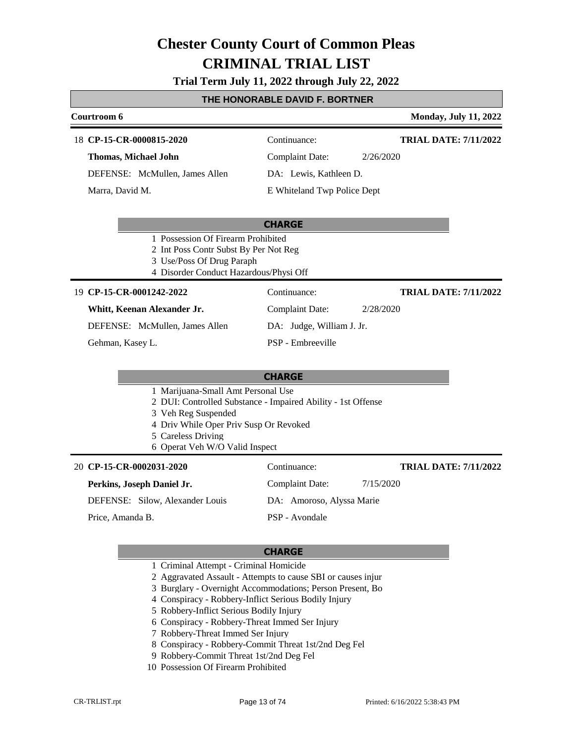# **Trial Term July 11, 2022 through July 22, 2022**

## **THE HONORABLE DAVID F. BORTNER**

| Courtroom 6                                                                                                                                                                                                                 |                             | <b>Monday, July 11, 2022</b> |
|-----------------------------------------------------------------------------------------------------------------------------------------------------------------------------------------------------------------------------|-----------------------------|------------------------------|
| 18 CP-15-CR-0000815-2020                                                                                                                                                                                                    | Continuance:                | <b>TRIAL DATE: 7/11/2022</b> |
| <b>Thomas, Michael John</b>                                                                                                                                                                                                 | <b>Complaint Date:</b>      | 2/26/2020                    |
| DEFENSE: McMullen, James Allen                                                                                                                                                                                              | DA: Lewis, Kathleen D.      |                              |
| Marra, David M.                                                                                                                                                                                                             | E Whiteland Twp Police Dept |                              |
|                                                                                                                                                                                                                             | <b>CHARGE</b>               |                              |
| 1 Possession Of Firearm Prohibited<br>2 Int Poss Contr Subst By Per Not Reg<br>3 Use/Poss Of Drug Paraph<br>4 Disorder Conduct Hazardous/Physi Off                                                                          |                             |                              |
| 19 CP-15-CR-0001242-2022                                                                                                                                                                                                    | Continuance:                | <b>TRIAL DATE: 7/11/2022</b> |
| Whitt, Keenan Alexander Jr.                                                                                                                                                                                                 | <b>Complaint Date:</b>      | 2/28/2020                    |
| DEFENSE: McMullen, James Allen                                                                                                                                                                                              | DA: Judge, William J. Jr.   |                              |
| Gehman, Kasey L.                                                                                                                                                                                                            | PSP - Embreeville           |                              |
|                                                                                                                                                                                                                             | <b>CHARGE</b>               |                              |
| 1 Marijuana-Small Amt Personal Use<br>2 DUI: Controlled Substance - Impaired Ability - 1st Offense<br>3 Veh Reg Suspended<br>4 Driv While Oper Priv Susp Or Revoked<br>5 Careless Driving<br>6 Operat Veh W/O Valid Inspect |                             |                              |
| 20 CP-15-CR-0002031-2020                                                                                                                                                                                                    | Continuance:                | <b>TRIAL DATE: 7/11/2022</b> |
| Perkins, Joseph Daniel Jr.                                                                                                                                                                                                  | <b>Complaint Date:</b>      | 7/15/2020                    |
| DEFENSE: Silow, Alexander Louis                                                                                                                                                                                             | DA: Amoroso, Alyssa Marie   |                              |
| Price, Amanda B.                                                                                                                                                                                                            | PSP - Avondale              |                              |

- 1 Criminal Attempt Criminal Homicide
- 2 Aggravated Assault Attempts to cause SBI or causes injur
- 3 Burglary Overnight Accommodations; Person Present, Bo
- 4 Conspiracy Robbery-Inflict Serious Bodily Injury
- 5 Robbery-Inflict Serious Bodily Injury
- 6 Conspiracy Robbery-Threat Immed Ser Injury
- 7 Robbery-Threat Immed Ser Injury
- 8 Conspiracy Robbery-Commit Threat 1st/2nd Deg Fel
- 9 Robbery-Commit Threat 1st/2nd Deg Fel
- 10 Possession Of Firearm Prohibited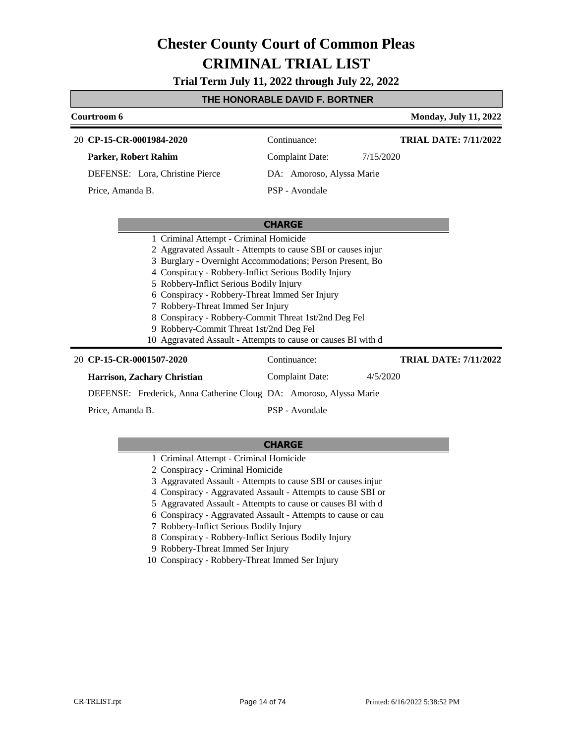**Trial Term July 11, 2022 through July 22, 2022**

### **THE HONORABLE DAVID F. BORTNER**

| Courtroom 6                                                   |                           |           | <b>Monday, July 11, 2022</b> |
|---------------------------------------------------------------|---------------------------|-----------|------------------------------|
| 20 CP-15-CR-0001984-2020                                      | Continuance:              |           | <b>TRIAL DATE: 7/11/2022</b> |
| Parker, Robert Rahim                                          | <b>Complaint Date:</b>    | 7/15/2020 |                              |
| DEFENSE: Lora, Christine Pierce                               | DA: Amoroso, Alyssa Marie |           |                              |
| Price, Amanda B.                                              | PSP - Avondale            |           |                              |
|                                                               |                           |           |                              |
|                                                               | <b>CHARGE</b>             |           |                              |
| 1 Criminal Attempt - Criminal Homicide                        |                           |           |                              |
| 2 Aggravated Assault - Attempts to cause SBI or causes injure |                           |           |                              |
| 3 Burglary - Overnight Accommodations; Person Present, Bo     |                           |           |                              |
| 4 Conspiracy - Robbery-Inflict Serious Bodily Injury          |                           |           |                              |
| 5 Robbery-Inflict Serious Bodily Injury                       |                           |           |                              |
| 6 Conspiracy - Robbery-Threat Immed Ser Injury                |                           |           |                              |
| 7 Robbery-Threat Immed Ser Injury                             |                           |           |                              |
| 8 Conspiracy - Robbery-Commit Threat 1st/2nd Deg Fel          |                           |           |                              |
| 9 Robbery-Commit Threat 1st/2nd Deg Fel                       |                           |           |                              |
| 10 Aggravated Assault - Attempts to cause or causes BI with d |                           |           |                              |
| 20 CP-15-CR-0001507-2020                                      | Continuance:              |           | <b>TRIAL DATE: 7/11/2022</b> |
| Harrison, Zachary Christian                                   | <b>Complaint Date:</b>    | 4/5/2020  |                              |

DEFENSE: Frederick, Anna Catherine Cloug DA: Amoroso, Alyssa Marie

Price, Amanda B.

PSP - Avondale

- 1 Criminal Attempt Criminal Homicide
- 2 Conspiracy Criminal Homicide
- 3 Aggravated Assault Attempts to cause SBI or causes injur
- 4 Conspiracy Aggravated Assault Attempts to cause SBI or
- 5 Aggravated Assault Attempts to cause or causes BI with d
- 6 Conspiracy Aggravated Assault Attempts to cause or cau
- 7 Robbery-Inflict Serious Bodily Injury
- 8 Conspiracy Robbery-Inflict Serious Bodily Injury
- 9 Robbery-Threat Immed Ser Injury
- 10 Conspiracy Robbery-Threat Immed Ser Injury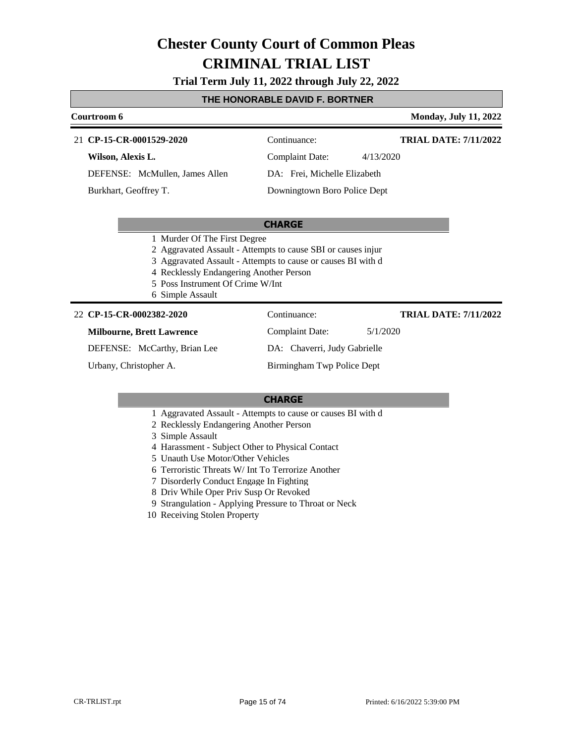**Trial Term July 11, 2022 through July 22, 2022**

### **THE HONORABLE DAVID F. BORTNER**

#### **Courtroom 6 Monday, July 11, 2022 CP-15-CR-0001529-2020** 21 Continuance: **Wilson, Alexis L.** DEFENSE: McMullen, James Allen Complaint Date: 4/13/2020 DA: Frei, Michelle Elizabeth Downingtown Boro Police Dept **TRIAL DATE: 7/11/2022** Burkhart, Geoffrey T.

#### **CHARGE**

- 1 Murder Of The First Degree
- 2 Aggravated Assault Attempts to cause SBI or causes injur
- 3 Aggravated Assault Attempts to cause or causes BI with d
- 4 Recklessly Endangering Another Person
- 5 Poss Instrument Of Crime W/Int
- 6 Simple Assault

#### **CP-15-CR-0002382-2020** 22 Continuance:

#### **Milbourne, Brett Lawrence**

DEFENSE: McCarthy, Brian Lee

Urbany, Christopher A.

DA: Chaverri, Judy Gabrielle Birmingham Twp Police Dept

Complaint Date: 5/1/2020

#### **CHARGE**

- 1 Aggravated Assault Attempts to cause or causes BI with d
- 2 Recklessly Endangering Another Person
- 3 Simple Assault
- 4 Harassment Subject Other to Physical Contact
- 5 Unauth Use Motor/Other Vehicles
- 6 Terroristic Threats W/ Int To Terrorize Another
- 7 Disorderly Conduct Engage In Fighting
- 8 Driv While Oper Priv Susp Or Revoked
- 9 Strangulation Applying Pressure to Throat or Neck
- 10 Receiving Stolen Property

**TRIAL DATE: 7/11/2022**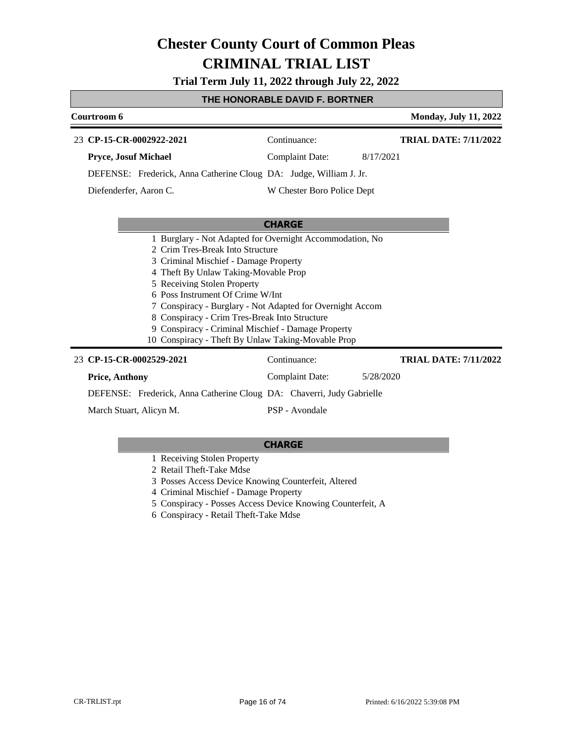**Trial Term July 11, 2022 through July 22, 2022**

### **THE HONORABLE DAVID F. BORTNER**

| Courtroom 6                                                                                                                                                                                                                                                                                                                                       |                                                                                                                       | <b>Monday, July 11, 2022</b> |
|---------------------------------------------------------------------------------------------------------------------------------------------------------------------------------------------------------------------------------------------------------------------------------------------------------------------------------------------------|-----------------------------------------------------------------------------------------------------------------------|------------------------------|
| 23 CP-15-CR-0002922-2021                                                                                                                                                                                                                                                                                                                          | Continuance:                                                                                                          | <b>TRIAL DATE: 7/11/2022</b> |
| Pryce, Josuf Michael                                                                                                                                                                                                                                                                                                                              | <b>Complaint Date:</b>                                                                                                | 8/17/2021                    |
| DEFENSE: Frederick, Anna Catherine Cloug DA: Judge, William J. Jr.                                                                                                                                                                                                                                                                                |                                                                                                                       |                              |
| Diefenderfer, Aaron C.                                                                                                                                                                                                                                                                                                                            | W Chester Boro Police Dept                                                                                            |                              |
|                                                                                                                                                                                                                                                                                                                                                   |                                                                                                                       |                              |
|                                                                                                                                                                                                                                                                                                                                                   | <b>CHARGE</b>                                                                                                         |                              |
| 2 Crim Tres-Break Into Structure<br>3 Criminal Mischief - Damage Property<br>4 Theft By Unlaw Taking-Movable Prop<br>5 Receiving Stolen Property<br>6 Poss Instrument Of Crime W/Int<br>8 Conspiracy - Crim Tres-Break Into Structure<br>9 Conspiracy - Criminal Mischief - Damage Property<br>10 Conspiracy - Theft By Unlaw Taking-Movable Prop | 1 Burglary - Not Adapted for Overnight Accommodation, No<br>7 Conspiracy - Burglary - Not Adapted for Overnight Accom |                              |
| 23 CP-15-CR-0002529-2021                                                                                                                                                                                                                                                                                                                          | Continuance:                                                                                                          | <b>TRIAL DATE: 7/11/2022</b> |
| <b>Price, Anthony</b>                                                                                                                                                                                                                                                                                                                             | <b>Complaint Date:</b>                                                                                                | 5/28/2020                    |
| DEFENSE: Frederick, Anna Catherine Cloug DA: Chaverri, Judy Gabrielle                                                                                                                                                                                                                                                                             |                                                                                                                       |                              |
| March Stuart, Alicyn M.                                                                                                                                                                                                                                                                                                                           | PSP - Avondale                                                                                                        |                              |

- 1 Receiving Stolen Property
- 2 Retail Theft-Take Mdse
- 3 Posses Access Device Knowing Counterfeit, Altered
- 4 Criminal Mischief Damage Property
- 5 Conspiracy Posses Access Device Knowing Counterfeit, A
- 6 Conspiracy Retail Theft-Take Mdse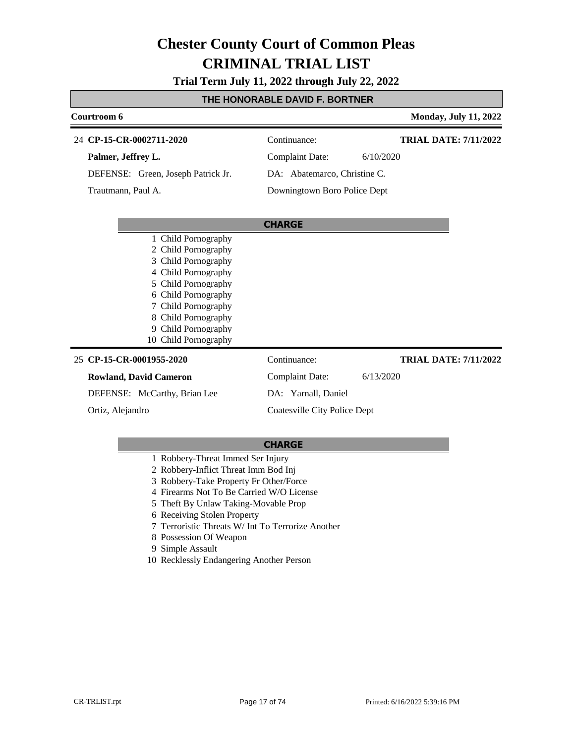**Trial Term July 11, 2022 through July 22, 2022**

## **THE HONORABLE DAVID F. BORTNER**

| Courtroom 6                        | <b>Monday, July 11, 2022</b>                 |
|------------------------------------|----------------------------------------------|
| 24 CP-15-CR-0002711-2020           | <b>TRIAL DATE: 7/11/2022</b><br>Continuance: |
| Palmer, Jeffrey L.                 | <b>Complaint Date:</b><br>6/10/2020          |
| DEFENSE: Green, Joseph Patrick Jr. | DA: Abatemarco, Christine C.                 |
| Trautmann, Paul A.                 | Downingtown Boro Police Dept                 |
|                                    | <b>CHARGE</b>                                |
| 1 Child Pornography                |                                              |
| 2 Child Pornography                |                                              |
| 3 Child Pornography                |                                              |
| 4 Child Pornography                |                                              |
| 5 Child Pornography                |                                              |
| 6 Child Pornography                |                                              |
| Child Pornography                  |                                              |
| 8 Child Pornography                |                                              |
| Child Pornography<br>9             |                                              |
| 10 Child Pornography               |                                              |
| 25 CP-15-CR-0001955-2020           | Continuance:<br><b>TRIAL DATE: 7/11/2022</b> |
| <b>Rowland, David Cameron</b>      | <b>Complaint Date:</b><br>6/13/2020          |
| DEFENSE: McCarthy, Brian Lee       | DA: Yarnall, Daniel                          |
| Ortiz, Alejandro                   | Coatesville City Police Dept                 |

#### **CHARGE**

### 1 Robbery-Threat Immed Ser Injury

- 2 Robbery-Inflict Threat Imm Bod Inj
- 3 Robbery-Take Property Fr Other/Force
- 4 Firearms Not To Be Carried W/O License
- 5 Theft By Unlaw Taking-Movable Prop
- 6 Receiving Stolen Property
- 7 Terroristic Threats W/ Int To Terrorize Another
- 8 Possession Of Weapon
- 9 Simple Assault
- 10 Recklessly Endangering Another Person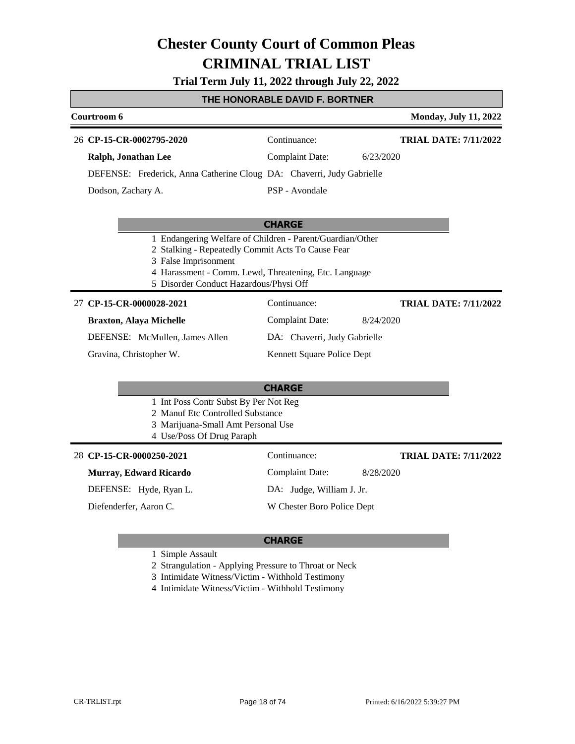### **Trial Term July 11, 2022 through July 22, 2022**

#### **THE HONORABLE DAVID F. BORTNER**

| <b>Courtroom 6</b>                                                    |                        |           | <b>Monday, July 11, 2022</b> |
|-----------------------------------------------------------------------|------------------------|-----------|------------------------------|
| 26 CP-15-CR-0002795-2020                                              | Continuance:           |           | <b>TRIAL DATE: 7/11/2022</b> |
| Ralph, Jonathan Lee                                                   | <b>Complaint Date:</b> | 6/23/2020 |                              |
| DEFENSE: Frederick, Anna Catherine Cloug DA: Chaverri, Judy Gabrielle |                        |           |                              |
| Dodson, Zachary A.                                                    | PSP - Avondale         |           |                              |
|                                                                       |                        |           |                              |

### **CHARGE**

- 1 Endangering Welfare of Children Parent/Guardian/Other
- 2 Stalking Repeatedly Commit Acts To Cause Fear
- 3 False Imprisonment
- 4 Harassment Comm. Lewd, Threatening, Etc. Language
- 5 Disorder Conduct Hazardous/Physi Off

#### **CP-15-CR-0000028-2021** 27 Continuance:

#### **Braxton, Alaya Michelle**

DEFENSE: McMullen, James Allen

Gravina, Christopher W.

### **CHARGE**

- 1 Int Poss Contr Subst By Per Not Reg
- 2 Manuf Etc Controlled Substance
- 3 Marijuana-Small Amt Personal Use
- 4 Use/Poss Of Drug Paraph

#### **CP-15-CR-0000250-2021** 28 Continuance:

#### **Murray, Edward Ricardo**

DEFENSE: Hyde, Ryan L.

Diefenderfer, Aaron C.

Complaint Date: 8/28/2020 DA: Judge, William J. Jr.

Complaint Date: 8/24/2020

DA: Chaverri, Judy Gabrielle Kennett Square Police Dept

W Chester Boro Police Dept

### **CHARGE**

1 Simple Assault

2 Strangulation - Applying Pressure to Throat or Neck

3 Intimidate Witness/Victim - Withhold Testimony

4 Intimidate Witness/Victim - Withhold Testimony

**TRIAL DATE: 7/11/2022**

**TRIAL DATE: 7/11/2022**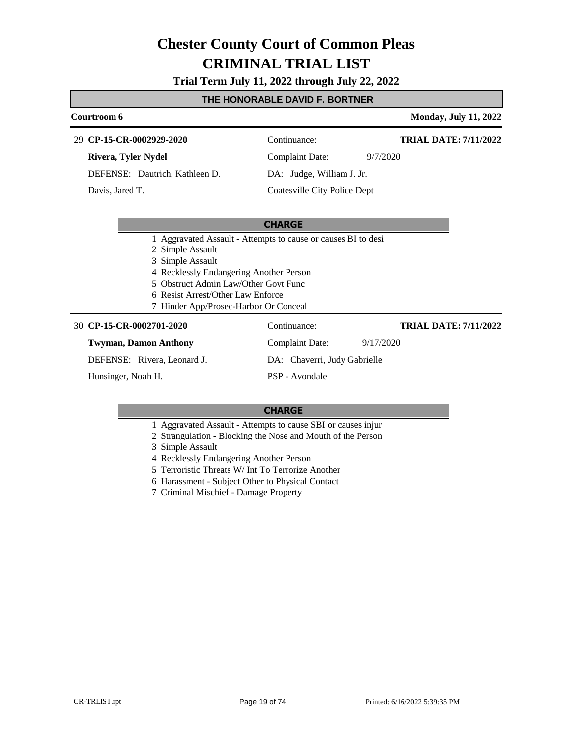**Trial Term July 11, 2022 through July 22, 2022**

### **THE HONORABLE DAVID F. BORTNER**

| Courtroom 6                    |                                    | <b>Monday, July 11, 2022</b> |
|--------------------------------|------------------------------------|------------------------------|
| 29 CP-15-CR-0002929-2020       | Continuance:                       | <b>TRIAL DATE: 7/11/2022</b> |
| Rivera, Tyler Nydel            | <b>Complaint Date:</b><br>9/7/2020 |                              |
| DEFENSE: Dautrich, Kathleen D. | DA: Judge, William J. Jr.          |                              |
| Davis, Jared T.                | Coatesville City Police Dept       |                              |
|                                |                                    |                              |
|                                | <b>CHARGE</b>                      |                              |

1 Aggravated Assault - Attempts to cause or causes BI to desi

- 2 Simple Assault
- 3 Simple Assault
- 4 Recklessly Endangering Another Person
- 5 Obstruct Admin Law/Other Govt Func
- 6 Resist Arrest/Other Law Enforce
- 7 Hinder App/Prosec-Harbor Or Conceal

| 30 CP-15-CR-0002701-2020     | Continuance:                 | <b>TRIAL DATE: 7/11/2022</b> |
|------------------------------|------------------------------|------------------------------|
| <b>Twyman, Damon Anthony</b> | Complaint Date:              | 9/17/2020                    |
| DEFENSE: Rivera, Leonard J.  | DA: Chaverri, Judy Gabrielle |                              |
| Hunsinger, Noah H.           | PSP - Avondale               |                              |

- 1 Aggravated Assault Attempts to cause SBI or causes injur
- 2 Strangulation Blocking the Nose and Mouth of the Person
- 3 Simple Assault
- 4 Recklessly Endangering Another Person
- 5 Terroristic Threats W/ Int To Terrorize Another
- 6 Harassment Subject Other to Physical Contact
- 7 Criminal Mischief Damage Property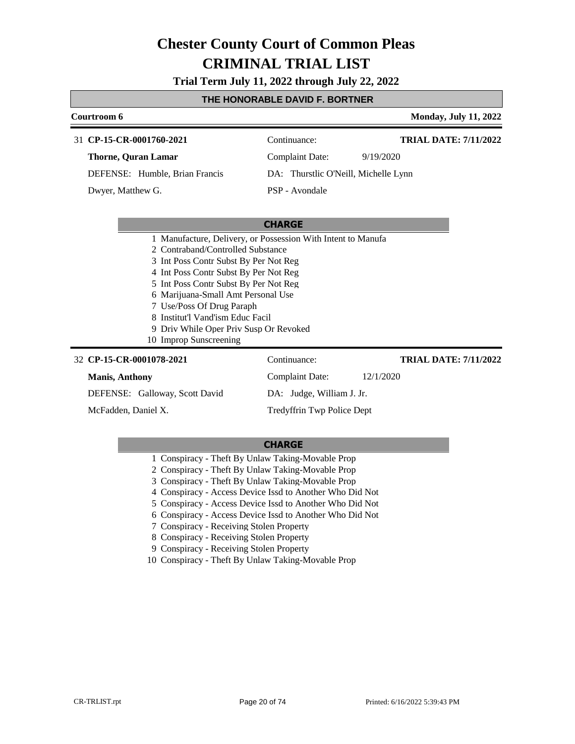**Trial Term July 11, 2022 through July 22, 2022**

### **THE HONORABLE DAVID F. BORTNER**

| Courtroom 6                                                                                                                                                                                                                                                                                                                                                                                              |                                      | <b>Monday, July 11, 2022</b> |
|----------------------------------------------------------------------------------------------------------------------------------------------------------------------------------------------------------------------------------------------------------------------------------------------------------------------------------------------------------------------------------------------------------|--------------------------------------|------------------------------|
| 31 CP-15-CR-0001760-2021                                                                                                                                                                                                                                                                                                                                                                                 | Continuance:                         | <b>TRIAL DATE: 7/11/2022</b> |
| <b>Thorne, Quran Lamar</b>                                                                                                                                                                                                                                                                                                                                                                               | <b>Complaint Date:</b>               | 9/19/2020                    |
| DEFENSE: Humble, Brian Francis                                                                                                                                                                                                                                                                                                                                                                           | DA: Thurstlic O'Neill, Michelle Lynn |                              |
| Dwyer, Matthew G.                                                                                                                                                                                                                                                                                                                                                                                        | PSP - Avondale                       |                              |
|                                                                                                                                                                                                                                                                                                                                                                                                          |                                      |                              |
|                                                                                                                                                                                                                                                                                                                                                                                                          | <b>CHARGE</b>                        |                              |
| 1 Manufacture, Delivery, or Possession With Intent to Manufa<br>2. Contraband/Controlled Substance<br>3 Int Poss Contr Subst By Per Not Reg<br>4 Int Poss Contr Subst By Per Not Reg<br>5 Int Poss Contr Subst By Per Not Reg<br>6 Marijuana-Small Amt Personal Use<br>7 Use/Poss Of Drug Paraph<br>8 Institut'l Vand'ism Educ Facil<br>9 Driv While Oper Priv Susp Or Revoked<br>10 Improp Sunscreening |                                      |                              |
| 32 CP-15-CR-0001078-2021                                                                                                                                                                                                                                                                                                                                                                                 | Continuance:                         | <b>TRIAL DATE: 7/11/2022</b> |
| <b>Manis, Anthony</b>                                                                                                                                                                                                                                                                                                                                                                                    | <b>Complaint Date:</b>               | 12/1/2020                    |
| DEFENSE: Galloway, Scott David                                                                                                                                                                                                                                                                                                                                                                           | DA: Judge, William J. Jr.            |                              |

McFadden, Daniel X.

#### **CHARGE**

Tredyffrin Twp Police Dept

- 1 Conspiracy Theft By Unlaw Taking-Movable Prop
- 2 Conspiracy Theft By Unlaw Taking-Movable Prop
- 3 Conspiracy Theft By Unlaw Taking-Movable Prop
- 4 Conspiracy Access Device Issd to Another Who Did Not
- 5 Conspiracy Access Device Issd to Another Who Did Not
- 6 Conspiracy Access Device Issd to Another Who Did Not
- 7 Conspiracy Receiving Stolen Property
- 8 Conspiracy Receiving Stolen Property
- 9 Conspiracy Receiving Stolen Property
- 10 Conspiracy Theft By Unlaw Taking-Movable Prop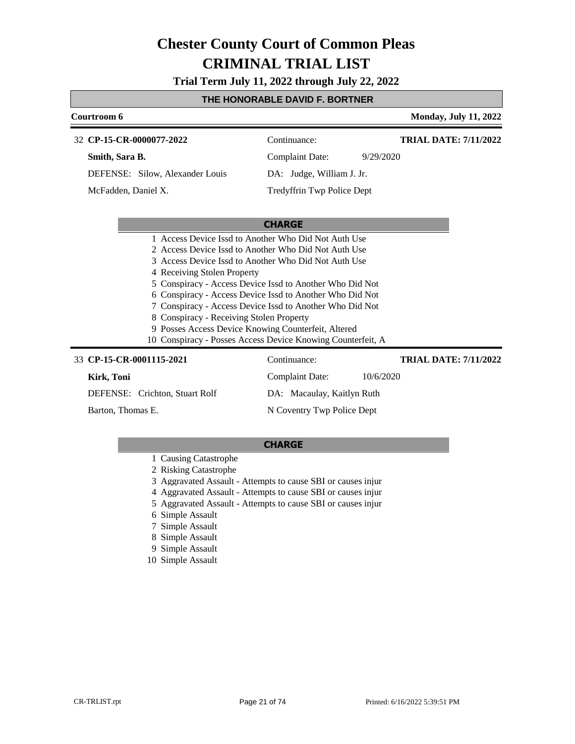**Trial Term July 11, 2022 through July 22, 2022**

### **THE HONORABLE DAVID F. BORTNER**

| Courtroom 6                                                                                                                                                                                                                                                                                            |                                                                                                                                                                                                                                                 | <b>Monday, July 11, 2022</b> |
|--------------------------------------------------------------------------------------------------------------------------------------------------------------------------------------------------------------------------------------------------------------------------------------------------------|-------------------------------------------------------------------------------------------------------------------------------------------------------------------------------------------------------------------------------------------------|------------------------------|
| 32 CP-15-CR-0000077-2022                                                                                                                                                                                                                                                                               | Continuance:                                                                                                                                                                                                                                    | <b>TRIAL DATE: 7/11/2022</b> |
| Smith, Sara B.                                                                                                                                                                                                                                                                                         | <b>Complaint Date:</b><br>9/29/2020                                                                                                                                                                                                             |                              |
| DEFENSE: Silow, Alexander Louis                                                                                                                                                                                                                                                                        | DA: Judge, William J. Jr.                                                                                                                                                                                                                       |                              |
| McFadden, Daniel X.                                                                                                                                                                                                                                                                                    | Tredyffrin Twp Police Dept                                                                                                                                                                                                                      |                              |
|                                                                                                                                                                                                                                                                                                        |                                                                                                                                                                                                                                                 |                              |
|                                                                                                                                                                                                                                                                                                        | <b>CHARGE</b>                                                                                                                                                                                                                                   |                              |
| 1 Access Device Issd to Another Who Did Not Auth Use<br>2 Access Device Issd to Another Who Did Not Auth Use<br>3 Access Device Issd to Another Who Did Not Auth Use<br>4 Receiving Stolen Property<br>8 Conspiracy - Receiving Stolen Property<br>9 Posses Access Device Knowing Counterfeit, Altered | 5 Conspiracy - Access Device Issd to Another Who Did Not<br>6 Conspiracy - Access Device Issd to Another Who Did Not<br>7 Conspiracy - Access Device Issd to Another Who Did Not<br>10 Conspiracy - Posses Access Device Knowing Counterfeit, A |                              |
| 33 CP-15-CR-0001115-2021                                                                                                                                                                                                                                                                               | Continuance:                                                                                                                                                                                                                                    | <b>TRIAL DATE: 7/11/2022</b> |
| Kirk, Toni                                                                                                                                                                                                                                                                                             | <b>Complaint Date:</b><br>10/6/2020                                                                                                                                                                                                             |                              |
| DEFENSE: Crichton, Stuart Rolf                                                                                                                                                                                                                                                                         | DA: Macaulay, Kaitlyn Ruth                                                                                                                                                                                                                      |                              |

Barton, Thomas E.

DA: Macaulay, Kaitlyn Ruth N Coventry Twp Police Dept

- 1 Causing Catastrophe
- 2 Risking Catastrophe
- 3 Aggravated Assault Attempts to cause SBI or causes injur
- 4 Aggravated Assault Attempts to cause SBI or causes injur
- 5 Aggravated Assault Attempts to cause SBI or causes injur
- 6 Simple Assault
- 7 Simple Assault
- 8 Simple Assault
- 9 Simple Assault
- 10 Simple Assault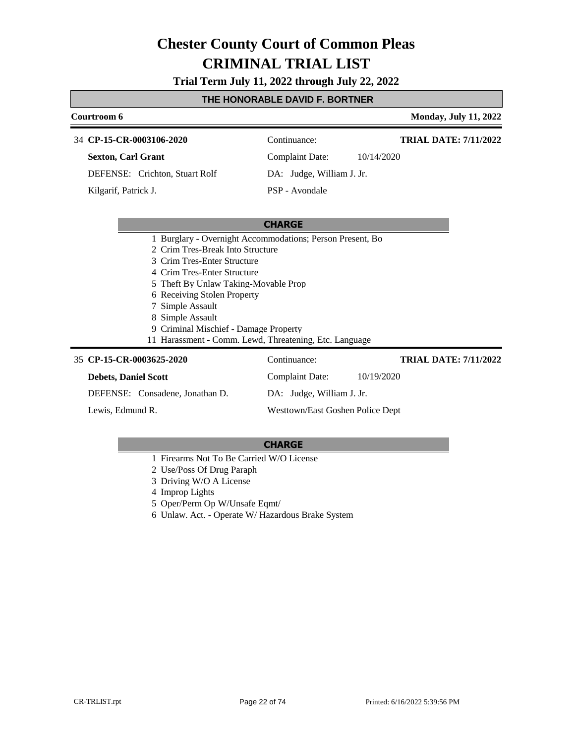**Trial Term July 11, 2022 through July 22, 2022**

### **THE HONORABLE DAVID F. BORTNER**

### **Courtroom 6 Monday, July 11, 2022 CHARGE CP-15-CR-0003106-2020** 34 Continuance: **Sexton, Carl Grant** DEFENSE: Crichton, Stuart Rolf Complaint Date: 10/14/2020 DA: Judge, William J. Jr. PSP - Avondale **TRIAL DATE: 7/11/2022** Kilgarif, Patrick J. 1 Burglary - Overnight Accommodations; Person Present, Bo 2 Crim Tres-Break Into Structure 3 Crim Tres-Enter Structure 4 Crim Tres-Enter Structure 5 Theft By Unlaw Taking-Movable Prop 6 Receiving Stolen Property 7 Simple Assault 8 Simple Assault 9 Criminal Mischief - Damage Property

11 Harassment - Comm. Lewd, Threatening, Etc. Language

| 35 CP-15-CR-0003625-2020        | Continuance:                     | <b>TRIAL DATE: 7/11/2022</b> |
|---------------------------------|----------------------------------|------------------------------|
| <b>Debets, Daniel Scott</b>     | Complaint Date:                  | 10/19/2020                   |
| DEFENSE: Consadene, Jonathan D. | DA: Judge, William J. Jr.        |                              |
| Lewis, Edmund R.                | Westtown/East Goshen Police Dept |                              |

- 1 Firearms Not To Be Carried W/O License
- 2 Use/Poss Of Drug Paraph
- 3 Driving W/O A License
- 4 Improp Lights
- 5 Oper/Perm Op W/Unsafe Eqmt/
- 6 Unlaw. Act. Operate W/ Hazardous Brake System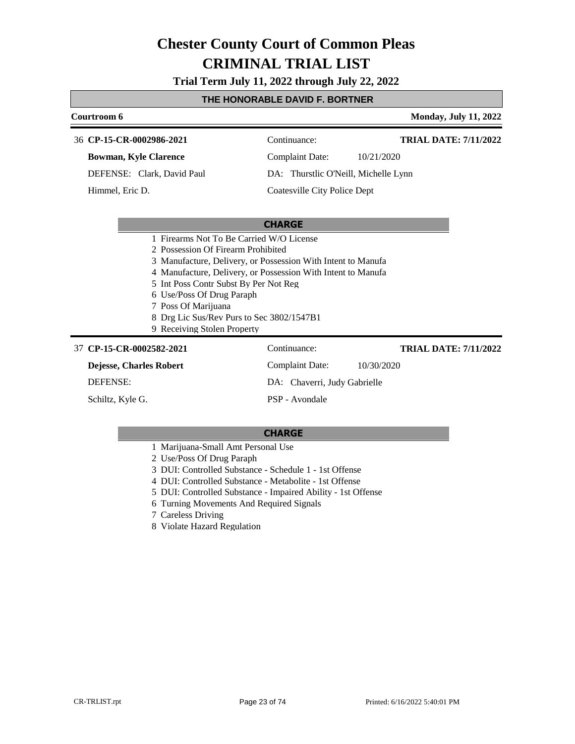**Trial Term July 11, 2022 through July 22, 2022**

### **THE HONORABLE DAVID F. BORTNER**

### **Courtroom 6 Monday, July 11, 2022 CHARGE CP-15-CR-0002986-2021** 36 Continuance: **Bowman, Kyle Clarence** DEFENSE: Clark, David Paul Complaint Date: 10/21/2020 DA: Thurstlic O'Neill, Michelle Lynn Coatesville City Police Dept **TRIAL DATE: 7/11/2022** Himmel, Eric D. 1 Firearms Not To Be Carried W/O License 2 Possession Of Firearm Prohibited 3 Manufacture, Delivery, or Possession With Intent to Manufa 4 Manufacture, Delivery, or Possession With Intent to Manufa 5 Int Poss Contr Subst By Per Not Reg 6 Use/Poss Of Drug Paraph 7 Poss Of Marijuana 8 Drg Lic Sus/Rev Purs to Sec 3802/1547B1 9 Receiving Stolen Property **CP-15-CR-0002582-2021** 37 Continuance: **Dejesse, Charles Robert** DEFENSE: Complaint Date: 10/30/2020 DA: Chaverri, Judy Gabrielle PSP - Avondale **TRIAL DATE: 7/11/2022** Schiltz, Kyle G.

- 1 Marijuana-Small Amt Personal Use
- 2 Use/Poss Of Drug Paraph
- 3 DUI: Controlled Substance Schedule 1 1st Offense
- 4 DUI: Controlled Substance Metabolite 1st Offense
- 5 DUI: Controlled Substance Impaired Ability 1st Offense
- 6 Turning Movements And Required Signals
- 7 Careless Driving
- 8 Violate Hazard Regulation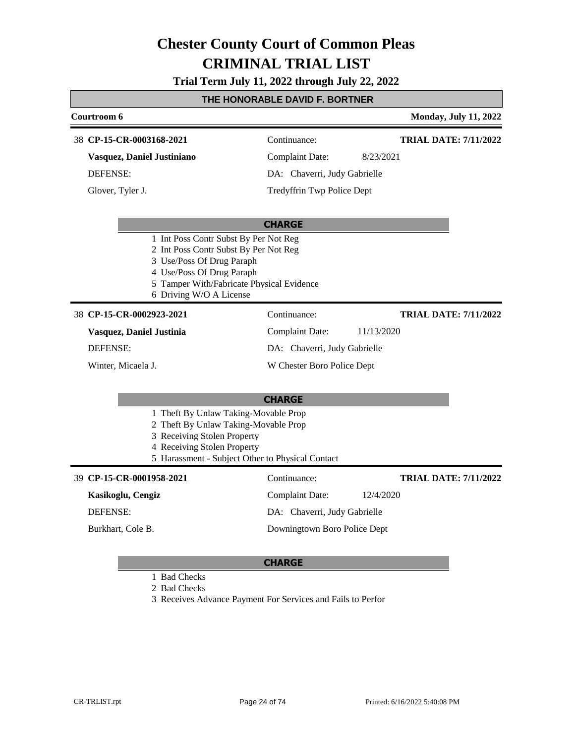**Trial Term July 11, 2022 through July 22, 2022**

# **THE HONORABLE DAVID F. BORTNER**

| Courtroom 6                |                                                                                                                                                                                                                  |                              | <b>Monday, July 11, 2022</b> |
|----------------------------|------------------------------------------------------------------------------------------------------------------------------------------------------------------------------------------------------------------|------------------------------|------------------------------|
| 38 CP-15-CR-0003168-2021   |                                                                                                                                                                                                                  | Continuance:                 | <b>TRIAL DATE: 7/11/2022</b> |
| Vasquez, Daniel Justiniano |                                                                                                                                                                                                                  | <b>Complaint Date:</b>       | 8/23/2021                    |
| <b>DEFENSE:</b>            |                                                                                                                                                                                                                  | DA: Chaverri, Judy Gabrielle |                              |
| Glover, Tyler J.           |                                                                                                                                                                                                                  | Tredyffrin Twp Police Dept   |                              |
|                            |                                                                                                                                                                                                                  | <b>CHARGE</b>                |                              |
|                            | 1 Int Poss Contr Subst By Per Not Reg<br>2 Int Poss Contr Subst By Per Not Reg<br>3 Use/Poss Of Drug Paraph<br>4 Use/Poss Of Drug Paraph<br>5 Tamper With/Fabricate Physical Evidence<br>6 Driving W/O A License |                              |                              |
| 38 CP-15-CR-0002923-2021   |                                                                                                                                                                                                                  | Continuance:                 | <b>TRIAL DATE: 7/11/2022</b> |
| Vasquez, Daniel Justinia   |                                                                                                                                                                                                                  | <b>Complaint Date:</b>       | 11/13/2020                   |
| <b>DEFENSE:</b>            |                                                                                                                                                                                                                  | DA: Chaverri, Judy Gabrielle |                              |
| Winter, Micaela J.         |                                                                                                                                                                                                                  | W Chester Boro Police Dept   |                              |
|                            |                                                                                                                                                                                                                  | <b>CHARGE</b>                |                              |
|                            | 1 Theft By Unlaw Taking-Movable Prop<br>2 Theft By Unlaw Taking-Movable Prop<br>3 Receiving Stolen Property<br>4 Receiving Stolen Property<br>5 Harassment - Subject Other to Physical Contact                   |                              |                              |
| 39 CP-15-CR-0001958-2021   |                                                                                                                                                                                                                  | Continuance:                 | <b>TRIAL DATE: 7/11/2022</b> |
| Kasikoglu, Cengiz          |                                                                                                                                                                                                                  | <b>Complaint Date:</b>       | 12/4/2020                    |
| <b>DEFENSE:</b>            |                                                                                                                                                                                                                  | DA: Chaverri, Judy Gabrielle |                              |
| Burkhart, Cole B.          |                                                                                                                                                                                                                  | Downingtown Boro Police Dept |                              |
|                            |                                                                                                                                                                                                                  |                              |                              |

#### **CHARGE**

1 Bad Checks

2 Bad Checks

3 Receives Advance Payment For Services and Fails to Perfor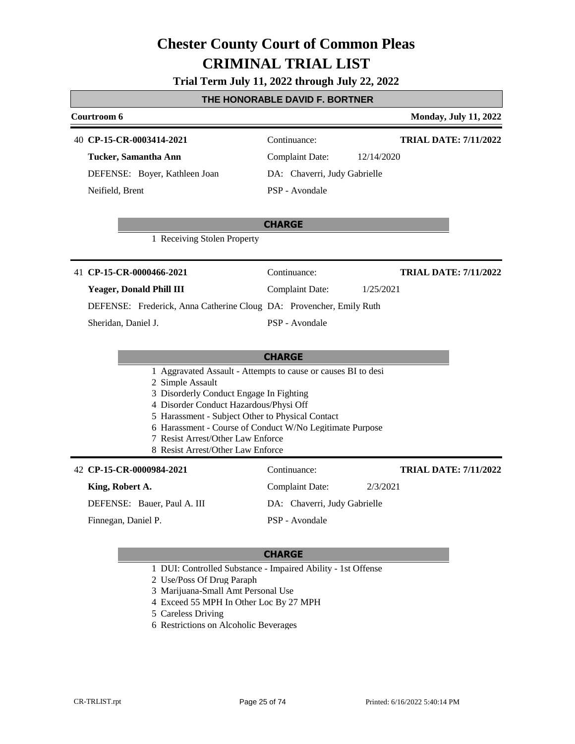# **Trial Term July 11, 2022 through July 22, 2022**

## **THE HONORABLE DAVID F. BORTNER**

| Courtroom 6              |                                                                                            |                              | <b>Monday, July 11, 2022</b> |
|--------------------------|--------------------------------------------------------------------------------------------|------------------------------|------------------------------|
| 40 CP-15-CR-0003414-2021 |                                                                                            | Continuance:                 | <b>TRIAL DATE: 7/11/2022</b> |
| Tucker, Samantha Ann     |                                                                                            | <b>Complaint Date:</b>       | 12/14/2020                   |
|                          | DEFENSE: Boyer, Kathleen Joan                                                              | DA: Chaverri, Judy Gabrielle |                              |
| Neifield, Brent          |                                                                                            | PSP - Avondale               |                              |
|                          |                                                                                            | <b>CHARGE</b>                |                              |
|                          | 1 Receiving Stolen Property                                                                |                              |                              |
| 41 CP-15-CR-0000466-2021 |                                                                                            | Continuance:                 | <b>TRIAL DATE: 7/11/2022</b> |
| Yeager, Donald Phill III |                                                                                            | <b>Complaint Date:</b>       | 1/25/2021                    |
|                          | DEFENSE: Frederick, Anna Catherine Cloug DA: Provencher, Emily Ruth                        |                              |                              |
| Sheridan, Daniel J.      |                                                                                            | PSP - Avondale               |                              |
|                          |                                                                                            |                              |                              |
|                          | 1 Aggravated Assault - Attempts to cause or causes BI to desi                              | <b>CHARGE</b>                |                              |
|                          | 2 Simple Assault                                                                           |                              |                              |
|                          | 3 Disorderly Conduct Engage In Fighting                                                    |                              |                              |
|                          | 4 Disorder Conduct Hazardous/Physi Off<br>5 Harassment - Subject Other to Physical Contact |                              |                              |
|                          | 6 Harassment - Course of Conduct W/No Legitimate Purpose                                   |                              |                              |
|                          | 7 Resist Arrest/Other Law Enforce<br>8 Resist Arrest/Other Law Enforce                     |                              |                              |
|                          |                                                                                            |                              |                              |
| 42 CP-15-CR-0000984-2021 |                                                                                            | Continuance:                 | <b>TRIAL DATE: 7/11/2022</b> |
| King, Robert A.          |                                                                                            | <b>Complaint Date:</b>       | 2/3/2021                     |
|                          | DEFENSE: Bauer, Paul A. III                                                                | DA: Chaverri, Judy Gabrielle |                              |
| Finnegan, Daniel P.      |                                                                                            | PSP - Avondale               |                              |
|                          |                                                                                            |                              |                              |

- 1 DUI: Controlled Substance Impaired Ability 1st Offense
- 2 Use/Poss Of Drug Paraph
- 3 Marijuana-Small Amt Personal Use
- 4 Exceed 55 MPH In Other Loc By 27 MPH
- 5 Careless Driving
- 6 Restrictions on Alcoholic Beverages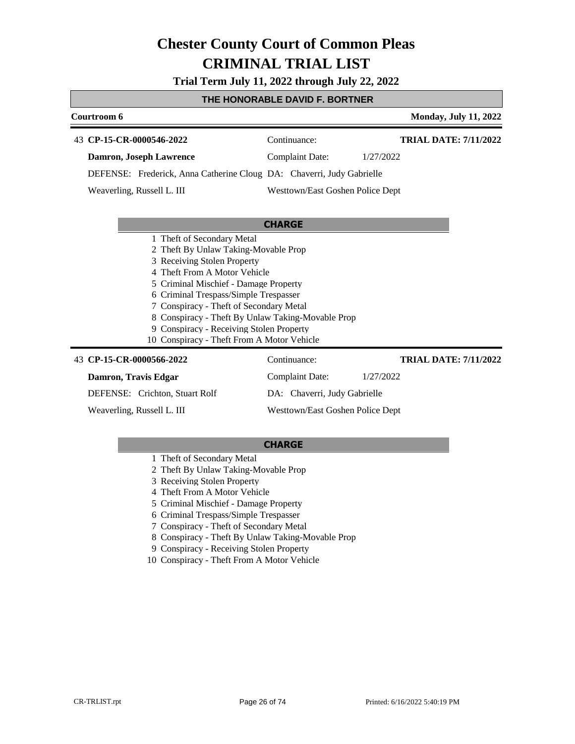**Trial Term July 11, 2022 through July 22, 2022**

### **THE HONORABLE DAVID F. BORTNER**

| Courtroom 6                                                                                                                                                                                                                                                                                                                                                                                                   |                                  | <b>Monday, July 11, 2022</b> |
|---------------------------------------------------------------------------------------------------------------------------------------------------------------------------------------------------------------------------------------------------------------------------------------------------------------------------------------------------------------------------------------------------------------|----------------------------------|------------------------------|
| 43 CP-15-CR-0000546-2022                                                                                                                                                                                                                                                                                                                                                                                      | Continuance:                     | <b>TRIAL DATE: 7/11/2022</b> |
| Damron, Joseph Lawrence                                                                                                                                                                                                                                                                                                                                                                                       | <b>Complaint Date:</b>           | 1/27/2022                    |
| DEFENSE: Frederick, Anna Catherine Cloug DA: Chaverri, Judy Gabrielle                                                                                                                                                                                                                                                                                                                                         |                                  |                              |
| Weaverling, Russell L. III                                                                                                                                                                                                                                                                                                                                                                                    | Westtown/East Goshen Police Dept |                              |
|                                                                                                                                                                                                                                                                                                                                                                                                               |                                  |                              |
|                                                                                                                                                                                                                                                                                                                                                                                                               | <b>CHARGE</b>                    |                              |
| 1 Theft of Secondary Metal<br>2 Theft By Unlaw Taking-Movable Prop<br>3 Receiving Stolen Property<br>4 Theft From A Motor Vehicle<br>5 Criminal Mischief - Damage Property<br>6 Criminal Trespass/Simple Trespasser<br>7 Conspiracy - Theft of Secondary Metal<br>8 Conspiracy - Theft By Unlaw Taking-Movable Prop<br>9 Conspiracy - Receiving Stolen Property<br>10 Conspiracy - Theft From A Motor Vehicle |                                  |                              |
| 43 CP-15-CR-0000566-2022                                                                                                                                                                                                                                                                                                                                                                                      | Continuance:                     | <b>TRIAL DATE: 7/11/2022</b> |
| Damron, Travis Edgar                                                                                                                                                                                                                                                                                                                                                                                          | Complaint Date:                  | 1/27/2022                    |
| DEFENSE: Crichton, Stuart Rolf                                                                                                                                                                                                                                                                                                                                                                                | DA: Chaverri, Judy Gabrielle     |                              |
| Weaverling, Russell L. III                                                                                                                                                                                                                                                                                                                                                                                    | Westtown/East Goshen Police Dept |                              |

- 1 Theft of Secondary Metal
- 2 Theft By Unlaw Taking-Movable Prop
- 3 Receiving Stolen Property
- 4 Theft From A Motor Vehicle
- 5 Criminal Mischief Damage Property
- 6 Criminal Trespass/Simple Trespasser
- 7 Conspiracy Theft of Secondary Metal
- 8 Conspiracy Theft By Unlaw Taking-Movable Prop
- 9 Conspiracy Receiving Stolen Property
- 10 Conspiracy Theft From A Motor Vehicle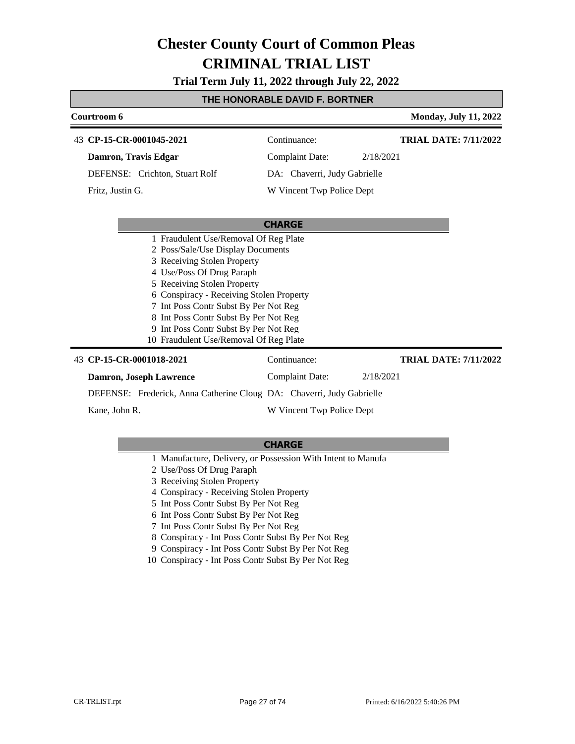**Trial Term July 11, 2022 through July 22, 2022**

## **THE HONORABLE DAVID F. BORTNER**

| Courtroom 6                                                           |                              |           | <b>Monday, July 11, 2022</b> |
|-----------------------------------------------------------------------|------------------------------|-----------|------------------------------|
| 43 CP-15-CR-0001045-2021                                              | Continuance:                 |           | <b>TRIAL DATE: 7/11/2022</b> |
| Damron, Travis Edgar                                                  | <b>Complaint Date:</b>       | 2/18/2021 |                              |
| DEFENSE: Crichton, Stuart Rolf                                        | DA: Chaverri, Judy Gabrielle |           |                              |
| Fritz, Justin G.                                                      | W Vincent Twp Police Dept    |           |                              |
|                                                                       |                              |           |                              |
|                                                                       | <b>CHARGE</b>                |           |                              |
| 1 Fraudulent Use/Removal Of Reg Plate                                 |                              |           |                              |
| 2 Poss/Sale/Use Display Documents                                     |                              |           |                              |
| 3 Receiving Stolen Property                                           |                              |           |                              |
| 4 Use/Poss Of Drug Paraph                                             |                              |           |                              |
| 5 Receiving Stolen Property                                           |                              |           |                              |
| 6 Conspiracy - Receiving Stolen Property                              |                              |           |                              |
| 7 Int Poss Contr Subst By Per Not Reg                                 |                              |           |                              |
| 8 Int Poss Contr Subst By Per Not Reg                                 |                              |           |                              |
| 9 Int Poss Contr Subst By Per Not Reg                                 |                              |           |                              |
| 10 Fraudulent Use/Removal Of Reg Plate                                |                              |           |                              |
| 43 CP-15-CR-0001018-2021                                              | Continuance:                 |           | <b>TRIAL DATE: 7/11/2022</b> |
| Damron, Joseph Lawrence                                               | <b>Complaint Date:</b>       | 2/18/2021 |                              |
| DEFENSE: Frederick, Anna Catherine Cloug DA: Chaverri, Judy Gabrielle |                              |           |                              |

Kane, John R.

W Vincent Twp Police Dept

- 1 Manufacture, Delivery, or Possession With Intent to Manufa
- 2 Use/Poss Of Drug Paraph
- 3 Receiving Stolen Property
- 4 Conspiracy Receiving Stolen Property
- 5 Int Poss Contr Subst By Per Not Reg
- 6 Int Poss Contr Subst By Per Not Reg
- 7 Int Poss Contr Subst By Per Not Reg
- 8 Conspiracy Int Poss Contr Subst By Per Not Reg
- 9 Conspiracy Int Poss Contr Subst By Per Not Reg
- 10 Conspiracy Int Poss Contr Subst By Per Not Reg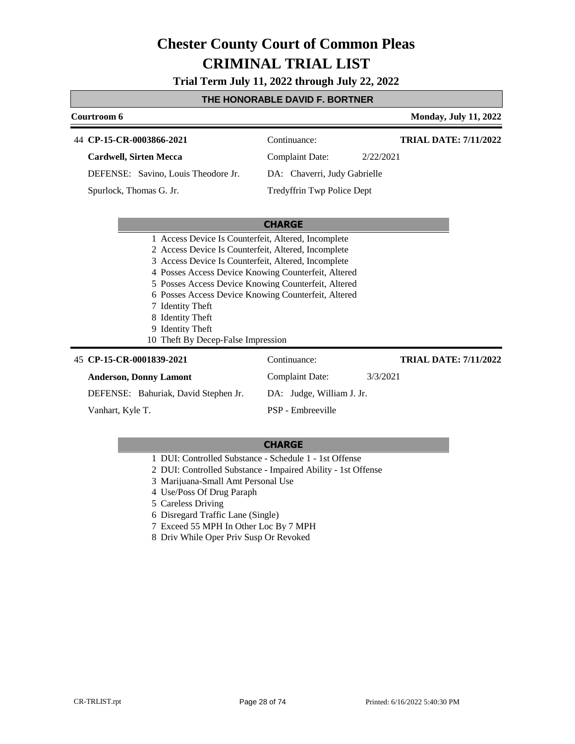**Trial Term July 11, 2022 through July 22, 2022**

### **THE HONORABLE DAVID F. BORTNER**

| Courtroom 6                                                                                                                                                       |                              | <b>Monday, July 11, 2022</b> |
|-------------------------------------------------------------------------------------------------------------------------------------------------------------------|------------------------------|------------------------------|
| 44 CP-15-CR-0003866-2021                                                                                                                                          | Continuance:                 | <b>TRIAL DATE: 7/11/2022</b> |
| <b>Cardwell, Sirten Mecca</b>                                                                                                                                     | <b>Complaint Date:</b>       | 2/22/2021                    |
| DEFENSE: Savino, Louis Theodore Jr.                                                                                                                               | DA: Chaverri, Judy Gabrielle |                              |
| Spurlock, Thomas G. Jr.                                                                                                                                           | Tredyffrin Twp Police Dept   |                              |
|                                                                                                                                                                   | <b>CHARGE</b>                |                              |
| 1 Access Device Is Counterfeit, Altered, Incomplete<br>2 Access Device Is Counterfeit, Altered, Incomplete<br>3 Access Device Is Counterfeit, Altered, Incomplete |                              |                              |
| 4 Posses Access Device Knowing Counterfeit, Altered                                                                                                               |                              |                              |
| 5 Posses Access Device Knowing Counterfeit, Altered                                                                                                               |                              |                              |
| 6 Posses Access Device Knowing Counterfeit, Altered                                                                                                               |                              |                              |
| 7 Identity Theft<br>8 Identity Theft                                                                                                                              |                              |                              |
| 9 Identity Theft                                                                                                                                                  |                              |                              |
| 10 Theft By Decep-False Impression                                                                                                                                |                              |                              |
| 45 CP-15-CR-0001839-2021                                                                                                                                          | Continuance:                 | <b>TRIAL DATE: 7/11/2022</b> |
| <b>Anderson, Donny Lamont</b>                                                                                                                                     | <b>Complaint Date:</b>       | 3/3/2021                     |
| DEFENSE: Bahuriak, David Stephen Jr.                                                                                                                              | DA: Judge, William J. Jr.    |                              |
| Vanhart, Kyle T.                                                                                                                                                  | PSP - Embreeville            |                              |

- 1 DUI: Controlled Substance Schedule 1 1st Offense
- 2 DUI: Controlled Substance Impaired Ability 1st Offense
- 3 Marijuana-Small Amt Personal Use
- 4 Use/Poss Of Drug Paraph
- 5 Careless Driving
- 6 Disregard Traffic Lane (Single)
- 7 Exceed 55 MPH In Other Loc By 7 MPH
- 8 Driv While Oper Priv Susp Or Revoked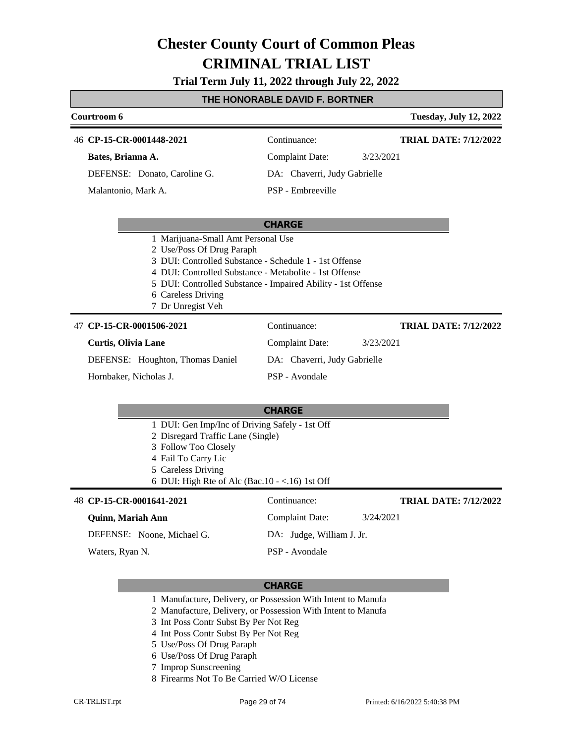**Trial Term July 11, 2022 through July 22, 2022**

### **THE HONORABLE DAVID F. BORTNER**

| Courtroom 6                                                                                                                                                                                                                    |                                                              | <b>Tuesday, July 12, 2022</b> |
|--------------------------------------------------------------------------------------------------------------------------------------------------------------------------------------------------------------------------------|--------------------------------------------------------------|-------------------------------|
| 46 CP-15-CR-0001448-2021                                                                                                                                                                                                       | Continuance:                                                 | <b>TRIAL DATE: 7/12/2022</b>  |
| Bates, Brianna A.                                                                                                                                                                                                              | <b>Complaint Date:</b><br>3/23/2021                          |                               |
| DEFENSE: Donato, Caroline G.                                                                                                                                                                                                   | DA: Chaverri, Judy Gabrielle                                 |                               |
| Malantonio, Mark A.                                                                                                                                                                                                            | PSP - Embreeville                                            |                               |
|                                                                                                                                                                                                                                | <b>CHARGE</b>                                                |                               |
| 1 Marijuana-Small Amt Personal Use<br>2 Use/Poss Of Drug Paraph<br>3 DUI: Controlled Substance - Schedule 1 - 1st Offense<br>4 DUI: Controlled Substance - Metabolite - 1st Offense<br>6 Careless Driving<br>7 Dr Unregist Veh | 5 DUI: Controlled Substance - Impaired Ability - 1st Offense |                               |
| 47 CP-15-CR-0001506-2021                                                                                                                                                                                                       | Continuance:                                                 | <b>TRIAL DATE: 7/12/2022</b>  |
| <b>Curtis, Olivia Lane</b>                                                                                                                                                                                                     | <b>Complaint Date:</b><br>3/23/2021                          |                               |
| DEFENSE: Houghton, Thomas Daniel                                                                                                                                                                                               | DA: Chaverri, Judy Gabrielle                                 |                               |
| Hornbaker, Nicholas J.                                                                                                                                                                                                         | PSP - Avondale                                               |                               |
|                                                                                                                                                                                                                                | <b>CHARGE</b>                                                |                               |
| 1 DUI: Gen Imp/Inc of Driving Safely - 1st Off<br>2 Disregard Traffic Lane (Single)<br>3 Follow Too Closely<br>4 Fail To Carry Lic<br>5 Careless Driving<br>6 DUI: High Rte of Alc (Bac.10 - <.16) 1st Off                     |                                                              |                               |
| 48 CP-15-CR-0001641-2021                                                                                                                                                                                                       | Continuance:                                                 | <b>TRIAL DATE: 7/12/2022</b>  |
| Quinn, Mariah Ann                                                                                                                                                                                                              | <b>Complaint Date:</b><br>3/24/2021                          |                               |
| DEFENSE: Noone, Michael G.                                                                                                                                                                                                     | DA: Judge, William J. Jr.                                    |                               |
| Waters, Ryan N.                                                                                                                                                                                                                | PSP - Avondale                                               |                               |
|                                                                                                                                                                                                                                | <b>CHARGE</b>                                                |                               |

1 Manufacture, Delivery, or Possession With Intent to Manufa

2 Manufacture, Delivery, or Possession With Intent to Manufa

- 3 Int Poss Contr Subst By Per Not Reg
- 4 Int Poss Contr Subst By Per Not Reg
- 5 Use/Poss Of Drug Paraph
- 6 Use/Poss Of Drug Paraph
- 7 Improp Sunscreening
- 8 Firearms Not To Be Carried W/O License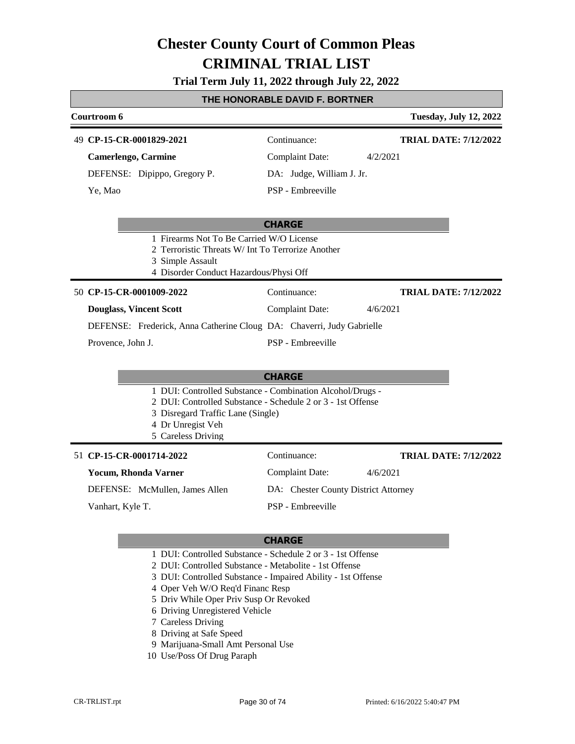# **Trial Term July 11, 2022 through July 22, 2022**

# **THE HONORABLE DAVID F. BORTNER**

| Courtroom 6                                                                                                                                                 |                                                                                                                          | <b>Tuesday, July 12, 2022</b> |
|-------------------------------------------------------------------------------------------------------------------------------------------------------------|--------------------------------------------------------------------------------------------------------------------------|-------------------------------|
| 49 CP-15-CR-0001829-2021                                                                                                                                    | Continuance:                                                                                                             | <b>TRIAL DATE: 7/12/2022</b>  |
| <b>Camerlengo, Carmine</b>                                                                                                                                  | <b>Complaint Date:</b>                                                                                                   | 4/2/2021                      |
| DEFENSE: Dipippo, Gregory P.                                                                                                                                | DA: Judge, William J. Jr.                                                                                                |                               |
| Ye, Mao                                                                                                                                                     | PSP - Embreeville                                                                                                        |                               |
|                                                                                                                                                             | <b>CHARGE</b>                                                                                                            |                               |
| 1 Firearms Not To Be Carried W/O License<br>2 Terroristic Threats W/ Int To Terrorize Another<br>3 Simple Assault<br>4 Disorder Conduct Hazardous/Physi Off |                                                                                                                          |                               |
| 50 CP-15-CR-0001009-2022                                                                                                                                    | Continuance:                                                                                                             | <b>TRIAL DATE: 7/12/2022</b>  |
| <b>Douglass, Vincent Scott</b>                                                                                                                              | <b>Complaint Date:</b>                                                                                                   | 4/6/2021                      |
| DEFENSE: Frederick, Anna Catherine Cloug DA: Chaverri, Judy Gabrielle                                                                                       |                                                                                                                          |                               |
| Provence, John J.                                                                                                                                           | PSP - Embreeville                                                                                                        |                               |
|                                                                                                                                                             | <b>CHARGE</b>                                                                                                            |                               |
| 3 Disregard Traffic Lane (Single)<br>4 Dr Unregist Veh<br>5 Careless Driving                                                                                | 1 DUI: Controlled Substance - Combination Alcohol/Drugs -<br>2 DUI: Controlled Substance - Schedule 2 or 3 - 1st Offense |                               |
| 51 CP-15-CR-0001714-2022                                                                                                                                    | Continuance:                                                                                                             | <b>TRIAL DATE: 7/12/2022</b>  |
| <b>Yocum, Rhonda Varner</b>                                                                                                                                 | <b>Complaint Date:</b>                                                                                                   | 4/6/2021                      |
| DEFENSE: McMullen, James Allen                                                                                                                              | DA: Chester County District Attorney                                                                                     |                               |
| Vanhart, Kyle T.                                                                                                                                            | PSP - Embreeville                                                                                                        |                               |
|                                                                                                                                                             |                                                                                                                          |                               |

- 1 DUI: Controlled Substance Schedule 2 or 3 1st Offense
- 2 DUI: Controlled Substance Metabolite 1st Offense
- 3 DUI: Controlled Substance Impaired Ability 1st Offense
- 4 Oper Veh W/O Req'd Financ Resp
- 5 Driv While Oper Priv Susp Or Revoked
- 6 Driving Unregistered Vehicle
- 7 Careless Driving
- 8 Driving at Safe Speed
- 9 Marijuana-Small Amt Personal Use
- 10 Use/Poss Of Drug Paraph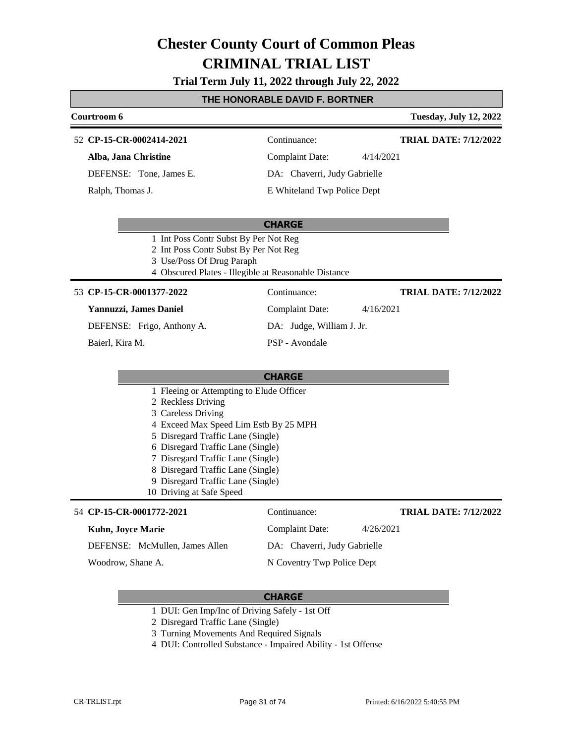#### **Trial Term July 11, 2022 through July 22, 2022**

#### **THE HONORABLE DAVID F. BORTNER**

#### **Courtroom 6 Tuesday, July 12, 2022 CP-15-CR-0002414-2021** 52 Continuance: **Alba, Jana Christine** Complaint Date: 4/14/2021 **TRIAL DATE: 7/12/2022**

DEFENSE: Tone, James E.

Ralph, Thomas J.

DA: Chaverri, Judy Gabrielle E Whiteland Twp Police Dept

#### **CHARGE**

- 1 Int Poss Contr Subst By Per Not Reg
- 2 Int Poss Contr Subst By Per Not Reg
- 3 Use/Poss Of Drug Paraph
- 4 Obscured Plates Illegible at Reasonable Distance

#### **CP-15-CR-0001377-2022** 53 Continuance:

#### **Yannuzzi, James Daniel**

DEFENSE: Frigo, Anthony A.

Baierl, Kira M.

DA: Judge, William J. Jr.

PSP - Avondale

#### **CHARGE**

- 1 Fleeing or Attempting to Elude Officer
- 2 Reckless Driving
- 3 Careless Driving
- 4 Exceed Max Speed Lim Estb By 25 MPH
- 5 Disregard Traffic Lane (Single)
- 6 Disregard Traffic Lane (Single)
- 7 Disregard Traffic Lane (Single)
- 8 Disregard Traffic Lane (Single)
- 9 Disregard Traffic Lane (Single) 10 Driving at Safe Speed

#### **CP-15-CR-0001772-2021** 54 Continuance:

### **Kuhn, Joyce Marie**

DEFENSE: McMullen, James Allen

Woodrow, Shane A.

N Coventry Twp Police Dept

Complaint Date: 4/26/2021 DA: Chaverri, Judy Gabrielle

#### **CHARGE**

1 DUI: Gen Imp/Inc of Driving Safely - 1st Off

2 Disregard Traffic Lane (Single)

- 3 Turning Movements And Required Signals
- 4 DUI: Controlled Substance Impaired Ability 1st Offense

**TRIAL DATE: 7/12/2022**

**TRIAL DATE: 7/12/2022**

- Complaint Date: 4/16/2021
	-
- 
-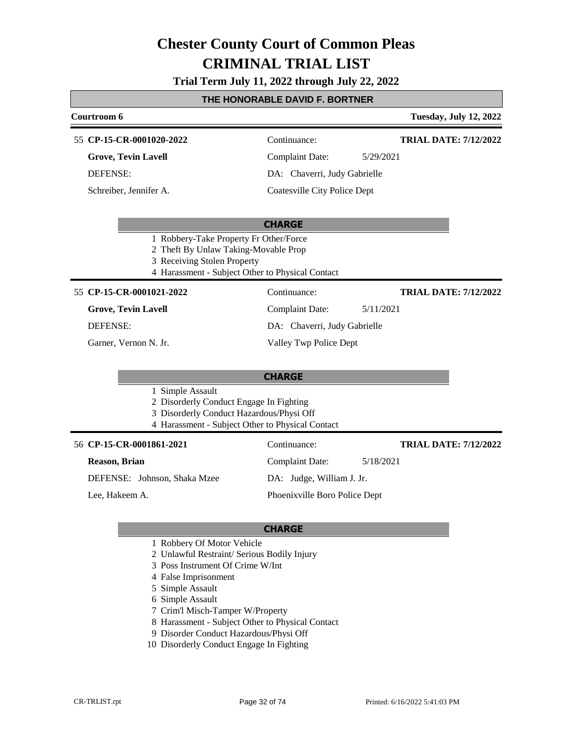### **Trial Term July 11, 2022 through July 22, 2022**

### **THE HONORABLE DAVID F. BORTNER**

|                       | <u>I HE HONORABLE DAVID F. BORTNER</u>                                                                                                                            |                                     |                               |  |
|-----------------------|-------------------------------------------------------------------------------------------------------------------------------------------------------------------|-------------------------------------|-------------------------------|--|
| Courtroom 6           |                                                                                                                                                                   |                                     | <b>Tuesday, July 12, 2022</b> |  |
|                       | 55 CP-15-CR-0001020-2022                                                                                                                                          | Continuance:                        | <b>TRIAL DATE: 7/12/2022</b>  |  |
|                       | <b>Grove, Tevin Lavell</b>                                                                                                                                        | <b>Complaint Date:</b>              | 5/29/2021                     |  |
|                       | DEFENSE:                                                                                                                                                          | DA: Chaverri, Judy Gabrielle        |                               |  |
|                       | Schreiber, Jennifer A.                                                                                                                                            | <b>Coatesville City Police Dept</b> |                               |  |
|                       |                                                                                                                                                                   | <b>CHARGE</b>                       |                               |  |
|                       | 1 Robbery-Take Property Fr Other/Force<br>2 Theft By Unlaw Taking-Movable Prop<br>3 Receiving Stolen Property<br>4 Harassment - Subject Other to Physical Contact |                                     |                               |  |
|                       | 55 CP-15-CR-0001021-2022                                                                                                                                          | Continuance:                        | <b>TRIAL DATE: 7/12/2022</b>  |  |
|                       | <b>Grove, Tevin Lavell</b>                                                                                                                                        | <b>Complaint Date:</b>              | 5/11/2021                     |  |
|                       | <b>DEFENSE:</b>                                                                                                                                                   | DA: Chaverri, Judy Gabrielle        |                               |  |
| Garner, Vernon N. Jr. |                                                                                                                                                                   | Valley Twp Police Dept              |                               |  |
|                       |                                                                                                                                                                   | <b>CHARGE</b>                       |                               |  |
|                       | 1 Simple Assault<br>2 Disorderly Conduct Engage In Fighting<br>3 Disorderly Conduct Hazardous/Physi Off<br>4 Harassment - Subject Other to Physical Contact       |                                     |                               |  |
|                       | 56 CP-15-CR-0001861-2021                                                                                                                                          | Continuance:                        | <b>TRIAL DATE: 7/12/2022</b>  |  |
|                       | Reason, Brian                                                                                                                                                     | <b>Complaint Date:</b>              | 5/18/2021                     |  |
|                       | DEFENSE: Johnson, Shaka Mzee                                                                                                                                      | DA: Judge, William J. Jr.           |                               |  |
| Lee, Hakeem A.        |                                                                                                                                                                   | Phoenixville Boro Police Dept       |                               |  |
|                       |                                                                                                                                                                   | $\mathbf{a}$                        |                               |  |

- 1 Robbery Of Motor Vehicle
- 2 Unlawful Restraint/ Serious Bodily Injury
- 3 Poss Instrument Of Crime W/Int
- 4 False Imprisonment
- 5 Simple Assault
- 6 Simple Assault
- 7 Crim'l Misch-Tamper W/Property
- 8 Harassment Subject Other to Physical Contact
- 9 Disorder Conduct Hazardous/Physi Off
- 10 Disorderly Conduct Engage In Fighting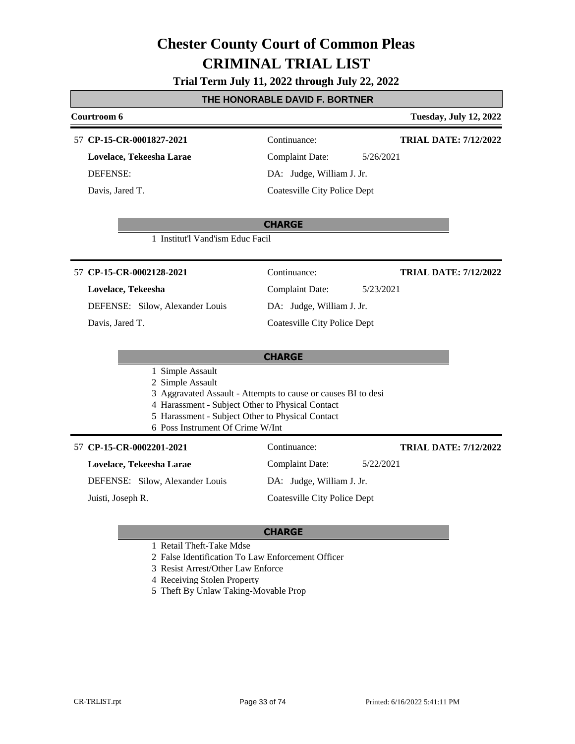#### **Trial Term July 11, 2022 through July 22, 2022**

#### **THE HONORABLE DAVID F. BORTNER**

### **Courtroom 6 Tuesday, July 12, 2022 CHARGE CP-15-CR-0001827-2021** 57 Continuance: **Lovelace, Tekeesha Larae** DEFENSE: Complaint Date: 5/26/2021 DA: Judge, William J. Jr. Coatesville City Police Dept **TRIAL DATE: 7/12/2022** Davis, Jared T. 1 Institut'l Vand'ism Educ Facil **CHARGE CP-15-CR-0002128-2021** 57 Continuance: **Lovelace, Tekeesha** DEFENSE: Silow, Alexander Louis Complaint Date: 5/23/2021 DA: Judge, William J. Jr. Coatesville City Police Dept **TRIAL DATE: 7/12/2022** Davis, Jared T. 1 Simple Assault 2 Simple Assault 3 Aggravated Assault - Attempts to cause or causes BI to desi 4 Harassment - Subject Other to Physical Contact 5 Harassment - Subject Other to Physical Contact 6 Poss Instrument Of Crime W/Int **CP-15-CR-0002201-2021** 57 Continuance: **Lovelace, Tekeesha Larae** DEFENSE: Silow, Alexander Louis Complaint Date: 5/22/2021 DA: Judge, William J. Jr. Coatesville City Police Dept **TRIAL DATE: 7/12/2022** Juisti, Joseph R.

- 1 Retail Theft-Take Mdse
- 2 False Identification To Law Enforcement Officer
- 3 Resist Arrest/Other Law Enforce
- 4 Receiving Stolen Property
- 5 Theft By Unlaw Taking-Movable Prop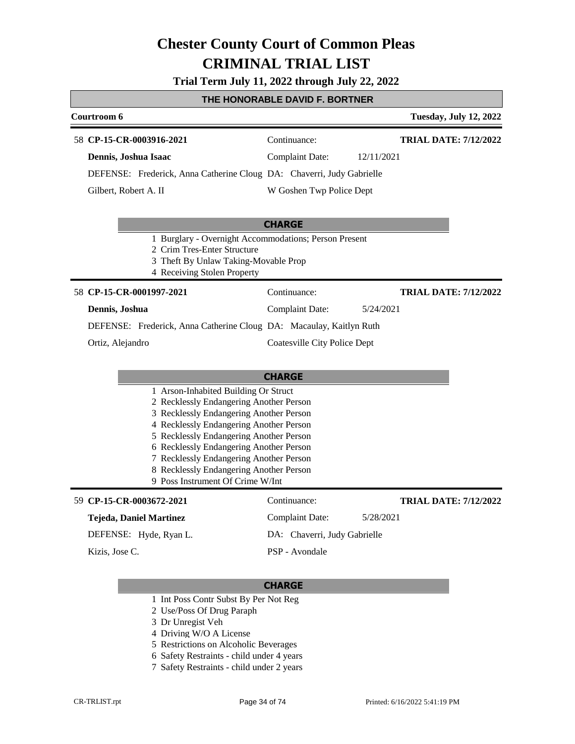**Trial Term July 11, 2022 through July 22, 2022**

#### **THE HONORABLE DAVID F. BORTNER**

| Courtroom 6                                                                                                                                                 |                              | <b>Tuesday, July 12, 2022</b> |
|-------------------------------------------------------------------------------------------------------------------------------------------------------------|------------------------------|-------------------------------|
| 58 CP-15-CR-0003916-2021                                                                                                                                    | Continuance:                 | <b>TRIAL DATE: 7/12/2022</b>  |
| Dennis, Joshua Isaac                                                                                                                                        | <b>Complaint Date:</b>       | 12/11/2021                    |
| DEFENSE: Frederick, Anna Catherine Cloug DA: Chaverri, Judy Gabrielle                                                                                       |                              |                               |
| Gilbert, Robert A. II                                                                                                                                       | W Goshen Twp Police Dept     |                               |
|                                                                                                                                                             | <b>CHARGE</b>                |                               |
| 1 Burglary - Overnight Accommodations; Person Present<br>2 Crim Tres-Enter Structure<br>3 Theft By Unlaw Taking-Movable Prop<br>4 Receiving Stolen Property |                              |                               |
| 58 CP-15-CR-0001997-2021                                                                                                                                    | Continuance:                 | <b>TRIAL DATE: 7/12/2022</b>  |
| Dennis, Joshua                                                                                                                                              | <b>Complaint Date:</b>       | 5/24/2021                     |
| DEFENSE: Frederick, Anna Catherine Cloug DA: Macaulay, Kaitlyn Ruth                                                                                         |                              |                               |
| Ortiz, Alejandro                                                                                                                                            | Coatesville City Police Dept |                               |
|                                                                                                                                                             |                              |                               |
|                                                                                                                                                             | <b>CHARGE</b>                |                               |
| 1 Arson-Inhabited Building Or Struct                                                                                                                        |                              |                               |
| 2 Recklessly Endangering Another Person<br>3 Recklessly Endangering Another Person                                                                          |                              |                               |
| 4 Recklessly Endangering Another Person                                                                                                                     |                              |                               |
| 5 Recklessly Endangering Another Person<br>6 Recklessly Endangering Another Person                                                                          |                              |                               |
| 7 Recklessly Endangering Another Person                                                                                                                     |                              |                               |
| 8 Recklessly Endangering Another Person<br>9 Poss Instrument Of Crime W/Int                                                                                 |                              |                               |
|                                                                                                                                                             |                              |                               |
| 59 CP-15-CR-0003672-2021                                                                                                                                    | Continuance:                 | <b>TRIAL DATE: 7/12/2022</b>  |
| <b>Tejeda, Daniel Martinez</b>                                                                                                                              | <b>Complaint Date:</b>       | 5/28/2021                     |
| DEFENSE: Hyde, Ryan L.                                                                                                                                      | DA: Chaverri, Judy Gabrielle |                               |
| Kizis, Jose C.                                                                                                                                              | PSP - Avondale               |                               |
|                                                                                                                                                             |                              |                               |

- 1 Int Poss Contr Subst By Per Not Reg
- 2 Use/Poss Of Drug Paraph
- 3 Dr Unregist Veh
- 4 Driving W/O A License
- 5 Restrictions on Alcoholic Beverages
- 6 Safety Restraints child under 4 years
- 7 Safety Restraints child under 2 years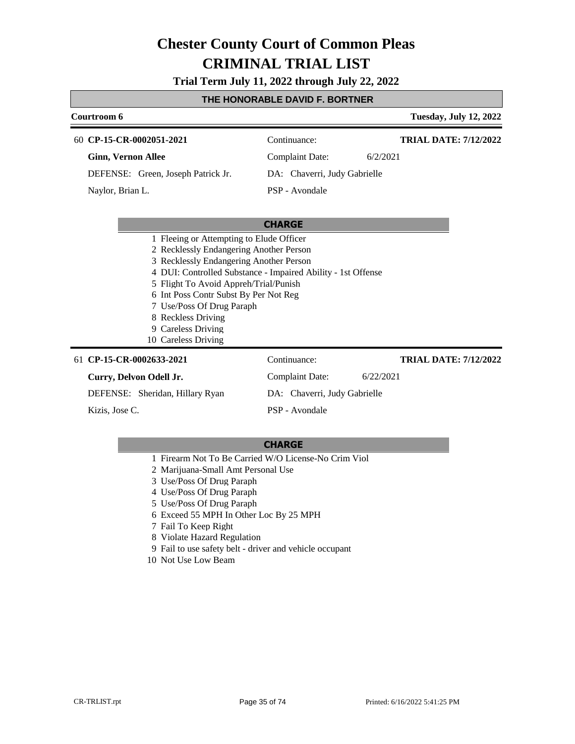**Trial Term July 11, 2022 through July 22, 2022**

#### **THE HONORABLE DAVID F. BORTNER**

| Courtroom 6                        |                              | <b>Tuesday, July 12, 2022</b> |
|------------------------------------|------------------------------|-------------------------------|
| 60 CP-15-CR-0002051-2021           | Continuance:                 | <b>TRIAL DATE: 7/12/2022</b>  |
| <b>Ginn, Vernon Allee</b>          | Complaint Date:              | 6/2/2021                      |
| DEFENSE: Green, Joseph Patrick Jr. | DA: Chaverri, Judy Gabrielle |                               |
| Naylor, Brian L.                   | PSP - Avondale               |                               |
|                                    |                              |                               |

#### **CHARGE**

- 1 Fleeing or Attempting to Elude Officer
- 2 Recklessly Endangering Another Person
- 3 Recklessly Endangering Another Person
- 4 DUI: Controlled Substance Impaired Ability 1st Offense
- 5 Flight To Avoid Appreh/Trial/Punish
- 6 Int Poss Contr Subst By Per Not Reg
- 7 Use/Poss Of Drug Paraph
- 8 Reckless Driving
- 9 Careless Driving
- 10 Careless Driving

#### **CP-15-CR-0002633-2021** 61 Continuance:

#### **Curry, Delvon Odell Jr.**

DEFENSE: Sheridan, Hillary Ryan

Kizis, Jose C.

Complaint Date: 6/22/2021 DA: Chaverri, Judy Gabrielle PSP - Avondale

**TRIAL DATE: 7/12/2022**

- 1 Firearm Not To Be Carried W/O License-No Crim Viol
- 2 Marijuana-Small Amt Personal Use
- 3 Use/Poss Of Drug Paraph
- 4 Use/Poss Of Drug Paraph
- 5 Use/Poss Of Drug Paraph
- 6 Exceed 55 MPH In Other Loc By 25 MPH
- 7 Fail To Keep Right
- 8 Violate Hazard Regulation
- 9 Fail to use safety belt driver and vehicle occupant
- 10 Not Use Low Beam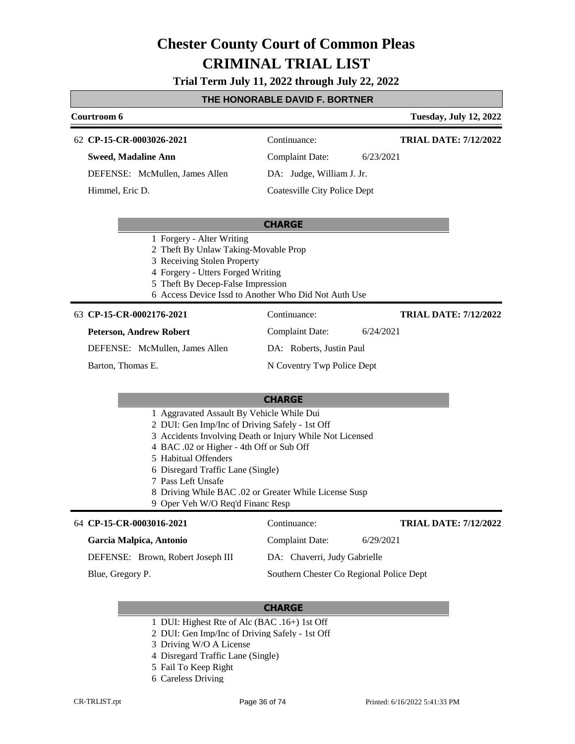### **Trial Term July 11, 2022 through July 22, 2022**

### **THE HONORABLE DAVID F. BORTNER**

| Courtroom 6                                                                                                                                                                                                                                                    |                                                                                                                   | <b>Tuesday, July 12, 2022</b>            |
|----------------------------------------------------------------------------------------------------------------------------------------------------------------------------------------------------------------------------------------------------------------|-------------------------------------------------------------------------------------------------------------------|------------------------------------------|
| 62 CP-15-CR-0003026-2021                                                                                                                                                                                                                                       | Continuance:                                                                                                      | <b>TRIAL DATE: 7/12/2022</b>             |
| <b>Sweed, Madaline Ann</b>                                                                                                                                                                                                                                     | <b>Complaint Date:</b>                                                                                            | 6/23/2021                                |
| DEFENSE: McMullen, James Allen                                                                                                                                                                                                                                 | DA: Judge, William J. Jr.                                                                                         |                                          |
| Himmel, Eric D.                                                                                                                                                                                                                                                | Coatesville City Police Dept                                                                                      |                                          |
|                                                                                                                                                                                                                                                                | <b>CHARGE</b>                                                                                                     |                                          |
| 1 Forgery - Alter Writing<br>2 Theft By Unlaw Taking-Movable Prop<br>3 Receiving Stolen Property<br>4 Forgery - Utters Forged Writing<br>5 Theft By Decep-False Impression                                                                                     | 6 Access Device Issd to Another Who Did Not Auth Use                                                              |                                          |
| 63 CP-15-CR-0002176-2021                                                                                                                                                                                                                                       | Continuance:                                                                                                      | <b>TRIAL DATE: 7/12/2022</b>             |
| <b>Peterson, Andrew Robert</b>                                                                                                                                                                                                                                 | <b>Complaint Date:</b>                                                                                            | 6/24/2021                                |
| DEFENSE: McMullen, James Allen                                                                                                                                                                                                                                 | DA: Roberts, Justin Paul                                                                                          |                                          |
| Barton, Thomas E.                                                                                                                                                                                                                                              | N Coventry Twp Police Dept                                                                                        |                                          |
|                                                                                                                                                                                                                                                                | <b>CHARGE</b>                                                                                                     |                                          |
| 1 Aggravated Assault By Vehicle While Dui<br>2 DUI: Gen Imp/Inc of Driving Safely - 1st Off<br>4 BAC .02 or Higher - 4th Off or Sub Off<br>5 Habitual Offenders<br>6 Disregard Traffic Lane (Single)<br>7 Pass Left Unsafe<br>9 Oper Veh W/O Req'd Financ Resp | 3 Accidents Involving Death or Injury While Not Licensed<br>8 Driving While BAC .02 or Greater While License Susp |                                          |
| 64 CP-15-CR-0003016-2021                                                                                                                                                                                                                                       | Continuance:                                                                                                      | <b>TRIAL DATE: 7/12/2022</b>             |
| Garcia Malpica, Antonio                                                                                                                                                                                                                                        | <b>Complaint Date:</b>                                                                                            | 6/29/2021                                |
| DEFENSE: Brown, Robert Joseph III                                                                                                                                                                                                                              | DA: Chaverri, Judy Gabrielle                                                                                      |                                          |
| Blue, Gregory P.                                                                                                                                                                                                                                               |                                                                                                                   | Southern Chester Co Regional Police Dept |

- 1 DUI: Highest Rte of Alc (BAC .16+) 1st Off
- 2 DUI: Gen Imp/Inc of Driving Safely 1st Off
- 3 Driving W/O A License
- 4 Disregard Traffic Lane (Single)
- 5 Fail To Keep Right
- 6 Careless Driving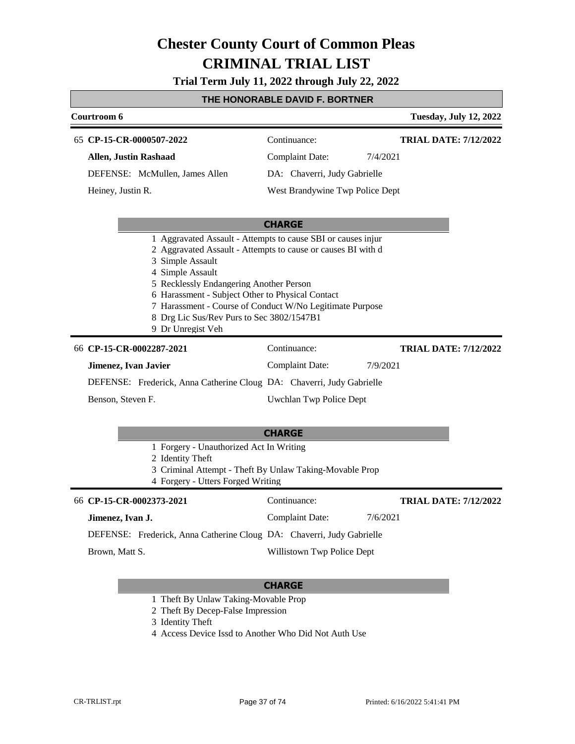**Trial Term July 11, 2022 through July 22, 2022**

### **THE HONORABLE DAVID F. BORTNER**

|                                                                                                                                                                                                                                                                                                                                                                                                   | <u>INE NUNUNABLE DAVID F. BUN INEN</u> |          |                               |
|---------------------------------------------------------------------------------------------------------------------------------------------------------------------------------------------------------------------------------------------------------------------------------------------------------------------------------------------------------------------------------------------------|----------------------------------------|----------|-------------------------------|
| Courtroom 6                                                                                                                                                                                                                                                                                                                                                                                       |                                        |          | <b>Tuesday, July 12, 2022</b> |
| 65 CP-15-CR-0000507-2022                                                                                                                                                                                                                                                                                                                                                                          | Continuance:                           |          | <b>TRIAL DATE: 7/12/2022</b>  |
| <b>Allen, Justin Rashaad</b>                                                                                                                                                                                                                                                                                                                                                                      | <b>Complaint Date:</b>                 | 7/4/2021 |                               |
| DEFENSE: McMullen, James Allen                                                                                                                                                                                                                                                                                                                                                                    | DA: Chaverri, Judy Gabrielle           |          |                               |
| Heiney, Justin R.                                                                                                                                                                                                                                                                                                                                                                                 | West Brandywine Twp Police Dept        |          |                               |
|                                                                                                                                                                                                                                                                                                                                                                                                   |                                        |          |                               |
|                                                                                                                                                                                                                                                                                                                                                                                                   | <b>CHARGE</b>                          |          |                               |
| 1 Aggravated Assault - Attempts to cause SBI or causes injur<br>2 Aggravated Assault - Attempts to cause or causes BI with d<br>3 Simple Assault<br>4 Simple Assault<br>5 Recklessly Endangering Another Person<br>6 Harassment - Subject Other to Physical Contact<br>7 Harassment - Course of Conduct W/No Legitimate Purpose<br>8 Drg Lic Sus/Rev Purs to Sec 3802/1547B1<br>9 Dr Unregist Veh |                                        |          |                               |
| 66 CP-15-CR-0002287-2021                                                                                                                                                                                                                                                                                                                                                                          | Continuance:                           |          | <b>TRIAL DATE: 7/12/2022</b>  |
| Jimenez, Ivan Javier                                                                                                                                                                                                                                                                                                                                                                              | <b>Complaint Date:</b>                 | 7/9/2021 |                               |
| DEFENSE: Frederick, Anna Catherine Cloug DA: Chaverri, Judy Gabrielle                                                                                                                                                                                                                                                                                                                             |                                        |          |                               |
| Benson, Steven F.                                                                                                                                                                                                                                                                                                                                                                                 | Uwchlan Twp Police Dept                |          |                               |
|                                                                                                                                                                                                                                                                                                                                                                                                   |                                        |          |                               |
|                                                                                                                                                                                                                                                                                                                                                                                                   | <b>CHARGE</b>                          |          |                               |
| 1 Forgery - Unauthorized Act In Writing<br>2 Identity Theft<br>3 Criminal Attempt - Theft By Unlaw Taking-Movable Prop<br>4 Forgery - Utters Forged Writing                                                                                                                                                                                                                                       |                                        |          |                               |
| 66 CP-15-CR-0002373-2021                                                                                                                                                                                                                                                                                                                                                                          | Continuance:                           |          | <b>TRIAL DATE: 7/12/2022</b>  |
| Jimenez, Ivan J.                                                                                                                                                                                                                                                                                                                                                                                  | <b>Complaint Date:</b>                 | 7/6/2021 |                               |
| DEFENSE: Frederick, Anna Catherine Cloug DA: Chaverri, Judy Gabrielle                                                                                                                                                                                                                                                                                                                             |                                        |          |                               |
| Brown, Matt S.                                                                                                                                                                                                                                                                                                                                                                                    | Willistown Twp Police Dept             |          |                               |
|                                                                                                                                                                                                                                                                                                                                                                                                   |                                        |          |                               |

- 1 Theft By Unlaw Taking-Movable Prop
- 2 Theft By Decep-False Impression
- 3 Identity Theft
- 4 Access Device Issd to Another Who Did Not Auth Use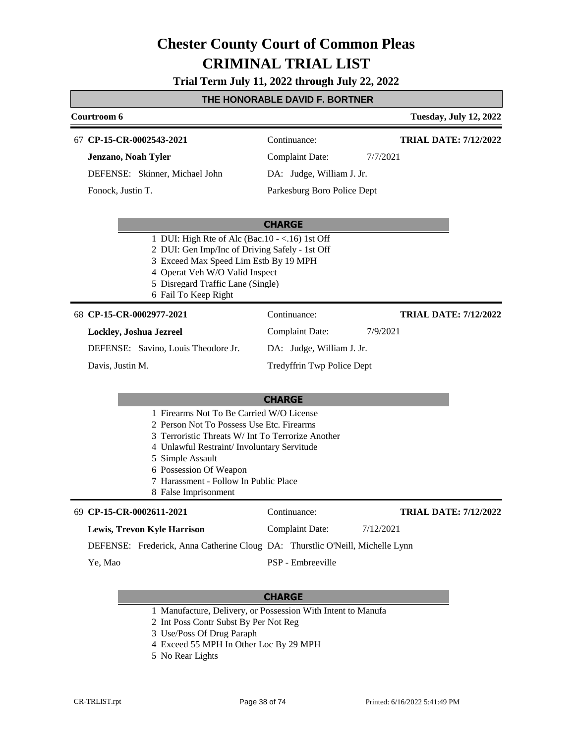**Trial Term July 11, 2022 through July 22, 2022**

#### **THE HONORABLE DAVID F. BORTNER**

| Courtroom 6                                                                                                                                                                                                                                                                                              |                             | <b>Tuesday, July 12, 2022</b> |
|----------------------------------------------------------------------------------------------------------------------------------------------------------------------------------------------------------------------------------------------------------------------------------------------------------|-----------------------------|-------------------------------|
| 67 CP-15-CR-0002543-2021                                                                                                                                                                                                                                                                                 | Continuance:                | <b>TRIAL DATE: 7/12/2022</b>  |
| Jenzano, Noah Tyler                                                                                                                                                                                                                                                                                      | <b>Complaint Date:</b>      | 7/7/2021                      |
| DEFENSE: Skinner, Michael John                                                                                                                                                                                                                                                                           | DA: Judge, William J. Jr.   |                               |
| Fonock, Justin T.                                                                                                                                                                                                                                                                                        | Parkesburg Boro Police Dept |                               |
|                                                                                                                                                                                                                                                                                                          | <b>CHARGE</b>               |                               |
| 1 DUI: High Rte of Alc (Bac.10 - <.16) 1st Off<br>2 DUI: Gen Imp/Inc of Driving Safely - 1st Off<br>3 Exceed Max Speed Lim Estb By 19 MPH<br>4 Operat Veh W/O Valid Inspect<br>5 Disregard Traffic Lane (Single)<br>6 Fail To Keep Right                                                                 |                             |                               |
| 68 CP-15-CR-0002977-2021                                                                                                                                                                                                                                                                                 | Continuance:                | <b>TRIAL DATE: 7/12/2022</b>  |
| Lockley, Joshua Jezreel                                                                                                                                                                                                                                                                                  | <b>Complaint Date:</b>      | 7/9/2021                      |
| DEFENSE: Savino, Louis Theodore Jr.                                                                                                                                                                                                                                                                      | DA: Judge, William J. Jr.   |                               |
| Davis, Justin M.                                                                                                                                                                                                                                                                                         | Tredyffrin Twp Police Dept  |                               |
|                                                                                                                                                                                                                                                                                                          | <b>CHARGE</b>               |                               |
| 1 Firearms Not To Be Carried W/O License<br>2 Person Not To Possess Use Etc. Firearms<br>3 Terroristic Threats W/ Int To Terrorize Another<br>4 Unlawful Restraint/ Involuntary Servitude<br>5 Simple Assault<br>6 Possession Of Weapon<br>7 Harassment - Follow In Public Place<br>8 False Imprisonment |                             |                               |
| 69 CP-15-CR-0002611-2021                                                                                                                                                                                                                                                                                 | Continuance:                | <b>TRIAL DATE: 7/12/2022</b>  |
| <b>Lewis, Trevon Kyle Harrison</b>                                                                                                                                                                                                                                                                       | <b>Complaint Date:</b>      | 7/12/2021                     |
| DEFENSE: Frederick, Anna Catherine Cloug DA: Thurstlic O'Neill, Michelle Lynn                                                                                                                                                                                                                            |                             |                               |
| Ye, Mao                                                                                                                                                                                                                                                                                                  | PSP - Embreeville           |                               |

- 1 Manufacture, Delivery, or Possession With Intent to Manufa
- 2 Int Poss Contr Subst By Per Not Reg
- 3 Use/Poss Of Drug Paraph
- 4 Exceed 55 MPH In Other Loc By 29 MPH
- 5 No Rear Lights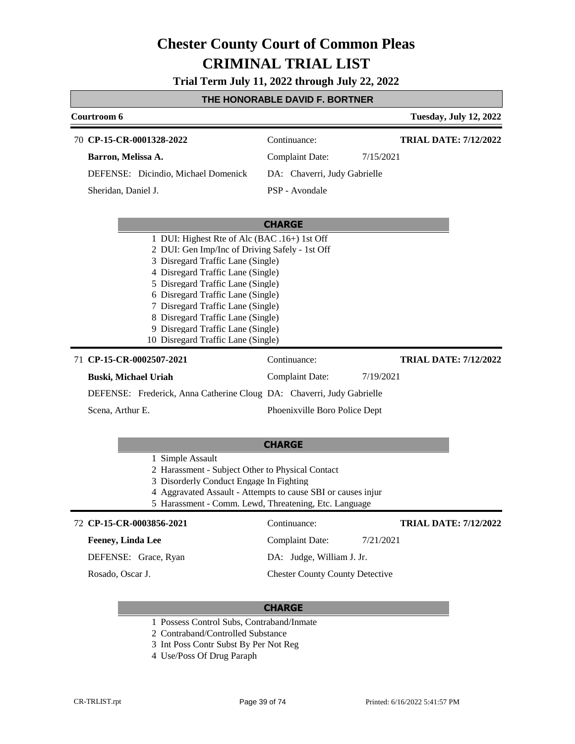**Trial Term July 11, 2022 through July 22, 2022**

#### **THE HONORABLE DAVID F. BORTNER**

| Courtroom 6                                                                                                                                                                                                                                                                                                                                                                                                                         |                                        | <b>Tuesday, July 12, 2022</b> |
|-------------------------------------------------------------------------------------------------------------------------------------------------------------------------------------------------------------------------------------------------------------------------------------------------------------------------------------------------------------------------------------------------------------------------------------|----------------------------------------|-------------------------------|
| 70 CP-15-CR-0001328-2022                                                                                                                                                                                                                                                                                                                                                                                                            | Continuance:                           | <b>TRIAL DATE: 7/12/2022</b>  |
| Barron, Melissa A.                                                                                                                                                                                                                                                                                                                                                                                                                  | Complaint Date:                        | 7/15/2021                     |
| DEFENSE: Dicindio, Michael Domenick                                                                                                                                                                                                                                                                                                                                                                                                 | DA: Chaverri, Judy Gabrielle           |                               |
| Sheridan, Daniel J.                                                                                                                                                                                                                                                                                                                                                                                                                 | PSP - Avondale                         |                               |
|                                                                                                                                                                                                                                                                                                                                                                                                                                     | <b>CHARGE</b>                          |                               |
| 1 DUI: Highest Rte of Alc (BAC .16+) 1st Off<br>2 DUI: Gen Imp/Inc of Driving Safely - 1st Off<br>3 Disregard Traffic Lane (Single)<br>4 Disregard Traffic Lane (Single)<br>5 Disregard Traffic Lane (Single)<br>6 Disregard Traffic Lane (Single)<br>7 Disregard Traffic Lane (Single)<br>8 Disregard Traffic Lane (Single)<br>9 Disregard Traffic Lane (Single)<br>10 Disregard Traffic Lane (Single)<br>71 CP-15-CR-0002507-2021 | Continuance:                           | <b>TRIAL DATE: 7/12/2022</b>  |
| Buski, Michael Uriah                                                                                                                                                                                                                                                                                                                                                                                                                | <b>Complaint Date:</b>                 | 7/19/2021                     |
| DEFENSE: Frederick, Anna Catherine Cloug DA: Chaverri, Judy Gabrielle                                                                                                                                                                                                                                                                                                                                                               |                                        |                               |
| Scena, Arthur E.                                                                                                                                                                                                                                                                                                                                                                                                                    | Phoenixville Boro Police Dept          |                               |
|                                                                                                                                                                                                                                                                                                                                                                                                                                     | <b>CHARGE</b>                          |                               |
| 1 Simple Assault<br>2 Harassment - Subject Other to Physical Contact<br>3 Disorderly Conduct Engage In Fighting<br>4 Aggravated Assault - Attempts to cause SBI or causes injur<br>5 Harassment - Comm. Lewd, Threatening, Etc. Language                                                                                                                                                                                            |                                        |                               |
| 72 CP-15-CR-0003856-2021                                                                                                                                                                                                                                                                                                                                                                                                            | Continuance:                           | <b>TRIAL DATE: 7/12/2022</b>  |
| <b>Feeney, Linda Lee</b>                                                                                                                                                                                                                                                                                                                                                                                                            | <b>Complaint Date:</b>                 | 7/21/2021                     |
| DEFENSE: Grace, Ryan                                                                                                                                                                                                                                                                                                                                                                                                                | DA: Judge, William J. Jr.              |                               |
| Rosado, Oscar J.                                                                                                                                                                                                                                                                                                                                                                                                                    | <b>Chester County County Detective</b> |                               |

- 1 Possess Control Subs, Contraband/Inmate
- 2 Contraband/Controlled Substance
- 3 Int Poss Contr Subst By Per Not Reg
- 4 Use/Poss Of Drug Paraph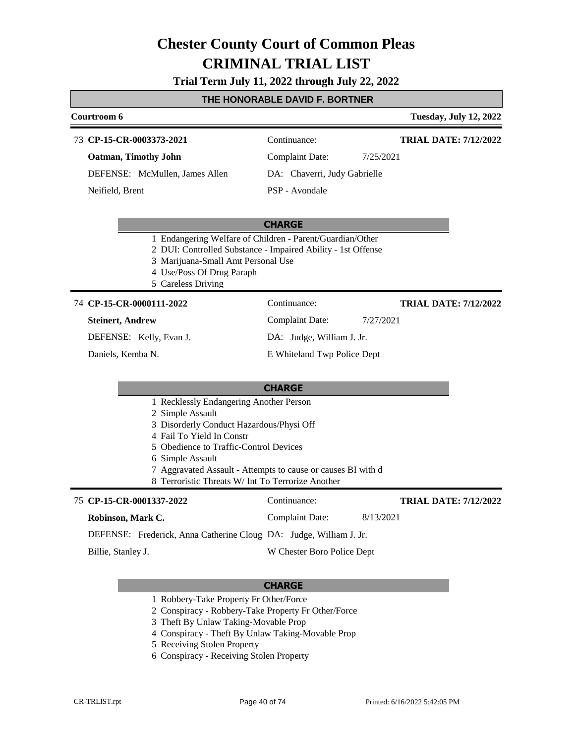#### **Trial Term July 11, 2022 through July 22, 2022**

#### **THE HONORABLE DAVID F. BORTNER**

### **Courtroom 6 Tuesday, July 12, 2022 CHARGE CP-15-CR-0003373-2021** 73 Continuance: **Oatman, Timothy John** DEFENSE: McMullen, James Allen Complaint Date: 7/25/2021 DA: Chaverri, Judy Gabrielle PSP - Avondale **TRIAL DATE: 7/12/2022** Neifield, Brent 1 Endangering Welfare of Children - Parent/Guardian/Other 2 DUI: Controlled Substance - Impaired Ability - 1st Offense

- 3 Marijuana-Small Amt Personal Use
- 4 Use/Poss Of Drug Paraph
- 5 Careless Driving

#### **CP-15-CR-0000111-2022** 74 Continuance:

#### **Steinert, Andrew**

DEFENSE: Kelly, Evan J.

Daniels, Kemba N.

### Complaint Date: 7/27/2021

DA: Judge, William J. Jr.

E Whiteland Twp Police Dept

#### **CHARGE**

- 1 Recklessly Endangering Another Person
- 2 Simple Assault
- 3 Disorderly Conduct Hazardous/Physi Off
- 4 Fail To Yield In Constr
- 5 Obedience to Traffic-Control Devices
- 6 Simple Assault
- 7 Aggravated Assault Attempts to cause or causes BI with d
- 8 Terroristic Threats W/ Int To Terrorize Another

#### **CP-15-CR-0001337-2022** 75 Continuance:

**Robinson, Mark C.**

**TRIAL DATE: 7/12/2022**

**TRIAL DATE: 7/12/2022**

DEFENSE: Frederick, Anna Catherine Cloug DA: Judge, William J. Jr.

Billie, Stanley J.

W Chester Boro Police Dept

Complaint Date: 8/13/2021

- 1 Robbery-Take Property Fr Other/Force
- 2 Conspiracy Robbery-Take Property Fr Other/Force
- 3 Theft By Unlaw Taking-Movable Prop
- 4 Conspiracy Theft By Unlaw Taking-Movable Prop
- 5 Receiving Stolen Property
- 6 Conspiracy Receiving Stolen Property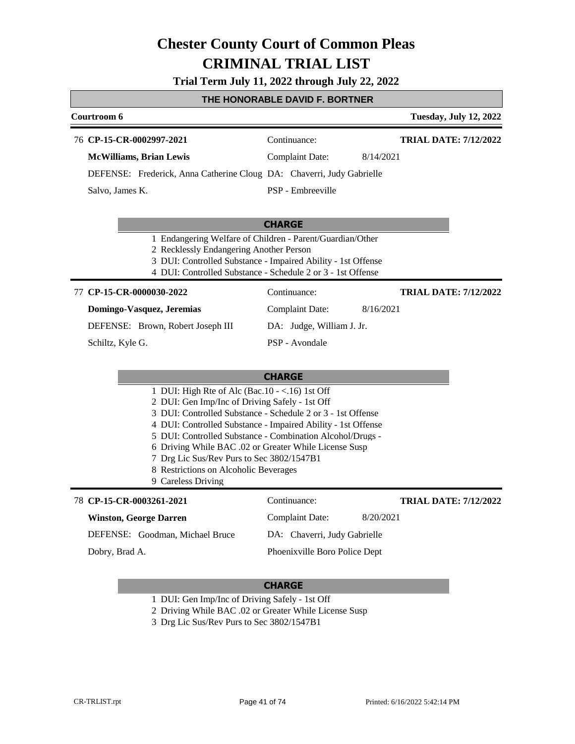**Trial Term July 11, 2022 through July 22, 2022**

### **THE HONORABLE DAVID F. BORTNER**

|                                                                                                                                                                                                                                                                                                                                                                                                                                                                   | <u>I HE HUNURABLE DAVID F. BUR I NER</u> |                               |
|-------------------------------------------------------------------------------------------------------------------------------------------------------------------------------------------------------------------------------------------------------------------------------------------------------------------------------------------------------------------------------------------------------------------------------------------------------------------|------------------------------------------|-------------------------------|
| Courtroom 6                                                                                                                                                                                                                                                                                                                                                                                                                                                       |                                          | <b>Tuesday, July 12, 2022</b> |
| 76 CP-15-CR-0002997-2021                                                                                                                                                                                                                                                                                                                                                                                                                                          | Continuance:                             | <b>TRIAL DATE: 7/12/2022</b>  |
| <b>McWilliams, Brian Lewis</b>                                                                                                                                                                                                                                                                                                                                                                                                                                    | <b>Complaint Date:</b>                   | 8/14/2021                     |
| DEFENSE: Frederick, Anna Catherine Cloug DA: Chaverri, Judy Gabrielle                                                                                                                                                                                                                                                                                                                                                                                             |                                          |                               |
| Salvo, James K.                                                                                                                                                                                                                                                                                                                                                                                                                                                   | PSP - Embreeville                        |                               |
|                                                                                                                                                                                                                                                                                                                                                                                                                                                                   | <b>CHARGE</b>                            |                               |
| 1 Endangering Welfare of Children - Parent/Guardian/Other<br>2 Recklessly Endangering Another Person<br>3 DUI: Controlled Substance - Impaired Ability - 1st Offense<br>4 DUI: Controlled Substance - Schedule 2 or 3 - 1st Offense                                                                                                                                                                                                                               |                                          |                               |
| 77 CP-15-CR-0000030-2022                                                                                                                                                                                                                                                                                                                                                                                                                                          | Continuance:                             | <b>TRIAL DATE: 7/12/2022</b>  |
| Domingo-Vasquez, Jeremias                                                                                                                                                                                                                                                                                                                                                                                                                                         | <b>Complaint Date:</b>                   | 8/16/2021                     |
| DEFENSE: Brown, Robert Joseph III                                                                                                                                                                                                                                                                                                                                                                                                                                 | DA: Judge, William J. Jr.                |                               |
| Schiltz, Kyle G.                                                                                                                                                                                                                                                                                                                                                                                                                                                  | PSP - Avondale                           |                               |
|                                                                                                                                                                                                                                                                                                                                                                                                                                                                   | <b>CHARGE</b>                            |                               |
| 1 DUI: High Rte of Alc (Bac.10 - <.16) 1st Off<br>2 DUI: Gen Imp/Inc of Driving Safely - 1st Off<br>3 DUI: Controlled Substance - Schedule 2 or 3 - 1st Offense<br>4 DUI: Controlled Substance - Impaired Ability - 1st Offense<br>5 DUI: Controlled Substance - Combination Alcohol/Drugs -<br>6 Driving While BAC .02 or Greater While License Susp<br>7 Drg Lic Sus/Rev Purs to Sec 3802/1547B1<br>8 Restrictions on Alcoholic Beverages<br>9 Careless Driving |                                          |                               |
| 78 CP-15-CR-0003261-2021                                                                                                                                                                                                                                                                                                                                                                                                                                          | Continuance:                             | <b>TRIAL DATE: 7/12/2022</b>  |
| <b>Winston, George Darren</b>                                                                                                                                                                                                                                                                                                                                                                                                                                     | <b>Complaint Date:</b>                   | 8/20/2021                     |
| DEFENSE: Goodman, Michael Bruce                                                                                                                                                                                                                                                                                                                                                                                                                                   | DA: Chaverri, Judy Gabrielle             |                               |
| Dobry, Brad A.                                                                                                                                                                                                                                                                                                                                                                                                                                                    | Phoenixville Boro Police Dept            |                               |
|                                                                                                                                                                                                                                                                                                                                                                                                                                                                   |                                          |                               |

#### **CHARGE**

- 1 DUI: Gen Imp/Inc of Driving Safely 1st Off
- 2 Driving While BAC .02 or Greater While License Susp
- 3 Drg Lic Sus/Rev Purs to Sec 3802/1547B1

Г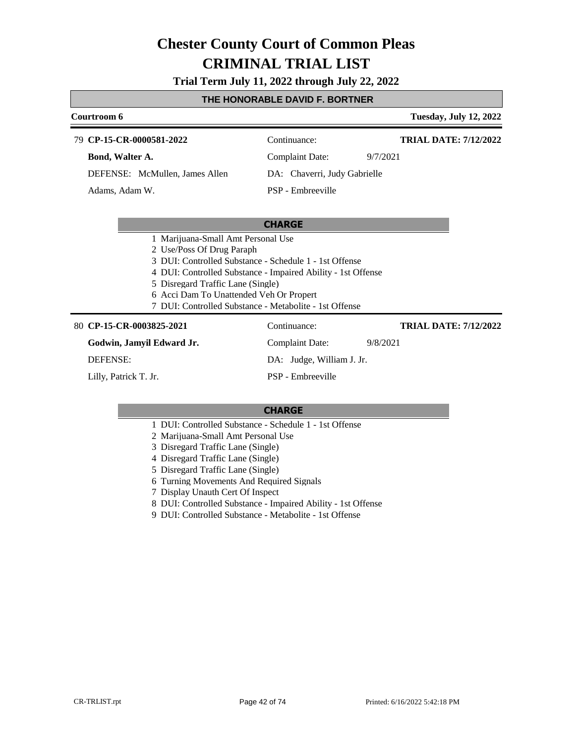**Trial Term July 11, 2022 through July 22, 2022**

#### **THE HONORABLE DAVID F. BORTNER**

| Courtroom 6                                                                                                                                                                                                                                                                                                                         |                              | <b>Tuesday, July 12, 2022</b> |  |
|-------------------------------------------------------------------------------------------------------------------------------------------------------------------------------------------------------------------------------------------------------------------------------------------------------------------------------------|------------------------------|-------------------------------|--|
| 79 CP-15-CR-0000581-2022                                                                                                                                                                                                                                                                                                            | Continuance:                 | <b>TRIAL DATE: 7/12/2022</b>  |  |
| Bond, Walter A.                                                                                                                                                                                                                                                                                                                     | <b>Complaint Date:</b>       | 9/7/2021                      |  |
| DEFENSE: McMullen, James Allen                                                                                                                                                                                                                                                                                                      | DA: Chaverri, Judy Gabrielle |                               |  |
| Adams, Adam W.                                                                                                                                                                                                                                                                                                                      | PSP - Embreeville            |                               |  |
|                                                                                                                                                                                                                                                                                                                                     |                              |                               |  |
| <b>CHARGE</b>                                                                                                                                                                                                                                                                                                                       |                              |                               |  |
| 1 Marijuana-Small Amt Personal Use<br>2 Use/Poss Of Drug Paraph<br>3 DUI: Controlled Substance - Schedule 1 - 1st Offense<br>4 DUI: Controlled Substance - Impaired Ability - 1st Offense<br>5 Disregard Traffic Lane (Single)<br>6 Acci Dam To Unattended Veh Or Propert<br>7 DUI: Controlled Substance - Metabolite - 1st Offense |                              |                               |  |
| 80 CP-15-CR-0003825-2021                                                                                                                                                                                                                                                                                                            | Continuance:                 | <b>TRIAL DATE: 7/12/2022</b>  |  |
| Godwin, Jamyil Edward Jr.                                                                                                                                                                                                                                                                                                           | <b>Complaint Date:</b>       | 9/8/2021                      |  |
| <b>DEFENSE:</b>                                                                                                                                                                                                                                                                                                                     | DA: Judge, William J. Jr.    |                               |  |
| Lilly, Patrick T. Jr.                                                                                                                                                                                                                                                                                                               | PSP - Embreeville            |                               |  |

- 1 DUI: Controlled Substance Schedule 1 1st Offense
- 2 Marijuana-Small Amt Personal Use
- 3 Disregard Traffic Lane (Single)
- 4 Disregard Traffic Lane (Single)
- 5 Disregard Traffic Lane (Single)
- 6 Turning Movements And Required Signals
- 7 Display Unauth Cert Of Inspect
- 8 DUI: Controlled Substance Impaired Ability 1st Offense
- 9 DUI: Controlled Substance Metabolite 1st Offense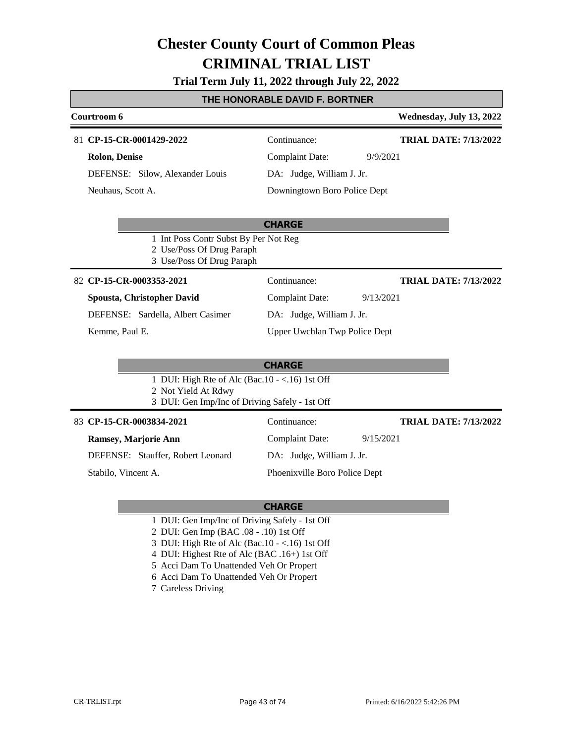### **Trial Term July 11, 2022 through July 22, 2022**

### **THE HONORABLE DAVID F. BORTNER**

| Courtroom 6                                                                                                                |                               | Wednesday, July 13, 2022     |
|----------------------------------------------------------------------------------------------------------------------------|-------------------------------|------------------------------|
| 81 CP-15-CR-0001429-2022                                                                                                   | Continuance:                  | <b>TRIAL DATE: 7/13/2022</b> |
| <b>Rolon, Denise</b>                                                                                                       | <b>Complaint Date:</b>        | 9/9/2021                     |
| DEFENSE: Silow, Alexander Louis                                                                                            | DA: Judge, William J. Jr.     |                              |
| Neuhaus, Scott A.                                                                                                          | Downingtown Boro Police Dept  |                              |
|                                                                                                                            | <b>CHARGE</b>                 |                              |
| 1 Int Poss Contr Subst By Per Not Reg<br>2 Use/Poss Of Drug Paraph<br>3 Use/Poss Of Drug Paraph                            |                               |                              |
| 82 CP-15-CR-0003353-2021                                                                                                   | Continuance:                  | <b>TRIAL DATE: 7/13/2022</b> |
| Spousta, Christopher David                                                                                                 | <b>Complaint Date:</b>        | 9/13/2021                    |
| DEFENSE: Sardella, Albert Casimer                                                                                          | DA: Judge, William J. Jr.     |                              |
| Kemme, Paul E.                                                                                                             | Upper Uwchlan Twp Police Dept |                              |
|                                                                                                                            | <b>CHARGE</b>                 |                              |
| 1 DUI: High Rte of Alc (Bac. $10 - <16$ ) 1st Off<br>2 Not Yield At Rdwy<br>3 DUI: Gen Imp/Inc of Driving Safely - 1st Off |                               |                              |
| 83 CP-15-CR-0003834-2021                                                                                                   | Continuance:                  | <b>TRIAL DATE: 7/13/2022</b> |
| <b>Ramsey, Marjorie Ann</b>                                                                                                | <b>Complaint Date:</b>        | 9/15/2021                    |
| DEFENSE: Stauffer, Robert Leonard                                                                                          | DA: Judge, William J. Jr.     |                              |
| Stabilo, Vincent A.                                                                                                        | Phoenixville Boro Police Dept |                              |

- 1 DUI: Gen Imp/Inc of Driving Safely 1st Off
- 2 DUI: Gen Imp (BAC .08 .10) 1st Off
- 3 DUI: High Rte of Alc (Bac.10 <.16) 1st Off
- 4 DUI: Highest Rte of Alc (BAC .16+) 1st Off
- 5 Acci Dam To Unattended Veh Or Propert
- 6 Acci Dam To Unattended Veh Or Propert
- 7 Careless Driving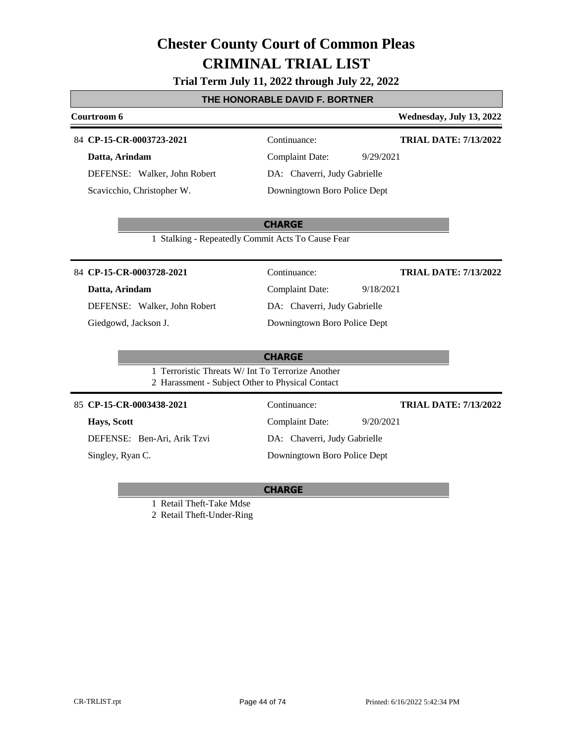#### **Trial Term July 11, 2022 through July 22, 2022**

#### **THE HONORABLE DAVID F. BORTNER**

# **Courtroom 6 Wednesday, July 13, 2022**

#### 84 **CP-15-CR-0003723-2021** Continuance:

**Datta, Arindam**

DEFENSE: Walker, John Robert Scavicchio, Christopher W.

**TRIAL DATE: 7/13/2022**

Complaint Date: 9/29/2021 DA: Chaverri, Judy Gabrielle Downingtown Boro Police Dept

#### **CHARGE**

1 Stalking - Repeatedly Commit Acts To Cause Fear

#### 84 **CP-15-CR-0003728-2021** Continuance:

#### **Datta, Arindam**

DEFENSE: Walker, John Robert Giedgowd, Jackson J.

|                              | Communico.                   |           |
|------------------------------|------------------------------|-----------|
|                              | Complaint Date:              | 9/18/2021 |
|                              | DA: Chaverri, Judy Gabrielle |           |
| Downingtown Boro Police Dept |                              |           |

# **TRIAL DATE: 7/13/2022**

**CHARGE** 1 Terroristic Threats W/ Int To Terrorize Another 2 Harassment - Subject Other to Physical Contact 85 **CP-15-CR-0003438-2021** Continuance: **TRIAL DATE: 7/13/2022**

### **Hays, Scott**

DEFENSE: Ben-Ari, Arik Tzvi

Singley, Ryan C.

Complaint Date: 9/20/2021 DA: Chaverri, Judy Gabrielle

Downingtown Boro Police Dept

#### **CHARGE**

1 Retail Theft-Take Mdse

2 Retail Theft-Under-Ring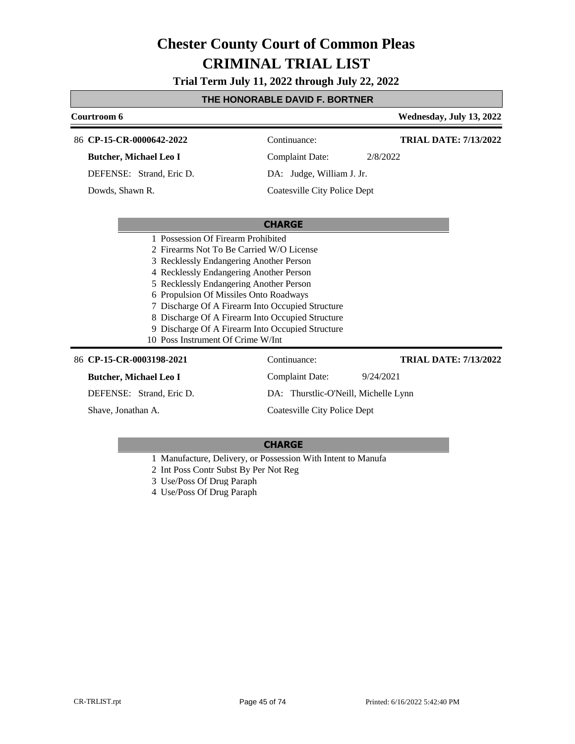**Trial Term July 11, 2022 through July 22, 2022**

#### **THE HONORABLE DAVID F. BORTNER**

| Courtroom 6                                                                                                                                                                                                                                                                                                                                                                                                                                                |                                      | Wednesday, July 13, 2022     |
|------------------------------------------------------------------------------------------------------------------------------------------------------------------------------------------------------------------------------------------------------------------------------------------------------------------------------------------------------------------------------------------------------------------------------------------------------------|--------------------------------------|------------------------------|
| 86 CP-15-CR-0000642-2022                                                                                                                                                                                                                                                                                                                                                                                                                                   | Continuance:                         | <b>TRIAL DATE: 7/13/2022</b> |
| <b>Butcher, Michael Leo I</b>                                                                                                                                                                                                                                                                                                                                                                                                                              | <b>Complaint Date:</b>               | 2/8/2022                     |
| DEFENSE: Strand, Eric D.                                                                                                                                                                                                                                                                                                                                                                                                                                   | DA: Judge, William J. Jr.            |                              |
| Dowds, Shawn R.                                                                                                                                                                                                                                                                                                                                                                                                                                            | Coatesville City Police Dept         |                              |
|                                                                                                                                                                                                                                                                                                                                                                                                                                                            | <b>CHARGE</b>                        |                              |
| 1 Possession Of Firearm Prohibited<br>2 Firearms Not To Be Carried W/O License<br>3 Recklessly Endangering Another Person<br>4 Recklessly Endangering Another Person<br>5 Recklessly Endangering Another Person<br>6 Propulsion Of Missiles Onto Roadways<br>7 Discharge Of A Firearm Into Occupied Structure<br>8 Discharge Of A Firearm Into Occupied Structure<br>9 Discharge Of A Firearm Into Occupied Structure<br>10 Poss Instrument Of Crime W/Int |                                      |                              |
| 86 CP-15-CR-0003198-2021                                                                                                                                                                                                                                                                                                                                                                                                                                   | Continuance:                         | <b>TRIAL DATE: 7/13/2022</b> |
| <b>Butcher, Michael Leo I</b>                                                                                                                                                                                                                                                                                                                                                                                                                              | Complaint Date:                      | 9/24/2021                    |
| DEFENSE: Strand, Eric D.                                                                                                                                                                                                                                                                                                                                                                                                                                   | DA: Thurstlic-O'Neill, Michelle Lynn |                              |
| Shave, Jonathan A.                                                                                                                                                                                                                                                                                                                                                                                                                                         | Coatesville City Police Dept         |                              |

- 1 Manufacture, Delivery, or Possession With Intent to Manufa
- 2 Int Poss Contr Subst By Per Not Reg
- 3 Use/Poss Of Drug Paraph
- 4 Use/Poss Of Drug Paraph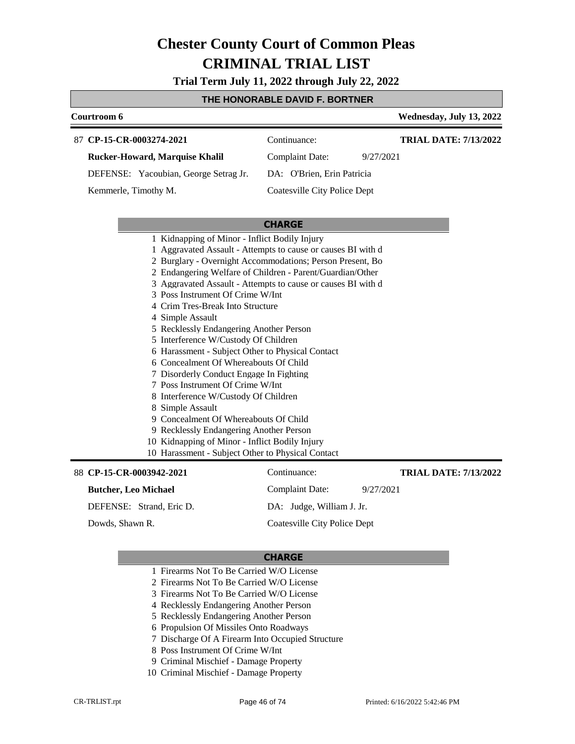**Trial Term July 11, 2022 through July 22, 2022**

#### **THE HONORABLE DAVID F. BORTNER**

#### **Courtroom 6 Wednesday, July 13, 2022 CP-15-CR-0003274-2021** 87 Continuance: **Rucker-Howard, Marquise Khalil** DEFENSE: Yacoubian, George Setrag Jr. Complaint Date: 9/27/2021 DA: O'Brien, Erin Patricia Coatesville City Police Dept **TRIAL DATE: 7/13/2022** Kemmerle, Timothy M.

#### **CHARGE**

|  | 1 Kidnapping of Minor - Inflict Bodily Injury                                                                                                                                                                                                                                                    |
|--|--------------------------------------------------------------------------------------------------------------------------------------------------------------------------------------------------------------------------------------------------------------------------------------------------|
|  | $\mathbf{1}$ and $\mathbf{1}$ and $\mathbf{1}$ and $\mathbf{1}$ and $\mathbf{1}$ and $\mathbf{1}$ and $\mathbf{1}$ and $\mathbf{1}$ and $\mathbf{1}$ and $\mathbf{1}$ and $\mathbf{1}$ and $\mathbf{1}$ and $\mathbf{1}$ and $\mathbf{1}$ and $\mathbf{1}$ and $\mathbf{1}$ and $\mathbf{1}$ and |

- 1 Aggravated Assault Attempts to cause or causes BI with d
- 2 Burglary Overnight Accommodations; Person Present, Bo
- 2 Endangering Welfare of Children Parent/Guardian/Other
- 3 Aggravated Assault Attempts to cause or causes BI with d
- 3 Poss Instrument Of Crime W/Int
- 4 Crim Tres-Break Into Structure
- 4 Simple Assault
- 5 Recklessly Endangering Another Person
- 5 Interference W/Custody Of Children
- 6 Harassment Subject Other to Physical Contact
- 6 Concealment Of Whereabouts Of Child
- 7 Disorderly Conduct Engage In Fighting
- 7 Poss Instrument Of Crime W/Int
- 8 Interference W/Custody Of Children
- 8 Simple Assault
- 9 Concealment Of Whereabouts Of Child
- 9 Recklessly Endangering Another Person
- 10 Kidnapping of Minor Inflict Bodily Injury
- 10 Harassment Subject Other to Physical Contact

#### 88 CP-15-CR-0003942-2021 Continuance: **Butcher, Leo Michael** DEFENSE: Strand, Eric D. Complaint Date: 9/27/2021 DA: Judge, William J. Jr. Coatesville City Police Dept **TRIAL DATE: 7/13/2022** Dowds, Shawn R.

- 1 Firearms Not To Be Carried W/O License
- 2 Firearms Not To Be Carried W/O License
- 3 Firearms Not To Be Carried W/O License
- 4 Recklessly Endangering Another Person
- 5 Recklessly Endangering Another Person
- 6 Propulsion Of Missiles Onto Roadways
- 7 Discharge Of A Firearm Into Occupied Structure
- 8 Poss Instrument Of Crime W/Int
- 9 Criminal Mischief Damage Property
- 10 Criminal Mischief Damage Property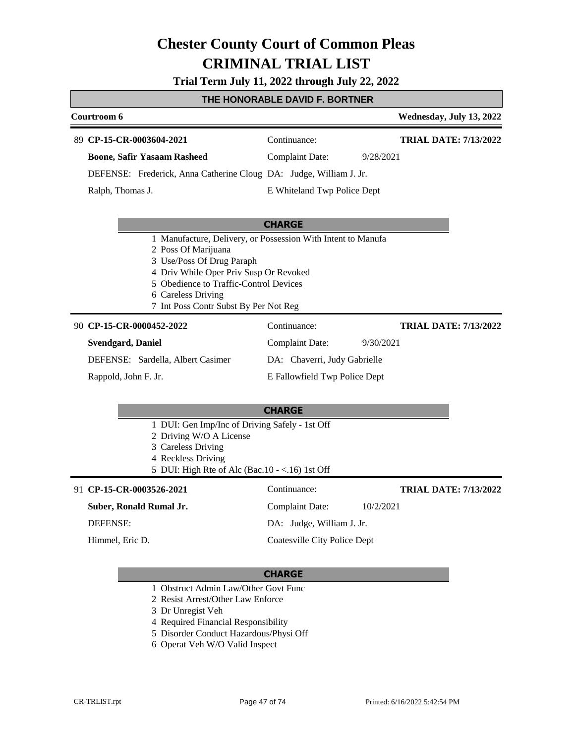**Trial Term July 11, 2022 through July 22, 2022**

### **THE HONORABLE DAVID F. BORTNER**

| Courtroom 6                                                                                                                                                                |                                                              | Wednesday, July 13, 2022     |
|----------------------------------------------------------------------------------------------------------------------------------------------------------------------------|--------------------------------------------------------------|------------------------------|
| 89 CP-15-CR-0003604-2021                                                                                                                                                   | Continuance:                                                 | <b>TRIAL DATE: 7/13/2022</b> |
| <b>Boone, Safir Yasaam Rasheed</b>                                                                                                                                         | <b>Complaint Date:</b><br>9/28/2021                          |                              |
| DEFENSE: Frederick, Anna Catherine Cloug DA: Judge, William J. Jr.                                                                                                         |                                                              |                              |
| Ralph, Thomas J.                                                                                                                                                           | E Whiteland Twp Police Dept                                  |                              |
|                                                                                                                                                                            | <b>CHARGE</b>                                                |                              |
| 2 Poss Of Marijuana<br>3 Use/Poss Of Drug Paraph                                                                                                                           | 1 Manufacture, Delivery, or Possession With Intent to Manufa |                              |
| 4 Driv While Oper Priv Susp Or Revoked<br>5 Obedience to Traffic-Control Devices<br>6 Careless Driving<br>7 Int Poss Contr Subst By Per Not Reg                            |                                                              |                              |
| 90 CP-15-CR-0000452-2022                                                                                                                                                   | Continuance:                                                 | <b>TRIAL DATE: 7/13/2022</b> |
| <b>Svendgard</b> , Daniel                                                                                                                                                  | <b>Complaint Date:</b><br>9/30/2021                          |                              |
| DEFENSE: Sardella, Albert Casimer                                                                                                                                          | DA: Chaverri, Judy Gabrielle                                 |                              |
| Rappold, John F. Jr.                                                                                                                                                       | E Fallowfield Twp Police Dept                                |                              |
|                                                                                                                                                                            | <b>CHARGE</b>                                                |                              |
| 1 DUI: Gen Imp/Inc of Driving Safely - 1st Off<br>2 Driving W/O A License<br>3 Careless Driving<br>4 Reckless Driving<br>5 DUI: High Rte of Alc (Bac. $10 - <16$ ) 1st Off |                                                              |                              |
| 91 CP-15-CR-0003526-2021                                                                                                                                                   | Continuance:                                                 | <b>TRIAL DATE: 7/13/2022</b> |
| Suber, Ronald Rumal Jr.                                                                                                                                                    | <b>Complaint Date:</b><br>10/2/2021                          |                              |
| <b>DEFENSE:</b>                                                                                                                                                            | DA: Judge, William J. Jr.                                    |                              |
| Himmel, Eric D.                                                                                                                                                            | <b>Coatesville City Police Dept</b>                          |                              |
|                                                                                                                                                                            | <b>CHARGE</b>                                                |                              |

- 1 Obstruct Admin Law/Other Govt Func
- 2 Resist Arrest/Other Law Enforce
- 3 Dr Unregist Veh
- 4 Required Financial Responsibility
- 5 Disorder Conduct Hazardous/Physi Off
- 6 Operat Veh W/O Valid Inspect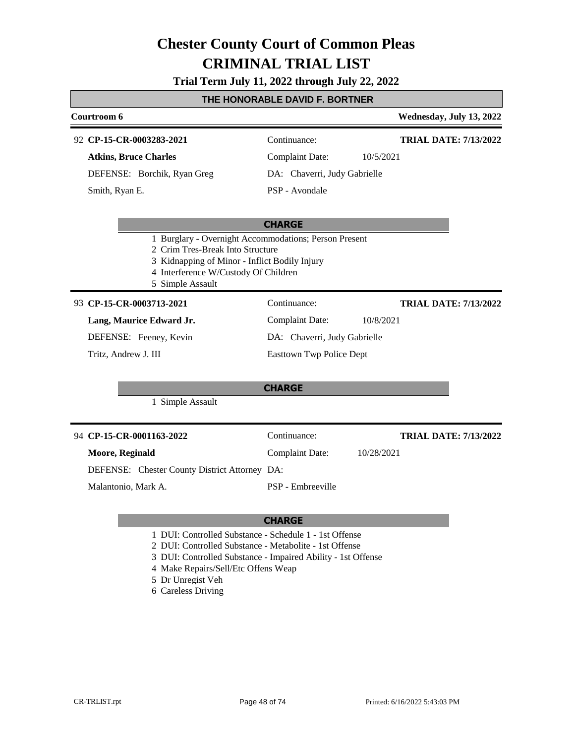### **Trial Term July 11, 2022 through July 22, 2022**

#### **THE HONORABLE DAVID F. BORTNER**

| Courtroom 6                                                                                                                                                                                            |                                      | Wednesday, July 13, 2022     |
|--------------------------------------------------------------------------------------------------------------------------------------------------------------------------------------------------------|--------------------------------------|------------------------------|
| 92 CP-15-CR-0003283-2021                                                                                                                                                                               | Continuance:                         | <b>TRIAL DATE: 7/13/2022</b> |
| <b>Atkins, Bruce Charles</b>                                                                                                                                                                           | <b>Complaint Date:</b><br>10/5/2021  |                              |
| DEFENSE: Borchik, Ryan Greg                                                                                                                                                                            | DA: Chaverri, Judy Gabrielle         |                              |
| Smith, Ryan E.                                                                                                                                                                                         | PSP - Avondale                       |                              |
|                                                                                                                                                                                                        | <b>CHARGE</b>                        |                              |
| 1 Burglary - Overnight Accommodations; Person Present<br>2 Crim Tres-Break Into Structure<br>3 Kidnapping of Minor - Inflict Bodily Injury<br>4 Interference W/Custody Of Children<br>5 Simple Assault |                                      |                              |
| 93 CP-15-CR-0003713-2021                                                                                                                                                                               | Continuance:                         | <b>TRIAL DATE: 7/13/2022</b> |
| Lang, Maurice Edward Jr.                                                                                                                                                                               | <b>Complaint Date:</b><br>10/8/2021  |                              |
| DEFENSE: Feeney, Kevin                                                                                                                                                                                 | DA: Chaverri, Judy Gabrielle         |                              |
| Tritz, Andrew J. III                                                                                                                                                                                   | <b>Easttown Twp Police Dept</b>      |                              |
|                                                                                                                                                                                                        | <b>CHARGE</b>                        |                              |
| 1 Simple Assault                                                                                                                                                                                       |                                      |                              |
| 94 CP-15-CR-0001163-2022                                                                                                                                                                               | Continuance:                         | <b>TRIAL DATE: 7/13/2022</b> |
| Moore, Reginald                                                                                                                                                                                        | <b>Complaint Date:</b><br>10/28/2021 |                              |
| DEFENSE: Chester County District Attorney DA:                                                                                                                                                          |                                      |                              |
| Malantonio, Mark A.                                                                                                                                                                                    | PSP - Embreeville                    |                              |
|                                                                                                                                                                                                        |                                      |                              |

- 1 DUI: Controlled Substance Schedule 1 1st Offense
- 2 DUI: Controlled Substance Metabolite 1st Offense
- 3 DUI: Controlled Substance Impaired Ability 1st Offense
- 4 Make Repairs/Sell/Etc Offens Weap
- 5 Dr Unregist Veh
- 6 Careless Driving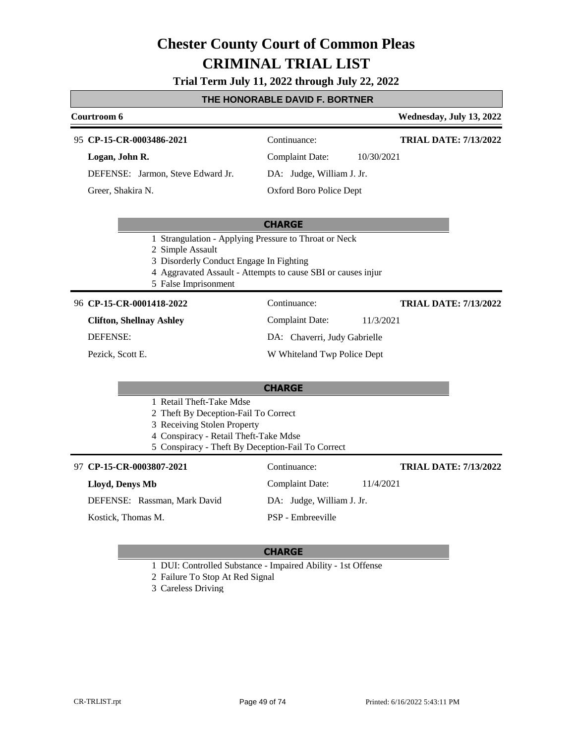#### **Trial Term July 11, 2022 through July 22, 2022**

#### **THE HONORABLE DAVID F. BORTNER**

#### **Courtroom 6 Wednesday, July 13, 2022 CP-15-CR-0003486-2021** 95 Continuance: **Logan, John R.** DEFENSE: Jarmon, Steve Edward Jr. Complaint Date: 10/30/2021 DA: Judge, William J. Jr. Oxford Boro Police Dept **TRIAL DATE: 7/13/2022** Greer, Shakira N.

#### **CHARGE**

- 1 Strangulation Applying Pressure to Throat or Neck
- 2 Simple Assault
- 3 Disorderly Conduct Engage In Fighting
- 4 Aggravated Assault Attempts to cause SBI or causes injur
- 5 False Imprisonment

#### 96 **CP-15-CR-0001418-2022** Continuance:

**Clifton, Shellnay Ashley** DEFENSE:

Pezick, Scott E.

### Complaint Date: 11/3/2021

DA: Chaverri, Judy Gabrielle

W Whiteland Twp Police Dept

#### **CHARGE**

- 1 Retail Theft-Take Mdse
- 2 Theft By Deception-Fail To Correct
- 3 Receiving Stolen Property
- 4 Conspiracy Retail Theft-Take Mdse
- 5 Conspiracy Theft By Deception-Fail To Correct

#### **CP-15-CR-0003807-2021** 97 Continuance:

#### **Lloyd, Denys Mb**

DEFENSE: Rassman, Mark David

Kostick, Thomas M.

### DA: Judge, William J. Jr.

Complaint Date: 11/4/2021

PSP - Embreeville

#### **CHARGE**

- 1 DUI: Controlled Substance Impaired Ability 1st Offense
- 2 Failure To Stop At Red Signal
- 3 Careless Driving

**TRIAL DATE: 7/13/2022**

**TRIAL DATE: 7/13/2022**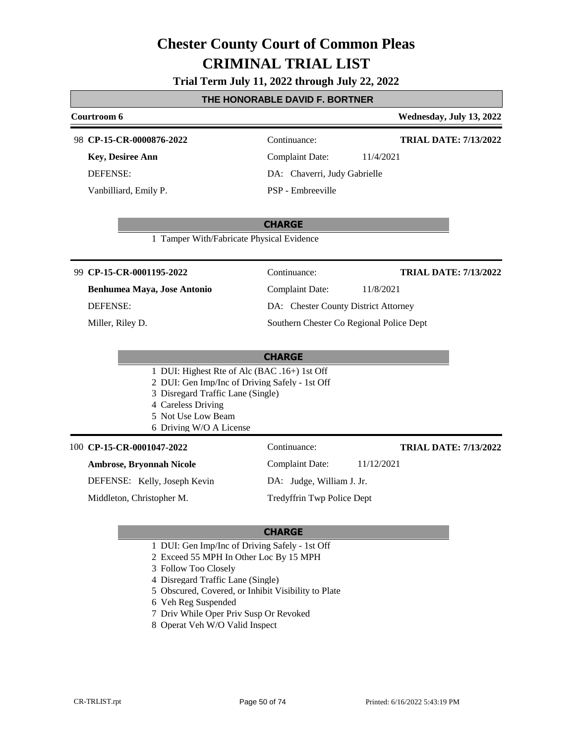#### **Trial Term July 11, 2022 through July 22, 2022**

#### **THE HONORABLE DAVID F. BORTNER**

#### **Courtroom 6 Wednesday, July 13, 2022 CP-15-CR-0000876-2022** 98 Continuance: **Key, Desiree Ann** Complaint Date: 11/4/2021 **TRIAL DATE: 7/13/2022**

DEFENSE: Vanbilliard, Emily P.

DA: Chaverri, Judy Gabrielle PSP - Embreeville

**CHARGE**

1 Tamper With/Fabricate Physical Evidence

#### **CP-15-CR-0001195-2022** 99 Continuance:

**Benhumea Maya, Jose Antonio** DEFENSE:

Miller, Riley D.

Complaint Date: 11/8/2021 DA: Chester County District Attorney

Southern Chester Co Regional Police Dept

#### **CHARGE**

- 1 DUI: Highest Rte of Alc (BAC .16+) 1st Off
- 2 DUI: Gen Imp/Inc of Driving Safely 1st Off
- 3 Disregard Traffic Lane (Single)
- 4 Careless Driving
- 5 Not Use Low Beam
- 6 Driving W/O A License

#### 100 **CP-15-CR-0001047-2022** Continuance:

#### **Ambrose, Bryonnah Nicole**

DEFENSE: Kelly, Joseph Kevin

Middleton, Christopher M.

**TRIAL DATE: 7/13/2022**

**TRIAL DATE: 7/13/2022**

Complaint Date: 11/12/2021

DA: Judge, William J. Jr.

Tredyffrin Twp Police Dept

- 1 DUI: Gen Imp/Inc of Driving Safely 1st Off
- 2 Exceed 55 MPH In Other Loc By 15 MPH
- 3 Follow Too Closely
- 4 Disregard Traffic Lane (Single)
- 5 Obscured, Covered, or Inhibit Visibility to Plate
- 6 Veh Reg Suspended
- 7 Driv While Oper Priv Susp Or Revoked
- 8 Operat Veh W/O Valid Inspect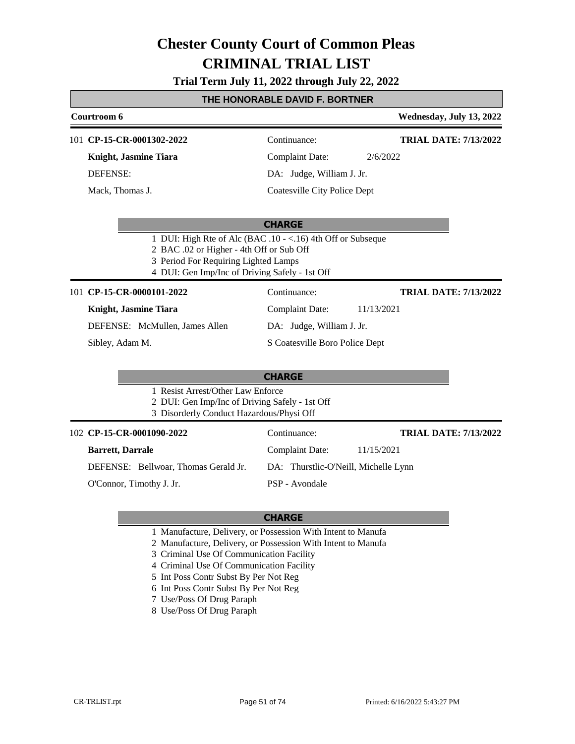**Trial Term July 11, 2022 through July 22, 2022**

### **THE HONORABLE DAVID F. BORTNER**

| Courtroom 6                                                                                             |                                | Wednesday, July 13, 2022     |
|---------------------------------------------------------------------------------------------------------|--------------------------------|------------------------------|
| 101 CP-15-CR-0001302-2022                                                                               | Continuance:                   | <b>TRIAL DATE: 7/13/2022</b> |
| Knight, Jasmine Tiara                                                                                   | <b>Complaint Date:</b>         | 2/6/2022                     |
| <b>DEFENSE:</b>                                                                                         | DA: Judge, William J. Jr.      |                              |
| Mack, Thomas J.                                                                                         | Coatesville City Police Dept   |                              |
|                                                                                                         |                                |                              |
|                                                                                                         | <b>CHARGE</b>                  |                              |
| 1 DUI: High Rte of Alc (BAC .10 - <.16) 4th Off or Subseque<br>2 BAC .02 or Higher - 4th Off or Sub Off |                                |                              |
| 3 Period For Requiring Lighted Lamps                                                                    |                                |                              |
| 4 DUI: Gen Imp/Inc of Driving Safely - 1st Off                                                          |                                |                              |
| 101 CP-15-CR-0000101-2022                                                                               | Continuance:                   | <b>TRIAL DATE: 7/13/2022</b> |
| Knight, Jasmine Tiara                                                                                   | <b>Complaint Date:</b>         | 11/13/2021                   |
| DEFENSE: McMullen, James Allen                                                                          | DA: Judge, William J. Jr.      |                              |
| Sibley, Adam M.                                                                                         | S Coatesville Boro Police Dept |                              |
|                                                                                                         |                                |                              |

#### **CHARGE**

|  | 1 Resist Arrest/Other Law Enforce |  |
|--|-----------------------------------|--|
|  |                                   |  |

- 2 DUI: Gen Imp/Inc of Driving Safely 1st Off
- 3 Disorderly Conduct Hazardous/Physi Off

| 102 CP-15-CR-0001090-2022            | Continuance:                         | <b>TRIAL DATE: 7/13/2022</b> |
|--------------------------------------|--------------------------------------|------------------------------|
| <b>Barrett, Darrale</b>              | Complaint Date:                      | 11/15/2021                   |
| DEFENSE: Bellwoar, Thomas Gerald Jr. | DA: Thurstlic-O'Neill, Michelle Lynn |                              |
| O'Connor, Timothy J. Jr.             | PSP - Avondale                       |                              |

- 1 Manufacture, Delivery, or Possession With Intent to Manufa
- 2 Manufacture, Delivery, or Possession With Intent to Manufa
- 3 Criminal Use Of Communication Facility
- 4 Criminal Use Of Communication Facility
- 5 Int Poss Contr Subst By Per Not Reg
- 6 Int Poss Contr Subst By Per Not Reg
- 7 Use/Poss Of Drug Paraph
- 8 Use/Poss Of Drug Paraph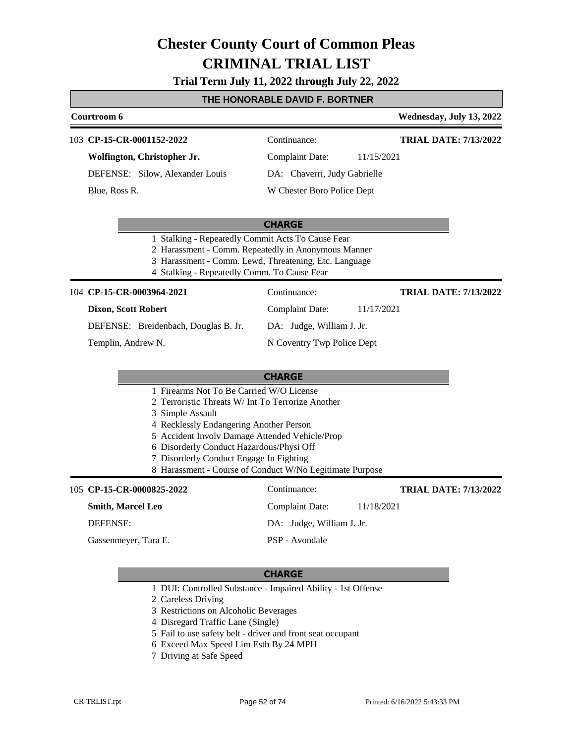#### **Trial Term July 11, 2022 through July 22, 2022**

#### **THE HONORABLE DAVID F. BORTNER**

#### **Courtroom 6 Wednesday, July 13, 2022 CP-15-CR-0001152-2022** 103 Continuance: **Wolfington, Christopher Jr.** DEFENSE: Silow, Alexander Louis Complaint Date: 11/15/2021 DA: Chaverri, Judy Gabrielle W Chester Boro Police Dept **TRIAL DATE: 7/13/2022** Blue, Ross R.

#### **CHARGE**

- 1 Stalking Repeatedly Commit Acts To Cause Fear
- 2 Harassment Comm. Repeatedly in Anonymous Manner
- 3 Harassment Comm. Lewd, Threatening, Etc. Language
- 4 Stalking Repeatedly Comm. To Cause Fear

#### **CP-15-CR-0003964-2021** 104 Continuance:

#### **Dixon, Scott Robert**

DEFENSE: Breidenbach, Douglas B. Jr.

Templin, Andrew N.

N Coventry Twp Police Dept

DA: Judge, William J. Jr.

Complaint Date: 11/17/2021

#### **CHARGE**

- 1 Firearms Not To Be Carried W/O License
- 2 Terroristic Threats W/ Int To Terrorize Another
- 3 Simple Assault
- 4 Recklessly Endangering Another Person
- 5 Accident Involv Damage Attended Vehicle/Prop
- 6 Disorderly Conduct Hazardous/Physi Off
- 7 Disorderly Conduct Engage In Fighting
- 8 Harassment Course of Conduct W/No Legitimate Purpose

#### **CP-15-CR-0000825-2022** 105 Continuance:

#### **Smith, Marcel Leo**

DEFENSE:

Gassenmeyer, Tara E.

#### **CHARGE**

- 1 DUI: Controlled Substance Impaired Ability 1st Offense
- 2 Careless Driving
- 3 Restrictions on Alcoholic Beverages
- 4 Disregard Traffic Lane (Single)
- 5 Fail to use safety belt driver and front seat occupant
- 6 Exceed Max Speed Lim Estb By 24 MPH
- 7 Driving at Safe Speed

Complaint Date: 11/18/2021 **TRIAL DATE: 7/13/2022**

**TRIAL DATE: 7/13/2022**

DA: Judge, William J. Jr.

PSP - Avondale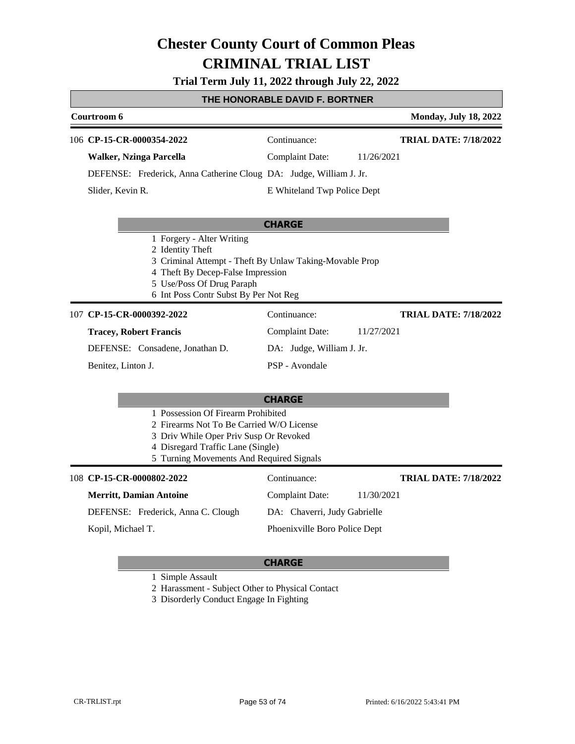**Trial Term July 11, 2022 through July 22, 2022**

#### **THE HONORABLE DAVID F. BORTNER**

| Courtroom 6                                                                                                                                                                                                         |                               | <b>Monday, July 18, 2022</b> |
|---------------------------------------------------------------------------------------------------------------------------------------------------------------------------------------------------------------------|-------------------------------|------------------------------|
| 106 CP-15-CR-0000354-2022                                                                                                                                                                                           | Continuance:                  | <b>TRIAL DATE: 7/18/2022</b> |
| <b>Walker, Nzinga Parcella</b>                                                                                                                                                                                      | Complaint Date:               | 11/26/2021                   |
| DEFENSE: Frederick, Anna Catherine Cloug DA: Judge, William J. Jr.                                                                                                                                                  |                               |                              |
| Slider, Kevin R.                                                                                                                                                                                                    | E Whiteland Twp Police Dept   |                              |
|                                                                                                                                                                                                                     | <b>CHARGE</b>                 |                              |
| 1 Forgery - Alter Writing<br>2 Identity Theft<br>3 Criminal Attempt - Theft By Unlaw Taking-Movable Prop<br>4 Theft By Decep-False Impression<br>5 Use/Poss Of Drug Paraph<br>6 Int Poss Contr Subst By Per Not Reg |                               |                              |
| 107 CP-15-CR-0000392-2022                                                                                                                                                                                           | Continuance:                  | <b>TRIAL DATE: 7/18/2022</b> |
| <b>Tracey, Robert Francis</b>                                                                                                                                                                                       | <b>Complaint Date:</b>        | 11/27/2021                   |
| DEFENSE: Consadene, Jonathan D.                                                                                                                                                                                     | DA: Judge, William J. Jr.     |                              |
| Benitez, Linton J.                                                                                                                                                                                                  | PSP - Avondale                |                              |
|                                                                                                                                                                                                                     | <b>CHARGE</b>                 |                              |
| 1 Possession Of Firearm Prohibited<br>2 Firearms Not To Be Carried W/O License<br>3 Driv While Oper Priv Susp Or Revoked<br>4 Disregard Traffic Lane (Single)<br>5 Turning Movements And Required Signals           |                               |                              |
| 108 CP-15-CR-0000802-2022                                                                                                                                                                                           | Continuance:                  | <b>TRIAL DATE: 7/18/2022</b> |
| <b>Merritt, Damian Antoine</b>                                                                                                                                                                                      | <b>Complaint Date:</b>        | 11/30/2021                   |
| DEFENSE: Frederick, Anna C. Clough                                                                                                                                                                                  | DA: Chaverri, Judy Gabrielle  |                              |
| Kopil, Michael T.                                                                                                                                                                                                   | Phoenixville Boro Police Dept |                              |

### **CHARGE**

1 Simple Assault

2 Harassment - Subject Other to Physical Contact

3 Disorderly Conduct Engage In Fighting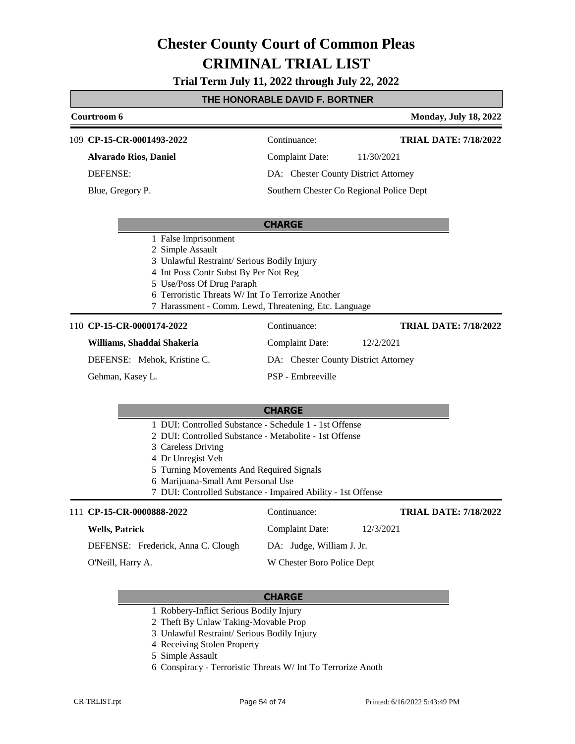**Trial Term July 11, 2022 through July 22, 2022**

### **THE HONORABLE DAVID F. BORTNER**

|                                                                                                                                                                                                                                                                             | Courtroom 6                                                                                                                                                                                                                                                                                                   |                                          | <b>Monday, July 18, 2022</b> |
|-----------------------------------------------------------------------------------------------------------------------------------------------------------------------------------------------------------------------------------------------------------------------------|---------------------------------------------------------------------------------------------------------------------------------------------------------------------------------------------------------------------------------------------------------------------------------------------------------------|------------------------------------------|------------------------------|
|                                                                                                                                                                                                                                                                             | 109 CP-15-CR-0001493-2022                                                                                                                                                                                                                                                                                     | Continuance:                             | <b>TRIAL DATE: 7/18/2022</b> |
|                                                                                                                                                                                                                                                                             | <b>Alvarado Rios, Daniel</b>                                                                                                                                                                                                                                                                                  | <b>Complaint Date:</b>                   | 11/30/2021                   |
|                                                                                                                                                                                                                                                                             | <b>DEFENSE:</b>                                                                                                                                                                                                                                                                                               | DA: Chester County District Attorney     |                              |
|                                                                                                                                                                                                                                                                             | Blue, Gregory P.                                                                                                                                                                                                                                                                                              | Southern Chester Co Regional Police Dept |                              |
|                                                                                                                                                                                                                                                                             |                                                                                                                                                                                                                                                                                                               | <b>CHARGE</b>                            |                              |
| 1 False Imprisonment<br>2 Simple Assault<br>3 Unlawful Restraint/ Serious Bodily Injury<br>4 Int Poss Contr Subst By Per Not Reg<br>5 Use/Poss Of Drug Paraph<br>6 Terroristic Threats W/ Int To Terrorize Another<br>7 Harassment - Comm. Lewd, Threatening, Etc. Language |                                                                                                                                                                                                                                                                                                               |                                          |                              |
|                                                                                                                                                                                                                                                                             | 110 CP-15-CR-0000174-2022                                                                                                                                                                                                                                                                                     | Continuance:                             | <b>TRIAL DATE: 7/18/2022</b> |
|                                                                                                                                                                                                                                                                             | Williams, Shaddai Shakeria                                                                                                                                                                                                                                                                                    | <b>Complaint Date:</b>                   | 12/2/2021                    |
|                                                                                                                                                                                                                                                                             | DEFENSE: Mehok, Kristine C.                                                                                                                                                                                                                                                                                   | DA: Chester County District Attorney     |                              |
|                                                                                                                                                                                                                                                                             | Gehman, Kasey L.                                                                                                                                                                                                                                                                                              | PSP - Embreeville                        |                              |
|                                                                                                                                                                                                                                                                             |                                                                                                                                                                                                                                                                                                               | <b>CHARGE</b>                            |                              |
|                                                                                                                                                                                                                                                                             | 1 DUI: Controlled Substance - Schedule 1 - 1st Offense<br>2 DUI: Controlled Substance - Metabolite - 1st Offense<br>3 Careless Driving<br>4 Dr Unregist Veh<br>5 Turning Movements And Required Signals<br>6 Marijuana-Small Amt Personal Use<br>7 DUI: Controlled Substance - Impaired Ability - 1st Offense |                                          |                              |
|                                                                                                                                                                                                                                                                             | 111 CP-15-CR-0000888-2022                                                                                                                                                                                                                                                                                     | Continuance:                             | <b>TRIAL DATE: 7/18/2022</b> |
|                                                                                                                                                                                                                                                                             | <b>Wells, Patrick</b>                                                                                                                                                                                                                                                                                         | <b>Complaint Date:</b>                   | 12/3/2021                    |
|                                                                                                                                                                                                                                                                             | DEFENSE: Frederick, Anna C. Clough                                                                                                                                                                                                                                                                            | DA: Judge, William J. Jr.                |                              |
|                                                                                                                                                                                                                                                                             | O'Neill, Harry A.                                                                                                                                                                                                                                                                                             | W Chester Boro Police Dept               |                              |

- 1 Robbery-Inflict Serious Bodily Injury
- 2 Theft By Unlaw Taking-Movable Prop
- 3 Unlawful Restraint/ Serious Bodily Injury
- 4 Receiving Stolen Property
- 5 Simple Assault
- 6 Conspiracy Terroristic Threats W/ Int To Terrorize Anoth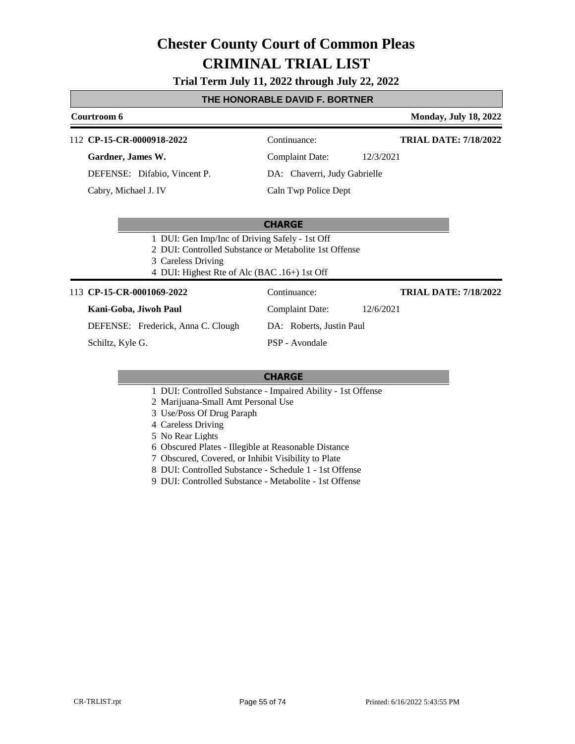**Trial Term July 11, 2022 through July 22, 2022**

#### **THE HONORABLE DAVID F. BORTNER**

### **Courtroom 6 Monday, July 18, 2022** 112 **CP-15-CR-0000918-2022** Continuance: **Gardner, James W.** Complaint Date: 12/3/2021 **TRIAL DATE: 7/18/2022**

DEFENSE: Difabio, Vincent P. Cabry, Michael J. IV

DA: Chaverri, Judy Gabrielle Caln Twp Police Dept

#### **CHARGE**

1 DUI: Gen Imp/Inc of Driving Safely - 1st Off

- 2 DUI: Controlled Substance or Metabolite 1st Offense
- 3 Careless Driving
- 4 DUI: Highest Rte of Alc (BAC .16+) 1st Off

#### 113 **CP-15-CR-0001069-2022** Continuance:

#### **Kani-Goba, Jiwoh Paul**

DEFENSE: Frederick, Anna C. Clough

Schiltz, Kyle G.

PSP - Avondale

#### **CHARGE**

- 1 DUI: Controlled Substance Impaired Ability 1st Offense
- 2 Marijuana-Small Amt Personal Use
- 3 Use/Poss Of Drug Paraph
- 4 Careless Driving
- 5 No Rear Lights
- 6 Obscured Plates Illegible at Reasonable Distance
- 7 Obscured, Covered, or Inhibit Visibility to Plate
- 8 DUI: Controlled Substance Schedule 1 1st Offense
- 9 DUI: Controlled Substance Metabolite 1st Offense
- **TRIAL DATE: 7/18/2022**
- Complaint Date: 12/6/2021

DA: Roberts, Justin Paul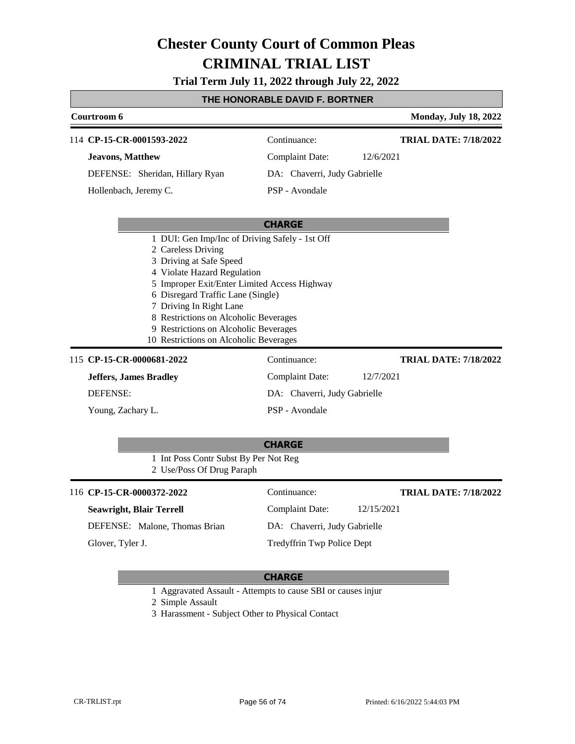**Trial Term July 11, 2022 through July 22, 2022**

### **THE HONORABLE DAVID F. BORTNER**

| Courtroom 6                                                                    |                                                                      |                              | <b>Monday, July 18, 2022</b> |
|--------------------------------------------------------------------------------|----------------------------------------------------------------------|------------------------------|------------------------------|
|                                                                                | 114 CP-15-CR-0001593-2022                                            | Continuance:                 | <b>TRIAL DATE: 7/18/2022</b> |
|                                                                                | <b>Jeavons, Matthew</b>                                              | <b>Complaint Date:</b>       | 12/6/2021                    |
|                                                                                | DEFENSE: Sheridan, Hillary Ryan                                      | DA: Chaverri, Judy Gabrielle |                              |
|                                                                                |                                                                      |                              |                              |
|                                                                                | Hollenbach, Jeremy C.                                                | PSP - Avondale               |                              |
|                                                                                |                                                                      |                              |                              |
|                                                                                |                                                                      | <b>CHARGE</b>                |                              |
|                                                                                | 1 DUI: Gen Imp/Inc of Driving Safely - 1st Off<br>2 Careless Driving |                              |                              |
|                                                                                | 3 Driving at Safe Speed                                              |                              |                              |
|                                                                                | 4 Violate Hazard Regulation                                          |                              |                              |
|                                                                                | 5 Improper Exit/Enter Limited Access Highway                         |                              |                              |
|                                                                                | 6 Disregard Traffic Lane (Single)                                    |                              |                              |
|                                                                                | 7 Driving In Right Lane                                              |                              |                              |
| 8 Restrictions on Alcoholic Beverages<br>9 Restrictions on Alcoholic Beverages |                                                                      |                              |                              |
|                                                                                | 10 Restrictions on Alcoholic Beverages                               |                              |                              |
|                                                                                | 115 CP-15-CR-0000681-2022                                            | Continuance:                 | <b>TRIAL DATE: 7/18/2022</b> |
|                                                                                | <b>Jeffers, James Bradley</b>                                        | <b>Complaint Date:</b>       | 12/7/2021                    |
| <b>DEFENSE:</b>                                                                |                                                                      | DA: Chaverri, Judy Gabrielle |                              |
|                                                                                | Young, Zachary L.                                                    | PSP - Avondale               |                              |
|                                                                                |                                                                      |                              |                              |
|                                                                                |                                                                      | <b>CHARGE</b>                |                              |
|                                                                                | 1 Int Poss Contr Subst By Per Not Reg                                |                              |                              |
|                                                                                | 2 Use/Poss Of Drug Paraph                                            |                              |                              |
|                                                                                | 116 CP-15-CR-0000372-2022                                            | Continuance:                 | <b>TRIAL DATE: 7/18/2022</b> |
|                                                                                | <b>Seawright, Blair Terrell</b>                                      | <b>Complaint Date:</b>       | 12/15/2021                   |
|                                                                                | DEFENSE: Malone, Thomas Brian                                        | DA: Chaverri, Judy Gabrielle |                              |
|                                                                                | Glover, Tyler J.                                                     | Tredyffrin Twp Police Dept   |                              |
|                                                                                |                                                                      |                              |                              |

#### **CHARGE**

1 Aggravated Assault - Attempts to cause SBI or causes injur

2 Simple Assault

3 Harassment - Subject Other to Physical Contact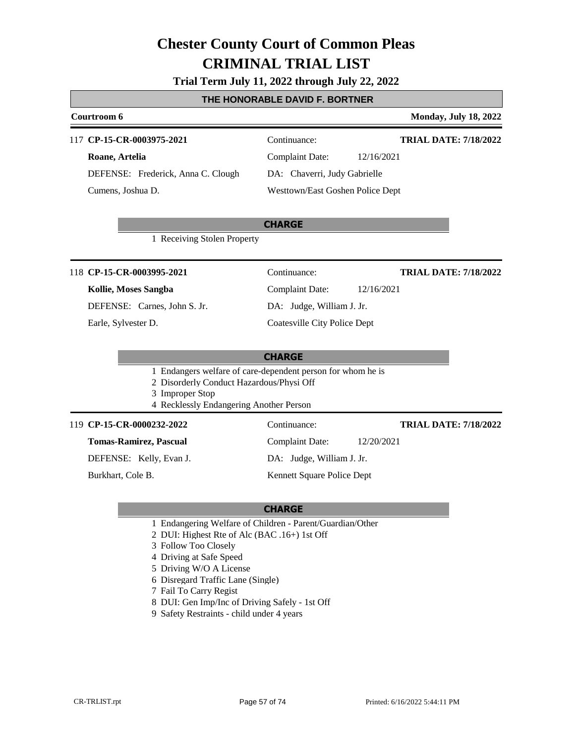#### **Trial Term July 11, 2022 through July 22, 2022**

#### **THE HONORABLE DAVID F. BORTNER**

#### **Courtroom 6 Monday, July 18, 2022** 117 **CP-15-CR-0003975-2021** Continuance: **TRIAL DATE: 7/18/2022**

**Roane, Artelia** DEFENSE: Frederick, Anna C. Clough Cumens, Joshua D.

Complaint Date: 12/16/2021 DA: Chaverri, Judy Gabrielle Westtown/East Goshen Police Dept

#### **CHARGE**

1 Receiving Stolen Property

#### 118 **CP-15-CR-0003995-2021** Continuance:

#### **Kollie, Moses Sangba**

DEFENSE: Carnes, John S. Jr.

Earle, Sylvester D.

Complaint Date: 12/16/2021

**TRIAL DATE: 7/18/2022**

DA: Judge, William J. Jr.

Coatesville City Police Dept

#### **CHARGE**

- 1 Endangers welfare of care-dependent person for whom he is
- 2 Disorderly Conduct Hazardous/Physi Off
- 3 Improper Stop
- 4 Recklessly Endangering Another Person

#### 119 **CP-15-CR-0000232-2022** Continuance:

**Tomas-Ramirez, Pascual**

DEFENSE: Kelly, Evan J.

Burkhart, Cole B.

Complaint Date: 12/20/2021

DA: Judge, William J. Jr.

Kennett Square Police Dept

#### **CHARGE**

- 1 Endangering Welfare of Children Parent/Guardian/Other
- 2 DUI: Highest Rte of Alc (BAC .16+) 1st Off
- 3 Follow Too Closely
- 4 Driving at Safe Speed
- 5 Driving W/O A License
- 6 Disregard Traffic Lane (Single)
- 7 Fail To Carry Regist
- 8 DUI: Gen Imp/Inc of Driving Safely 1st Off
- 9 Safety Restraints child under 4 years

**TRIAL DATE: 7/18/2022**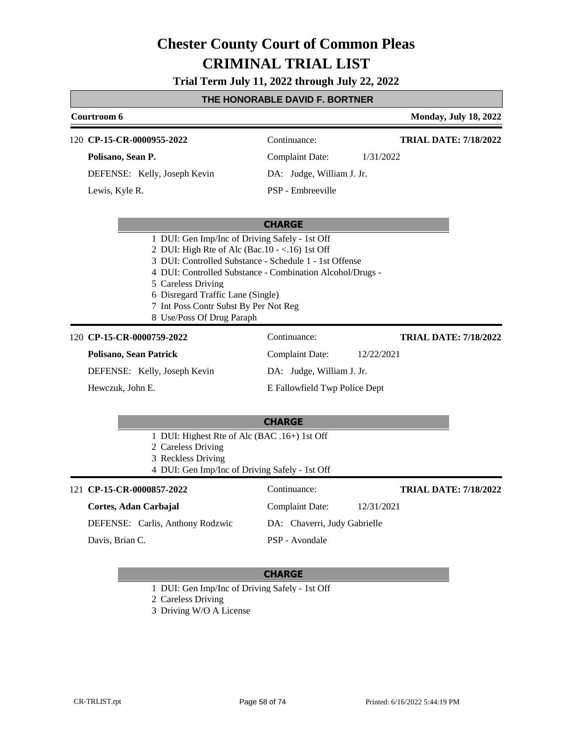**Trial Term July 11, 2022 through July 22, 2022**

#### **THE HONORABLE DAVID F. BORTNER**

### **Courtroom 6 Monday, July 18, 2022 CHARGE CP-15-CR-0000955-2022** 120 Continuance: **Polisano, Sean P.** DEFENSE: Kelly, Joseph Kevin Complaint Date: 1/31/2022 DA: Judge, William J. Jr. PSP - Embreeville **TRIAL DATE: 7/18/2022** Lewis, Kyle R. 1 DUI: Gen Imp/Inc of Driving Safely - 1st Off 2 DUI: High Rte of Alc (Bac.10 - <.16) 1st Off 3 DUI: Controlled Substance - Schedule 1 - 1st Offense 4 DUI: Controlled Substance - Combination Alcohol/Drugs - 5 Careless Driving 6 Disregard Traffic Lane (Single) 7 Int Poss Contr Subst By Per Not Reg 8 Use/Poss Of Drug Paraph **CHARGE CP-15-CR-0000759-2022** 120 Continuance: **Polisano, Sean Patrick** DEFENSE: Kelly, Joseph Kevin Complaint Date: 12/22/2021 DA: Judge, William J. Jr. E Fallowfield Twp Police Dept **TRIAL DATE: 7/18/2022** Hewczuk, John E. 1 DUI: Highest Rte of Alc (BAC .16+) 1st Off

2 Careless Driving 3 Reckless Driving 4 DUI: Gen Imp/Inc of Driving Safely - 1st Off 121 **CP-15-CR-0000857-2022** Continuance: **Cortes, Adan Carbajal** Complaint Date: 12/31/2021 **TRIAL DATE: 7/18/2022**

DEFENSE: Carlis, Anthony Rodzwic

Davis, Brian C.

#### **CHARGE**

PSP - Avondale

DA: Chaverri, Judy Gabrielle

1 DUI: Gen Imp/Inc of Driving Safely - 1st Off

2 Careless Driving

3 Driving W/O A License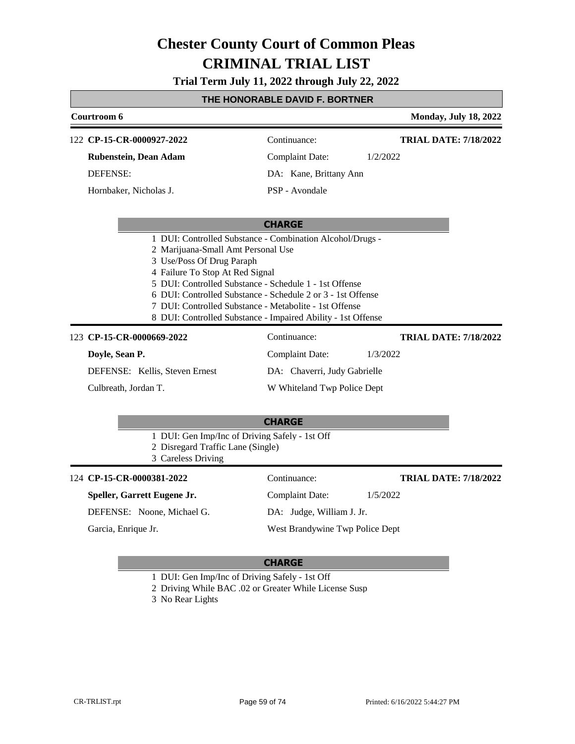**Trial Term July 11, 2022 through July 22, 2022**

### **THE HONORABLE DAVID F. BORTNER**

|                                                                                                                                                                                                                        | <u>I NE NONOKABLE DAVID F. BOK I NER</u>                                                                                                                                                 |                              |
|------------------------------------------------------------------------------------------------------------------------------------------------------------------------------------------------------------------------|------------------------------------------------------------------------------------------------------------------------------------------------------------------------------------------|------------------------------|
| Courtroom 6                                                                                                                                                                                                            |                                                                                                                                                                                          | <b>Monday, July 18, 2022</b> |
| 122 CP-15-CR-0000927-2022                                                                                                                                                                                              | Continuance:                                                                                                                                                                             | <b>TRIAL DATE: 7/18/2022</b> |
| Rubenstein, Dean Adam                                                                                                                                                                                                  | <b>Complaint Date:</b>                                                                                                                                                                   | 1/2/2022                     |
| <b>DEFENSE:</b>                                                                                                                                                                                                        | DA: Kane, Brittany Ann                                                                                                                                                                   |                              |
| Hornbaker, Nicholas J.                                                                                                                                                                                                 | PSP - Avondale                                                                                                                                                                           |                              |
|                                                                                                                                                                                                                        | <b>CHARGE</b>                                                                                                                                                                            |                              |
| 2 Marijuana-Small Amt Personal Use<br>3 Use/Poss Of Drug Paraph<br>4 Failure To Stop At Red Signal<br>5 DUI: Controlled Substance - Schedule 1 - 1st Offense<br>7 DUI: Controlled Substance - Metabolite - 1st Offense | 1 DUI: Controlled Substance - Combination Alcohol/Drugs -<br>6 DUI: Controlled Substance - Schedule 2 or 3 - 1st Offense<br>8 DUI: Controlled Substance - Impaired Ability - 1st Offense |                              |
| 123 CP-15-CR-0000669-2022                                                                                                                                                                                              | Continuance:                                                                                                                                                                             | <b>TRIAL DATE: 7/18/2022</b> |
| Doyle, Sean P.                                                                                                                                                                                                         | <b>Complaint Date:</b>                                                                                                                                                                   | 1/3/2022                     |
| DEFENSE: Kellis, Steven Ernest                                                                                                                                                                                         | DA: Chaverri, Judy Gabrielle                                                                                                                                                             |                              |
| Culbreath, Jordan T.                                                                                                                                                                                                   | W Whiteland Twp Police Dept                                                                                                                                                              |                              |
| 1 DUI: Gen Imp/Inc of Driving Safely - 1st Off                                                                                                                                                                         | <b>CHARGE</b>                                                                                                                                                                            |                              |
| 2 Disregard Traffic Lane (Single)<br>3 Careless Driving                                                                                                                                                                |                                                                                                                                                                                          |                              |
| 124 CP-15-CR-0000381-2022                                                                                                                                                                                              | Continuance:                                                                                                                                                                             | <b>TRIAL DATE: 7/18/2022</b> |
| Speller, Garrett Eugene Jr.                                                                                                                                                                                            | <b>Complaint Date:</b>                                                                                                                                                                   | 1/5/2022                     |
| DEFENSE: Noone, Michael G.                                                                                                                                                                                             | DA: Judge, William J. Jr.                                                                                                                                                                |                              |
| Garcia, Enrique Jr.                                                                                                                                                                                                    | West Brandywine Twp Police Dept                                                                                                                                                          |                              |
|                                                                                                                                                                                                                        | <b>CHARGE</b>                                                                                                                                                                            |                              |

- 1 DUI: Gen Imp/Inc of Driving Safely 1st Off
- 2 Driving While BAC .02 or Greater While License Susp

3 No Rear Lights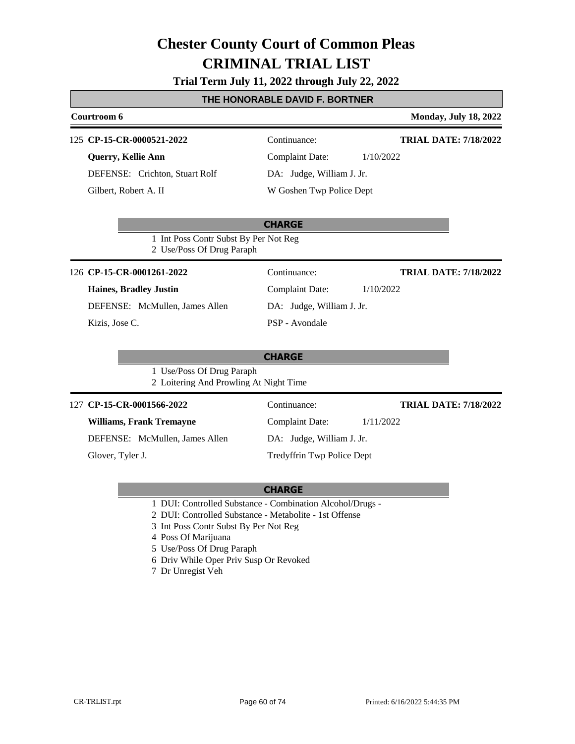### **Trial Term July 11, 2022 through July 22, 2022**

#### **THE HONORABLE DAVID F. BORTNER**

| Courtroom 6                                                         |                                     | <b>Monday, July 18, 2022</b> |
|---------------------------------------------------------------------|-------------------------------------|------------------------------|
| 125 CP-15-CR-0000521-2022                                           | Continuance:                        | <b>TRIAL DATE: 7/18/2022</b> |
| Querry, Kellie Ann                                                  | <b>Complaint Date:</b><br>1/10/2022 |                              |
| DEFENSE: Crichton, Stuart Rolf                                      | DA: Judge, William J. Jr.           |                              |
| Gilbert, Robert A. II                                               | W Goshen Twp Police Dept            |                              |
|                                                                     | <b>CHARGE</b>                       |                              |
| 1 Int Poss Contr Subst By Per Not Reg<br>2 Use/Poss Of Drug Paraph  |                                     |                              |
| 126 CP-15-CR-0001261-2022                                           | Continuance:                        | <b>TRIAL DATE: 7/18/2022</b> |
| <b>Haines, Bradley Justin</b>                                       | <b>Complaint Date:</b><br>1/10/2022 |                              |
| DEFENSE: McMullen, James Allen                                      | DA: Judge, William J. Jr.           |                              |
| Kizis, Jose C.                                                      | PSP - Avondale                      |                              |
|                                                                     | <b>CHARGE</b>                       |                              |
| 1 Use/Poss Of Drug Paraph<br>2 Loitering And Prowling At Night Time |                                     |                              |
| 127 CP-15-CR-0001566-2022                                           | Continuance:                        | <b>TRIAL DATE: 7/18/2022</b> |
| <b>Williams, Frank Tremayne</b>                                     | Complaint Date:<br>1/11/2022        |                              |
| DEFENSE: McMullen, James Allen                                      | DA: Judge, William J. Jr.           |                              |
| Glover, Tyler J.                                                    | Tredyffrin Twp Police Dept          |                              |

- 1 DUI: Controlled Substance Combination Alcohol/Drugs -
- 2 DUI: Controlled Substance Metabolite 1st Offense
- 3 Int Poss Contr Subst By Per Not Reg
- 4 Poss Of Marijuana
- 5 Use/Poss Of Drug Paraph
- 6 Driv While Oper Priv Susp Or Revoked
- 7 Dr Unregist Veh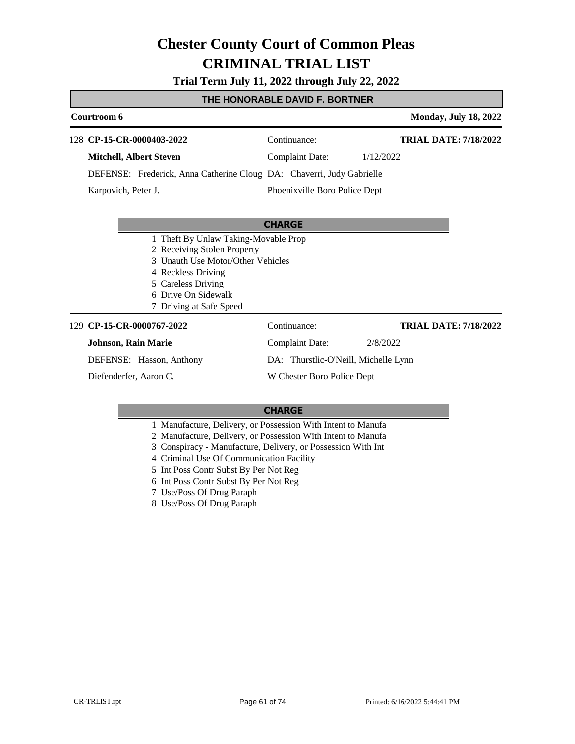**Trial Term July 11, 2022 through July 22, 2022**

### **THE HONORABLE DAVID F. BORTNER**

| Courtroom 6                                                                                                                                                                                            |                                      | <b>Monday, July 18, 2022</b> |
|--------------------------------------------------------------------------------------------------------------------------------------------------------------------------------------------------------|--------------------------------------|------------------------------|
| 128 CP-15-CR-0000403-2022                                                                                                                                                                              | Continuance:                         | <b>TRIAL DATE: 7/18/2022</b> |
| <b>Mitchell, Albert Steven</b>                                                                                                                                                                         | <b>Complaint Date:</b>               | 1/12/2022                    |
| DEFENSE: Frederick, Anna Catherine Cloug DA: Chaverri, Judy Gabrielle                                                                                                                                  |                                      |                              |
| Karpovich, Peter J.                                                                                                                                                                                    | Phoenixville Boro Police Dept        |                              |
|                                                                                                                                                                                                        |                                      |                              |
|                                                                                                                                                                                                        | <b>CHARGE</b>                        |                              |
| 1 Theft By Unlaw Taking-Movable Prop<br>2 Receiving Stolen Property<br>3 Unauth Use Motor/Other Vehicles<br>4 Reckless Driving<br>5 Careless Driving<br>6 Drive On Sidewalk<br>7 Driving at Safe Speed |                                      |                              |
| 129 CP-15-CR-0000767-2022                                                                                                                                                                              | Continuance:                         | <b>TRIAL DATE: 7/18/2022</b> |
| <b>Johnson, Rain Marie</b>                                                                                                                                                                             | <b>Complaint Date:</b>               | 2/8/2022                     |
| DEFENSE: Hasson, Anthony                                                                                                                                                                               | DA: Thurstlic-O'Neill, Michelle Lynn |                              |
| Diefenderfer, Aaron C.                                                                                                                                                                                 | W Chester Boro Police Dept           |                              |

- 1 Manufacture, Delivery, or Possession With Intent to Manufa
- 2 Manufacture, Delivery, or Possession With Intent to Manufa
- 3 Conspiracy Manufacture, Delivery, or Possession With Int
- 4 Criminal Use Of Communication Facility
- 5 Int Poss Contr Subst By Per Not Reg
- 6 Int Poss Contr Subst By Per Not Reg
- 7 Use/Poss Of Drug Paraph
- 8 Use/Poss Of Drug Paraph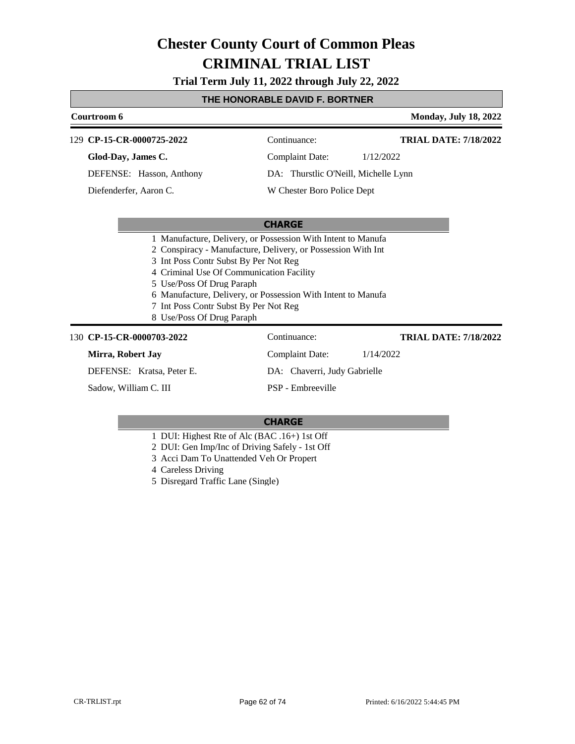**Trial Term July 11, 2022 through July 22, 2022**

### **THE HONORABLE DAVID F. BORTNER**

|  | Courtroom 6                                                                                                                                                           |                                      | <b>Monday, July 18, 2022</b> |  |
|--|-----------------------------------------------------------------------------------------------------------------------------------------------------------------------|--------------------------------------|------------------------------|--|
|  | 129 CP-15-CR-0000725-2022                                                                                                                                             | Continuance:                         | <b>TRIAL DATE: 7/18/2022</b> |  |
|  | Glod-Day, James C.                                                                                                                                                    | <b>Complaint Date:</b>               | 1/12/2022                    |  |
|  | DEFENSE: Hasson, Anthony                                                                                                                                              | DA: Thurstlic O'Neill, Michelle Lynn |                              |  |
|  | Diefenderfer, Aaron C.                                                                                                                                                | W Chester Boro Police Dept           |                              |  |
|  |                                                                                                                                                                       |                                      |                              |  |
|  |                                                                                                                                                                       | <b>CHARGE</b>                        |                              |  |
|  | 1 Manufacture, Delivery, or Possession With Intent to Manufa<br>2 Conspiracy - Manufacture, Delivery, or Possession With Int<br>3 Int Poss Contr Subst By Per Not Reg |                                      |                              |  |
|  | 4 Criminal Use Of Communication Facility                                                                                                                              |                                      |                              |  |
|  | 5 Use/Poss Of Drug Paraph                                                                                                                                             |                                      |                              |  |
|  | 6 Manufacture, Delivery, or Possession With Intent to Manufa                                                                                                          |                                      |                              |  |
|  | 7 Int Poss Contr Subst By Per Not Reg                                                                                                                                 |                                      |                              |  |
|  | 8 Use/Poss Of Drug Paraph                                                                                                                                             |                                      |                              |  |
|  | 130 CP-15-CR-0000703-2022                                                                                                                                             | Continuance:                         | <b>TRIAL DATE: 7/18/2022</b> |  |
|  | Mirra, Robert Jay                                                                                                                                                     | <b>Complaint Date:</b>               | 1/14/2022                    |  |
|  | DEFENSE: Kratsa, Peter E.                                                                                                                                             | DA: Chaverri, Judy Gabrielle         |                              |  |
|  | Sadow, William C. III                                                                                                                                                 | PSP - Embreeville                    |                              |  |
|  |                                                                                                                                                                       |                                      |                              |  |

- 1 DUI: Highest Rte of Alc (BAC .16+) 1st Off
- 2 DUI: Gen Imp/Inc of Driving Safely 1st Off
- 3 Acci Dam To Unattended Veh Or Propert
- 4 Careless Driving
- 5 Disregard Traffic Lane (Single)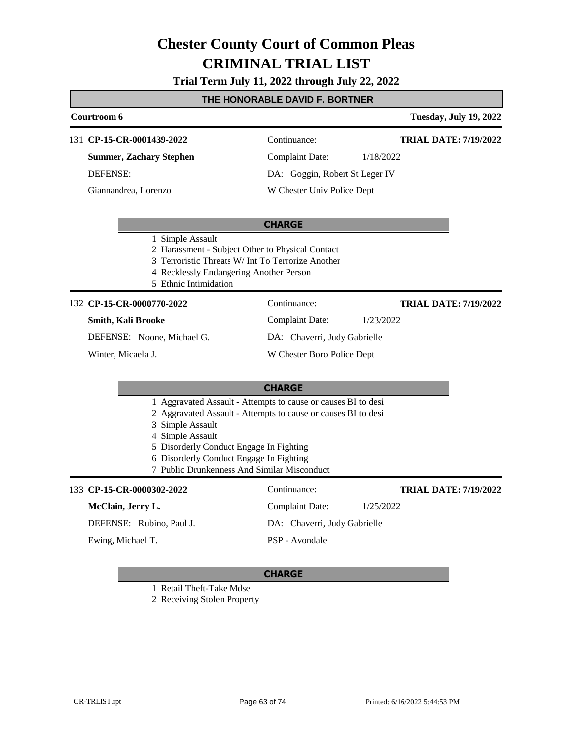### **Trial Term July 11, 2022 through July 22, 2022**

### **THE HONORABLE DAVID F. BORTNER**

|                                                                                                                                                                                                                                                                                                             | IL HUNUNADLL DAVID I . DUN HILM                                                                                                                                                               |                                |           |                               |  |
|-------------------------------------------------------------------------------------------------------------------------------------------------------------------------------------------------------------------------------------------------------------------------------------------------------------|-----------------------------------------------------------------------------------------------------------------------------------------------------------------------------------------------|--------------------------------|-----------|-------------------------------|--|
|                                                                                                                                                                                                                                                                                                             | Courtroom 6                                                                                                                                                                                   |                                |           | <b>Tuesday, July 19, 2022</b> |  |
|                                                                                                                                                                                                                                                                                                             | 131 CP-15-CR-0001439-2022                                                                                                                                                                     | Continuance:                   |           | <b>TRIAL DATE: 7/19/2022</b>  |  |
|                                                                                                                                                                                                                                                                                                             | <b>Summer, Zachary Stephen</b>                                                                                                                                                                | <b>Complaint Date:</b>         | 1/18/2022 |                               |  |
|                                                                                                                                                                                                                                                                                                             | <b>DEFENSE:</b>                                                                                                                                                                               | DA: Goggin, Robert St Leger IV |           |                               |  |
|                                                                                                                                                                                                                                                                                                             | Giannandrea, Lorenzo                                                                                                                                                                          | W Chester Univ Police Dept     |           |                               |  |
|                                                                                                                                                                                                                                                                                                             |                                                                                                                                                                                               | <b>CHARGE</b>                  |           |                               |  |
|                                                                                                                                                                                                                                                                                                             | 1 Simple Assault<br>2 Harassment - Subject Other to Physical Contact<br>3 Terroristic Threats W/ Int To Terrorize Another<br>4 Recklessly Endangering Another Person<br>5 Ethnic Intimidation |                                |           |                               |  |
|                                                                                                                                                                                                                                                                                                             | 132 CP-15-CR-0000770-2022                                                                                                                                                                     | Continuance:                   |           | <b>TRIAL DATE: 7/19/2022</b>  |  |
|                                                                                                                                                                                                                                                                                                             | Smith, Kali Brooke                                                                                                                                                                            | <b>Complaint Date:</b>         | 1/23/2022 |                               |  |
|                                                                                                                                                                                                                                                                                                             | DEFENSE: Noone, Michael G.                                                                                                                                                                    | DA: Chaverri, Judy Gabrielle   |           |                               |  |
|                                                                                                                                                                                                                                                                                                             | Winter, Micaela J.                                                                                                                                                                            | W Chester Boro Police Dept     |           |                               |  |
|                                                                                                                                                                                                                                                                                                             |                                                                                                                                                                                               | <b>CHARGE</b>                  |           |                               |  |
| 1 Aggravated Assault - Attempts to cause or causes BI to desi<br>2 Aggravated Assault - Attempts to cause or causes BI to desi<br>3 Simple Assault<br>4 Simple Assault<br>5 Disorderly Conduct Engage In Fighting<br>6 Disorderly Conduct Engage In Fighting<br>7 Public Drunkenness And Similar Misconduct |                                                                                                                                                                                               |                                |           |                               |  |
|                                                                                                                                                                                                                                                                                                             | 133 CP-15-CR-0000302-2022                                                                                                                                                                     | Continuance:                   |           | <b>TRIAL DATE: 7/19/2022</b>  |  |
|                                                                                                                                                                                                                                                                                                             | McClain, Jerry L.                                                                                                                                                                             | <b>Complaint Date:</b>         | 1/25/2022 |                               |  |
|                                                                                                                                                                                                                                                                                                             | DEFENSE: Rubino, Paul J.                                                                                                                                                                      | DA: Chaverri, Judy Gabrielle   |           |                               |  |
|                                                                                                                                                                                                                                                                                                             | Ewing, Michael T.                                                                                                                                                                             | PSP - Avondale                 |           |                               |  |

### **CHARGE**

1 Retail Theft-Take Mdse

2 Receiving Stolen Property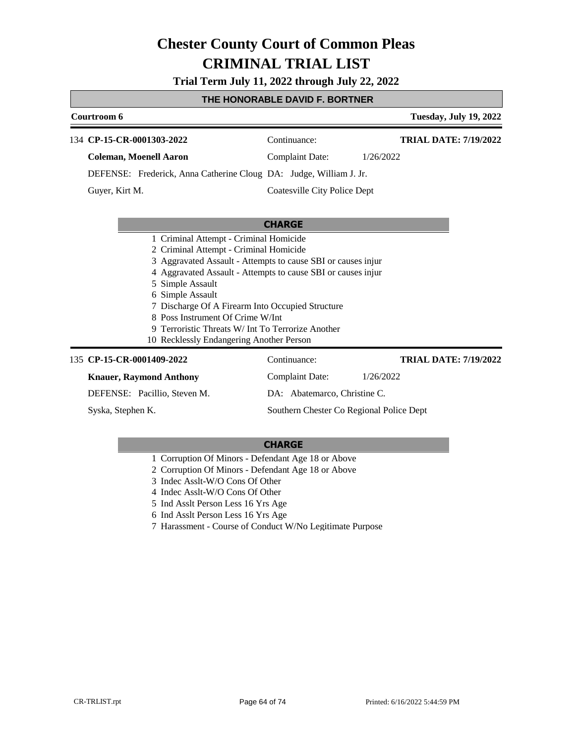**Trial Term July 11, 2022 through July 22, 2022**

#### **THE HONORABLE DAVID F. BORTNER**

| Courtroom 6                                                                                                                                                                                                         |                                        | <b>Tuesday, July 19, 2022</b> |                                  |                                                                                               |  |  |
|---------------------------------------------------------------------------------------------------------------------------------------------------------------------------------------------------------------------|----------------------------------------|-------------------------------|----------------------------------|-----------------------------------------------------------------------------------------------|--|--|
| 134 CP-15-CR-0001303-2022                                                                                                                                                                                           | Continuance:                           | <b>TRIAL DATE: 7/19/2022</b>  |                                  |                                                                                               |  |  |
| <b>Coleman, Moenell Aaron</b>                                                                                                                                                                                       | Complaint Date:                        | 1/26/2022                     |                                  |                                                                                               |  |  |
| DEFENSE: Frederick, Anna Catherine Cloug DA: Judge, William J. Jr.                                                                                                                                                  |                                        |                               |                                  |                                                                                               |  |  |
| Guyer, Kirt M.                                                                                                                                                                                                      | Coatesville City Police Dept           |                               |                                  |                                                                                               |  |  |
|                                                                                                                                                                                                                     |                                        |                               |                                  |                                                                                               |  |  |
| <b>CHARGE</b>                                                                                                                                                                                                       |                                        |                               |                                  |                                                                                               |  |  |
|                                                                                                                                                                                                                     | 1 Criminal Attempt - Criminal Homicide |                               |                                  |                                                                                               |  |  |
| 2 Criminal Attempt - Criminal Homicide<br>3 Aggravated Assault - Attempts to cause SBI or causes injur<br>4 Aggravated Assault - Attempts to cause SBI or causes injured<br>5 Simple Assault<br>Simple Assault<br>6 |                                        |                               |                                  |                                                                                               |  |  |
|                                                                                                                                                                                                                     |                                        |                               |                                  | 7 Discharge Of A Firearm Into Occupied Structure                                              |  |  |
|                                                                                                                                                                                                                     |                                        |                               | 8 Poss Instrument Of Crime W/Int |                                                                                               |  |  |
|                                                                                                                                                                                                                     |                                        |                               |                                  | 9 Terroristic Threats W/ Int To Terrorize Another<br>10 Recklessly Endangering Another Person |  |  |
|                                                                                                                                                                                                                     |                                        |                               |                                  |                                                                                               |  |  |
| 135 CP-15-CR-0001409-2022                                                                                                                                                                                           | Continuance:                           | <b>TRIAL DATE: 7/19/2022</b>  |                                  |                                                                                               |  |  |
| <b>Knauer, Raymond Anthony</b>                                                                                                                                                                                      | <b>Complaint Date:</b>                 | 1/26/2022                     |                                  |                                                                                               |  |  |
| DEFENSE: Pacillio, Steven M.                                                                                                                                                                                        | DA: Abatemarco, Christine C.           |                               |                                  |                                                                                               |  |  |

Syska, Stephen K.

#### **CHARGE**

Southern Chester Co Regional Police Dept

- 1 Corruption Of Minors Defendant Age 18 or Above
- 2 Corruption Of Minors Defendant Age 18 or Above
- 3 Indec Asslt-W/O Cons Of Other
- 4 Indec Asslt-W/O Cons Of Other
- 5 Ind Asslt Person Less 16 Yrs Age
- 6 Ind Asslt Person Less 16 Yrs Age
- 7 Harassment Course of Conduct W/No Legitimate Purpose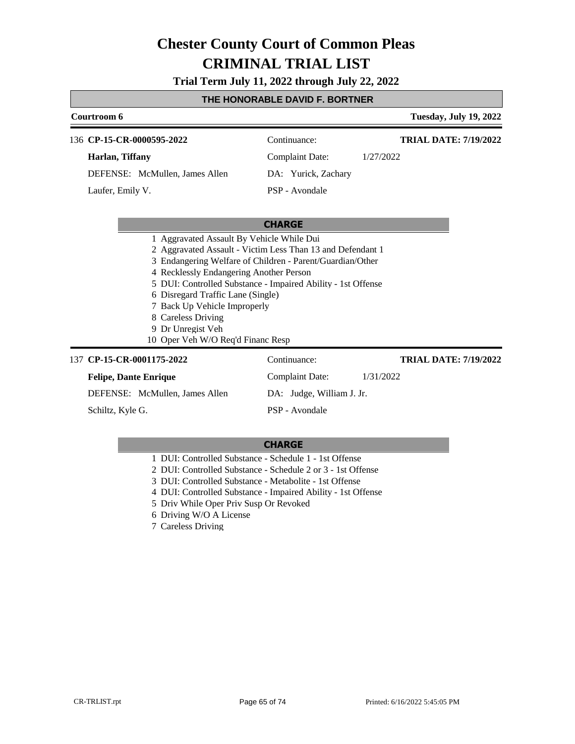**Trial Term July 11, 2022 through July 22, 2022**

#### **THE HONORABLE DAVID F. BORTNER**

| Courtroom 6                    | <b>Tuesday, July 19, 2022</b> |                              |  |
|--------------------------------|-------------------------------|------------------------------|--|
| 136 CP-15-CR-0000595-2022      | Continuance:                  | <b>TRIAL DATE: 7/19/2022</b> |  |
| Harlan, Tiffany                | <b>Complaint Date:</b>        | 1/27/2022                    |  |
| DEFENSE: McMullen, James Allen | DA: Yurick, Zachary           |                              |  |
| Laufer, Emily V.               | PSP - Avondale                |                              |  |
|                                |                               |                              |  |

#### **CHARGE**

- 1 Aggravated Assault By Vehicle While Dui
- 2 Aggravated Assault Victim Less Than 13 and Defendant 1
- 3 Endangering Welfare of Children Parent/Guardian/Other
- 4 Recklessly Endangering Another Person
- 5 DUI: Controlled Substance Impaired Ability 1st Offense
- 6 Disregard Traffic Lane (Single)
- 7 Back Up Vehicle Improperly
- 8 Careless Driving
- 9 Dr Unregist Veh
- 10 Oper Veh W/O Req'd Financ Resp

#### 137 **CP-15-CR-0001175-2022** Continuance:

| <b>Felipe, Dante Enrique</b>   | Complaint Date:<br>1/31/2022 |  |
|--------------------------------|------------------------------|--|
| DEFENSE: McMullen, James Allen | DA: Judge, William J. Jr.    |  |
| Schiltz, Kyle G.               | PSP - Avondale               |  |

#### **CHARGE**

- 1 DUI: Controlled Substance Schedule 1 1st Offense
- 2 DUI: Controlled Substance Schedule 2 or 3 1st Offense
- 3 DUI: Controlled Substance Metabolite 1st Offense
- 4 DUI: Controlled Substance Impaired Ability 1st Offense
- 5 Driv While Oper Priv Susp Or Revoked
- 6 Driving W/O A License
- 7 Careless Driving

**TRIAL DATE: 7/19/2022**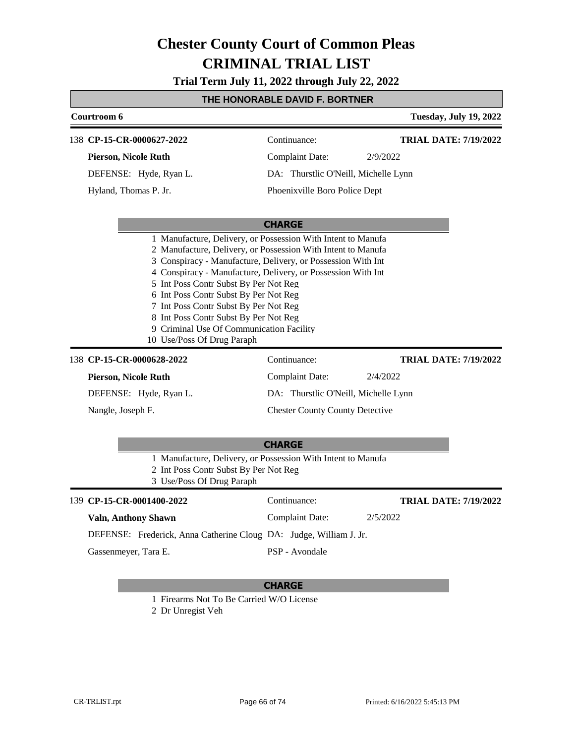**Trial Term July 11, 2022 through July 22, 2022**

### **THE HONORABLE DAVID F. BORTNER**

|               | <b>Tuesday, July 19, 2022</b><br>Courtroom 6                       |                                                                                                                                                                                                                                                                                                                                                                                                                                                                                                            |                                        |                              |  |
|---------------|--------------------------------------------------------------------|------------------------------------------------------------------------------------------------------------------------------------------------------------------------------------------------------------------------------------------------------------------------------------------------------------------------------------------------------------------------------------------------------------------------------------------------------------------------------------------------------------|----------------------------------------|------------------------------|--|
|               | 138 CP-15-CR-0000627-2022                                          |                                                                                                                                                                                                                                                                                                                                                                                                                                                                                                            | Continuance:                           | <b>TRIAL DATE: 7/19/2022</b> |  |
|               | <b>Pierson, Nicole Ruth</b>                                        |                                                                                                                                                                                                                                                                                                                                                                                                                                                                                                            | <b>Complaint Date:</b>                 | 2/9/2022                     |  |
|               | DEFENSE: Hyde, Ryan L.                                             |                                                                                                                                                                                                                                                                                                                                                                                                                                                                                                            | DA: Thurstlic O'Neill, Michelle Lynn   |                              |  |
|               | Hyland, Thomas P. Jr.                                              |                                                                                                                                                                                                                                                                                                                                                                                                                                                                                                            | Phoenixville Boro Police Dept          |                              |  |
|               |                                                                    |                                                                                                                                                                                                                                                                                                                                                                                                                                                                                                            |                                        |                              |  |
|               | <b>CHARGE</b>                                                      |                                                                                                                                                                                                                                                                                                                                                                                                                                                                                                            |                                        |                              |  |
|               |                                                                    | 1 Manufacture, Delivery, or Possession With Intent to Manufa<br>2 Manufacture, Delivery, or Possession With Intent to Manufa<br>3 Conspiracy - Manufacture, Delivery, or Possession With Int<br>4 Conspiracy - Manufacture, Delivery, or Possession With Int<br>5 Int Poss Contr Subst By Per Not Reg<br>6 Int Poss Contr Subst By Per Not Reg<br>7 Int Poss Contr Subst By Per Not Reg<br>8 Int Poss Contr Subst By Per Not Reg<br>9 Criminal Use Of Communication Facility<br>10 Use/Poss Of Drug Paraph |                                        |                              |  |
|               | 138 CP-15-CR-0000628-2022                                          |                                                                                                                                                                                                                                                                                                                                                                                                                                                                                                            | Continuance:                           | <b>TRIAL DATE: 7/19/2022</b> |  |
|               | <b>Pierson, Nicole Ruth</b>                                        |                                                                                                                                                                                                                                                                                                                                                                                                                                                                                                            | <b>Complaint Date:</b>                 | 2/4/2022                     |  |
|               | DEFENSE: Hyde, Ryan L.                                             |                                                                                                                                                                                                                                                                                                                                                                                                                                                                                                            | DA: Thurstlic O'Neill, Michelle Lynn   |                              |  |
|               | Nangle, Joseph F.                                                  |                                                                                                                                                                                                                                                                                                                                                                                                                                                                                                            | <b>Chester County County Detective</b> |                              |  |
|               |                                                                    | 1 Manufacture, Delivery, or Possession With Intent to Manufa<br>2 Int Poss Contr Subst By Per Not Reg<br>3 Use/Poss Of Drug Paraph                                                                                                                                                                                                                                                                                                                                                                         | <b>CHARGE</b>                          |                              |  |
|               | 139 CP-15-CR-0001400-2022                                          |                                                                                                                                                                                                                                                                                                                                                                                                                                                                                                            | Continuance:                           | <b>TRIAL DATE: 7/19/2022</b> |  |
|               | <b>Valn, Anthony Shawn</b>                                         |                                                                                                                                                                                                                                                                                                                                                                                                                                                                                                            | <b>Complaint Date:</b>                 | 2/5/2022                     |  |
|               | DEFENSE: Frederick, Anna Catherine Cloug DA: Judge, William J. Jr. |                                                                                                                                                                                                                                                                                                                                                                                                                                                                                                            |                                        |                              |  |
|               | Gassenmeyer, Tara E.                                               |                                                                                                                                                                                                                                                                                                                                                                                                                                                                                                            | PSP - Avondale                         |                              |  |
| <b>CHARGE</b> |                                                                    |                                                                                                                                                                                                                                                                                                                                                                                                                                                                                                            |                                        |                              |  |
|               | 1 Firearms Not To Be Carried W/O License                           |                                                                                                                                                                                                                                                                                                                                                                                                                                                                                                            |                                        |                              |  |

2 Dr Unregist Veh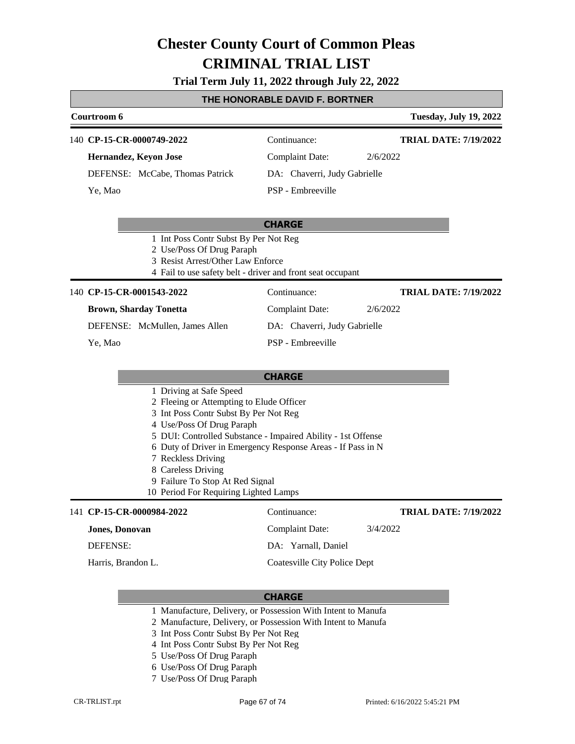### **Trial Term July 11, 2022 through July 22, 2022**

#### **THE HONORABLE DAVID F. BORTNER**

|                                |                                                                                                                                                     | <b>Tuesday, July 19, 2022</b>                                                                           |                                                                                                                            |
|--------------------------------|-----------------------------------------------------------------------------------------------------------------------------------------------------|---------------------------------------------------------------------------------------------------------|----------------------------------------------------------------------------------------------------------------------------|
|                                | Continuance:                                                                                                                                        | <b>TRIAL DATE: 7/19/2022</b>                                                                            |                                                                                                                            |
|                                | Complaint Date:                                                                                                                                     | 2/6/2022                                                                                                |                                                                                                                            |
|                                |                                                                                                                                                     |                                                                                                         |                                                                                                                            |
|                                | PSP - Embreeville                                                                                                                                   |                                                                                                         |                                                                                                                            |
|                                | <b>CHARGE</b>                                                                                                                                       |                                                                                                         |                                                                                                                            |
|                                |                                                                                                                                                     |                                                                                                         |                                                                                                                            |
|                                |                                                                                                                                                     |                                                                                                         |                                                                                                                            |
|                                |                                                                                                                                                     |                                                                                                         |                                                                                                                            |
|                                | Continuance:                                                                                                                                        | <b>TRIAL DATE: 7/19/2022</b>                                                                            |                                                                                                                            |
|                                | Complaint Date:                                                                                                                                     | 2/6/2022                                                                                                |                                                                                                                            |
| DEFENSE: McMullen, James Allen |                                                                                                                                                     |                                                                                                         |                                                                                                                            |
|                                | PSP - Embreeville                                                                                                                                   |                                                                                                         |                                                                                                                            |
|                                |                                                                                                                                                     |                                                                                                         |                                                                                                                            |
|                                | 140 CP-15-CR-0000749-2022<br>Hernandez, Keyon Jose<br>DEFENSE: McCabe, Thomas Patrick<br>140 CP-15-CR-0001543-2022<br><b>Brown, Sharday Tonetta</b> | 1 Int Poss Contr Subst By Per Not Reg<br>2 Use/Poss Of Drug Paraph<br>3 Resist Arrest/Other Law Enforce | DA: Chaverri, Judy Gabrielle<br>4 Fail to use safety belt - driver and front seat occupant<br>DA: Chaverri, Judy Gabrielle |

- 1 Driving at Safe Speed
- 2 Fleeing or Attempting to Elude Officer
- 3 Int Poss Contr Subst By Per Not Reg
- 4 Use/Poss Of Drug Paraph
- 5 DUI: Controlled Substance Impaired Ability 1st Offense
- 6 Duty of Driver in Emergency Response Areas If Pass in N
- 7 Reckless Driving
- 8 Careless Driving
- 9 Failure To Stop At Red Signal
- 10 Period For Requiring Lighted Lamps

#### 141 **CP-15-CR-0000984-2022** Continuance: **Jones, Donovan** DEFENSE: Complaint Date: 3/4/2022 DA: Yarnall, Daniel Coatesville City Police Dept **TRIAL DATE: 7/19/2022** Harris, Brandon L.

- 1 Manufacture, Delivery, or Possession With Intent to Manufa
- 2 Manufacture, Delivery, or Possession With Intent to Manufa
- 3 Int Poss Contr Subst By Per Not Reg
- 4 Int Poss Contr Subst By Per Not Reg
- 5 Use/Poss Of Drug Paraph
- 6 Use/Poss Of Drug Paraph
- 7 Use/Poss Of Drug Paraph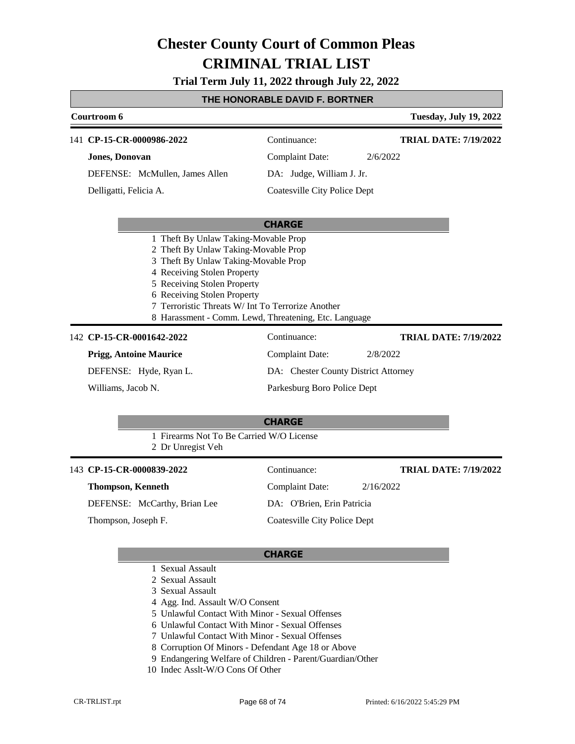**Trial Term July 11, 2022 through July 22, 2022**

#### **THE HONORABLE DAVID F. BORTNER**

| Courtroom 6                          |                       |                                | <b>Tuesday, July 19, 2022</b> |                              |
|--------------------------------------|-----------------------|--------------------------------|-------------------------------|------------------------------|
|                                      |                       | 141 CP-15-CR-0000986-2022      | Continuance:                  | <b>TRIAL DATE: 7/19/2022</b> |
|                                      | <b>Jones, Donovan</b> |                                | Complaint Date:               | 2/6/2022                     |
|                                      |                       | DEFENSE: McMullen, James Allen | DA: Judge, William J. Jr.     |                              |
| Delligatti, Felicia A.               |                       |                                | Coatesville City Police Dept  |                              |
|                                      |                       |                                | <b>CHARGE</b>                 |                              |
| 1 Theft By Unlaw Taking-Movable Prop |                       |                                |                               |                              |
| 2 Theft By Unlaw Taking-Movable Prop |                       |                                |                               |                              |

- 3 Theft By Unlaw Taking-Movable Prop
- 4 Receiving Stolen Property
- 5 Receiving Stolen Property
- 6 Receiving Stolen Property
- 7 Terroristic Threats W/ Int To Terrorize Another
- 8 Harassment Comm. Lewd, Threatening, Etc. Language

#### **CP-15-CR-0001642-2022** 142 Continuance:

**Prigg, Antoine Maurice**

DEFENSE: Hyde, Ryan L.

Williams, Jacob N.

Complaint Date: 2/8/2022 DA: Chester County District Attorney Parkesburg Boro Police Dept

#### **CHARGE**

1 Firearms Not To Be Carried W/O License

2 Dr Unregist Veh

### 143 **CP-15-CR-0000839-2022** Continuance:

**Thompson, Kenneth**

DEFENSE: McCarthy, Brian Lee

Thompson, Joseph F.

Complaint Date: 2/16/2022 DA: O'Brien, Erin Patricia

# Coatesville City Police Dept

#### **CHARGE**

- 1 Sexual Assault
- 2 Sexual Assault
- 3 Sexual Assault
- 4 Agg. Ind. Assault W/O Consent
- 5 Unlawful Contact With Minor Sexual Offenses
- 6 Unlawful Contact With Minor Sexual Offenses
- 7 Unlawful Contact With Minor Sexual Offenses
- 8 Corruption Of Minors Defendant Age 18 or Above
- 9 Endangering Welfare of Children Parent/Guardian/Other
- 10 Indec Asslt-W/O Cons Of Other

**TRIAL DATE: 7/19/2022**

**TRIAL DATE: 7/19/2022**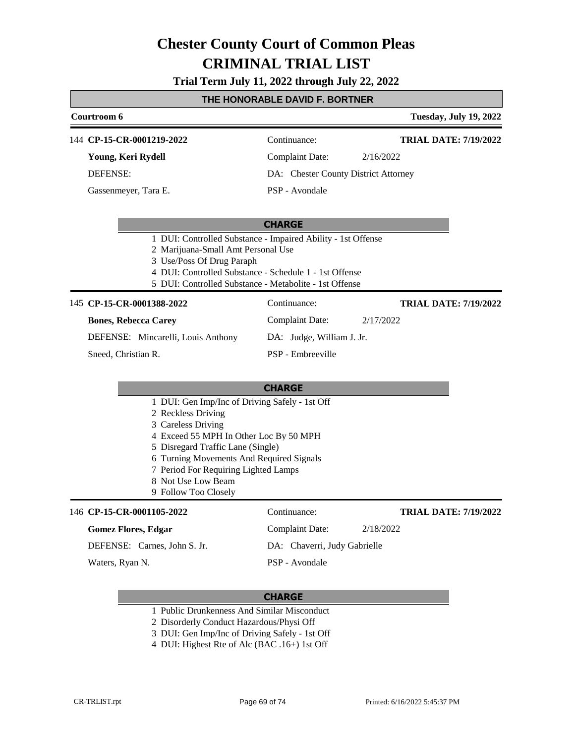### **Trial Term July 11, 2022 through July 22, 2022**

# **THE HONORABLE DAVID F. BORTNER**

|  | <u>I HE HUNUKABLE DAVID F. BUK I NEK</u>                                                                                                                                                                                                                                                                    |                                      |                               |  |  |
|--|-------------------------------------------------------------------------------------------------------------------------------------------------------------------------------------------------------------------------------------------------------------------------------------------------------------|--------------------------------------|-------------------------------|--|--|
|  | Courtroom 6                                                                                                                                                                                                                                                                                                 |                                      | <b>Tuesday, July 19, 2022</b> |  |  |
|  | 144 CP-15-CR-0001219-2022                                                                                                                                                                                                                                                                                   | Continuance:                         | <b>TRIAL DATE: 7/19/2022</b>  |  |  |
|  | Young, Keri Rydell                                                                                                                                                                                                                                                                                          | Complaint Date:                      | 2/16/2022                     |  |  |
|  | <b>DEFENSE:</b>                                                                                                                                                                                                                                                                                             | DA: Chester County District Attorney |                               |  |  |
|  | Gassenmeyer, Tara E.                                                                                                                                                                                                                                                                                        | PSP - Avondale                       |                               |  |  |
|  |                                                                                                                                                                                                                                                                                                             | <b>CHARGE</b>                        |                               |  |  |
|  | 1 DUI: Controlled Substance - Impaired Ability - 1st Offense<br>2 Marijuana-Small Amt Personal Use<br>3 Use/Poss Of Drug Paraph<br>4 DUI: Controlled Substance - Schedule 1 - 1st Offense<br>5 DUI: Controlled Substance - Metabolite - 1st Offense                                                         |                                      |                               |  |  |
|  | 145 CP-15-CR-0001388-2022                                                                                                                                                                                                                                                                                   | Continuance:                         | <b>TRIAL DATE: 7/19/2022</b>  |  |  |
|  | <b>Bones, Rebecca Carey</b>                                                                                                                                                                                                                                                                                 | <b>Complaint Date:</b>               | 2/17/2022                     |  |  |
|  | DEFENSE: Mincarelli, Louis Anthony                                                                                                                                                                                                                                                                          | DA: Judge, William J. Jr.            |                               |  |  |
|  | Sneed, Christian R.                                                                                                                                                                                                                                                                                         | PSP - Embreeville                    |                               |  |  |
|  |                                                                                                                                                                                                                                                                                                             | <b>CHARGE</b>                        |                               |  |  |
|  | 1 DUI: Gen Imp/Inc of Driving Safely - 1st Off<br>2 Reckless Driving<br>3 Careless Driving<br>4 Exceed 55 MPH In Other Loc By 50 MPH<br>5 Disregard Traffic Lane (Single)<br>6 Turning Movements And Required Signals<br>7 Period For Requiring Lighted Lamps<br>8 Not Use Low Beam<br>9 Follow Too Closely |                                      |                               |  |  |
|  | 146 CP-15-CR-0001105-2022                                                                                                                                                                                                                                                                                   | Continuance:                         | <b>TRIAL DATE: 7/19/2022</b>  |  |  |
|  | <b>Gomez Flores, Edgar</b>                                                                                                                                                                                                                                                                                  | <b>Complaint Date:</b>               | 2/18/2022                     |  |  |
|  | DEFENSE: Carnes, John S. Jr.                                                                                                                                                                                                                                                                                | DA: Chaverri, Judy Gabrielle         |                               |  |  |
|  | Waters, Ryan N.                                                                                                                                                                                                                                                                                             | PSP - Avondale                       |                               |  |  |

- 1 Public Drunkenness And Similar Misconduct
- 2 Disorderly Conduct Hazardous/Physi Off
- 3 DUI: Gen Imp/Inc of Driving Safely 1st Off
- 4 DUI: Highest Rte of Alc (BAC .16+) 1st Off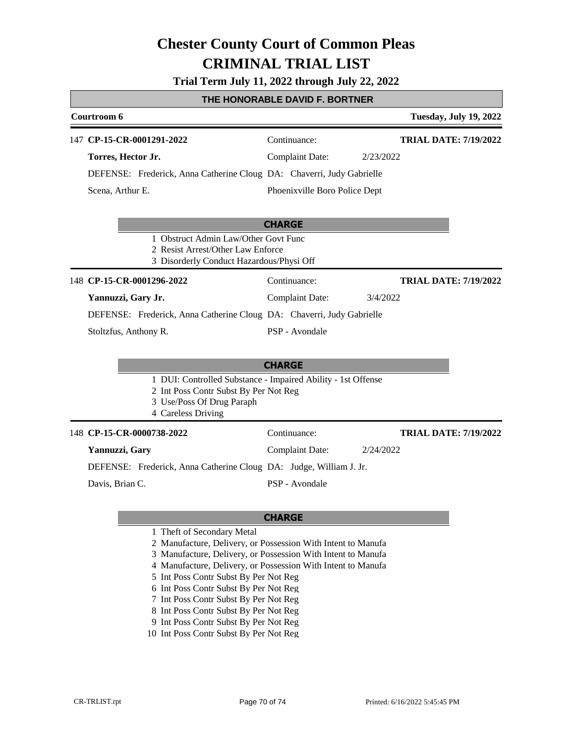### **Trial Term July 11, 2022 through July 22, 2022**

#### **THE HONORABLE DAVID F. BORTNER**

|                                                                                                                                                          | Courtroom 6                                                           |                               | <b>Tuesday, July 19, 2022</b> |
|----------------------------------------------------------------------------------------------------------------------------------------------------------|-----------------------------------------------------------------------|-------------------------------|-------------------------------|
|                                                                                                                                                          | 147 CP-15-CR-0001291-2022                                             | Continuance:                  | <b>TRIAL DATE: 7/19/2022</b>  |
|                                                                                                                                                          | Torres, Hector Jr.                                                    | <b>Complaint Date:</b>        | 2/23/2022                     |
|                                                                                                                                                          | DEFENSE: Frederick, Anna Catherine Cloug DA: Chaverri, Judy Gabrielle |                               |                               |
|                                                                                                                                                          | Scena, Arthur E.                                                      | Phoenixville Boro Police Dept |                               |
|                                                                                                                                                          |                                                                       | <b>CHARGE</b>                 |                               |
| 1 Obstruct Admin Law/Other Govt Func<br>2 Resist Arrest/Other Law Enforce<br>3 Disorderly Conduct Hazardous/Physi Off                                    |                                                                       |                               |                               |
|                                                                                                                                                          | 148 CP-15-CR-0001296-2022                                             | Continuance:                  | <b>TRIAL DATE: 7/19/2022</b>  |
|                                                                                                                                                          | Yannuzzi, Gary Jr.                                                    | <b>Complaint Date:</b>        | 3/4/2022                      |
|                                                                                                                                                          | DEFENSE: Frederick, Anna Catherine Cloug DA: Chaverri, Judy Gabrielle |                               |                               |
|                                                                                                                                                          | Stoltzfus, Anthony R.                                                 | PSP - Avondale                |                               |
|                                                                                                                                                          |                                                                       | <b>CHARGE</b>                 |                               |
| 1 DUI: Controlled Substance - Impaired Ability - 1st Offense<br>2 Int Poss Contr Subst By Per Not Reg<br>3 Use/Poss Of Drug Paraph<br>4 Careless Driving |                                                                       |                               |                               |
|                                                                                                                                                          | 148 CP-15-CR-0000738-2022                                             | Continuance:                  | <b>TRIAL DATE: 7/19/2022</b>  |
|                                                                                                                                                          | Yannuzzi, Gary                                                        | <b>Complaint Date:</b>        | 2/24/2022                     |
|                                                                                                                                                          | DEFENSE: Frederick, Anna Catherine Cloug DA: Judge, William J. Jr.    |                               |                               |
|                                                                                                                                                          | Davis, Brian C.                                                       | PSP - Avondale                |                               |

- 1 Theft of Secondary Metal
- 2 Manufacture, Delivery, or Possession With Intent to Manufa
- 3 Manufacture, Delivery, or Possession With Intent to Manufa
- 4 Manufacture, Delivery, or Possession With Intent to Manufa
- 5 Int Poss Contr Subst By Per Not Reg
- 6 Int Poss Contr Subst By Per Not Reg
- 7 Int Poss Contr Subst By Per Not Reg
- 8 Int Poss Contr Subst By Per Not Reg
- 9 Int Poss Contr Subst By Per Not Reg
- 10 Int Poss Contr Subst By Per Not Reg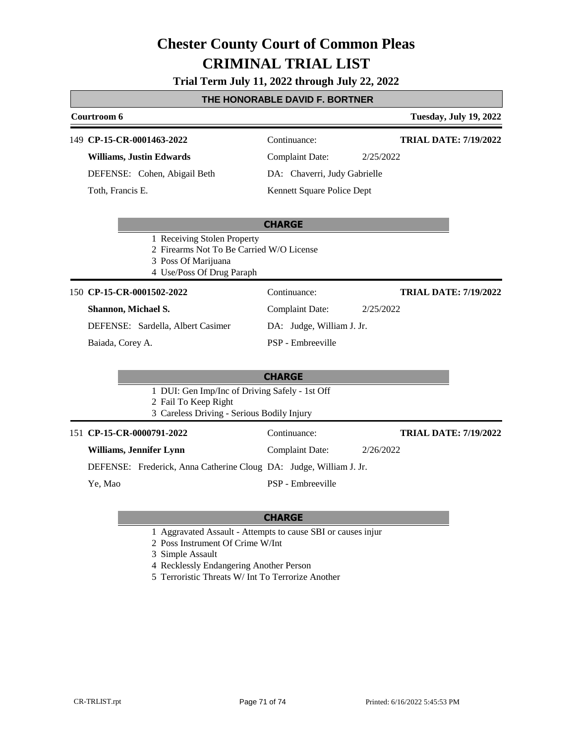### **Trial Term July 11, 2022 through July 22, 2022**

### **THE HONORABLE DAVID F. BORTNER**

| Courtroom 6   |                                 |                                                                                                                             | <b>Tuesday, July 19, 2022</b> |                              |
|---------------|---------------------------------|-----------------------------------------------------------------------------------------------------------------------------|-------------------------------|------------------------------|
|               | 149 CP-15-CR-0001463-2022       |                                                                                                                             | Continuance:                  | <b>TRIAL DATE: 7/19/2022</b> |
|               | <b>Williams, Justin Edwards</b> |                                                                                                                             | <b>Complaint Date:</b>        | 2/25/2022                    |
|               |                                 | DEFENSE: Cohen, Abigail Beth                                                                                                | DA: Chaverri, Judy Gabrielle  |                              |
|               | Toth, Francis E.                |                                                                                                                             | Kennett Square Police Dept    |                              |
|               |                                 |                                                                                                                             | <b>CHARGE</b>                 |                              |
|               |                                 | 1 Receiving Stolen Property<br>2 Firearms Not To Be Carried W/O License<br>3 Poss Of Marijuana<br>4 Use/Poss Of Drug Paraph |                               |                              |
|               | 150 CP-15-CR-0001502-2022       |                                                                                                                             | Continuance:                  | <b>TRIAL DATE: 7/19/2022</b> |
|               | Shannon, Michael S.             |                                                                                                                             | <b>Complaint Date:</b>        | 2/25/2022                    |
|               |                                 | DEFENSE: Sardella, Albert Casimer                                                                                           | DA: Judge, William J. Jr.     |                              |
|               | Baiada, Corey A.                |                                                                                                                             | PSP - Embreeville             |                              |
| <b>CHARGE</b> |                                 |                                                                                                                             |                               |                              |
|               |                                 | 1 DUI: Gen Imp/Inc of Driving Safely - 1st Off<br>2 Fail To Keep Right<br>3 Careless Driving - Serious Bodily Injury        |                               |                              |
|               | 151 CP-15-CR-0000791-2022       |                                                                                                                             | Continuance:                  | <b>TRIAL DATE: 7/19/2022</b> |
|               | Williams, Jennifer Lynn         |                                                                                                                             | <b>Complaint Date:</b>        | 2/26/2022                    |
|               |                                 | DEFENSE: Frederick, Anna Catherine Cloug DA: Judge, William J. Jr.                                                          |                               |                              |
|               | Ye, Mao                         |                                                                                                                             | PSP - Embreeville             |                              |

- 1 Aggravated Assault Attempts to cause SBI or causes injur
- 2 Poss Instrument Of Crime W/Int
- 3 Simple Assault
- 4 Recklessly Endangering Another Person
- 5 Terroristic Threats W/ Int To Terrorize Another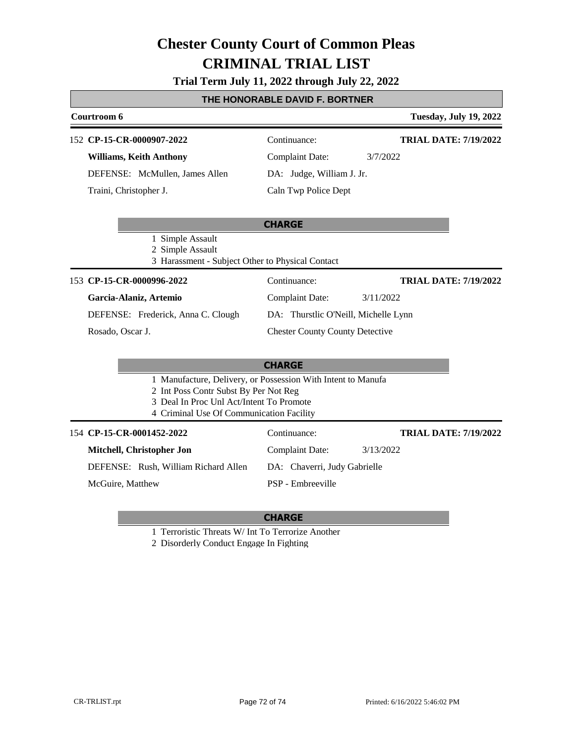## **Trial Term July 11, 2022 through July 22, 2022**

#### **THE HONORABLE DAVID F. BORTNER**

| Courtroom 6                                                                              |                                        | <b>Tuesday, July 19, 2022</b> |
|------------------------------------------------------------------------------------------|----------------------------------------|-------------------------------|
| 152 CP-15-CR-0000907-2022                                                                | Continuance:                           | <b>TRIAL DATE: 7/19/2022</b>  |
| <b>Williams, Keith Anthony</b>                                                           | <b>Complaint Date:</b>                 | 3/7/2022                      |
| DEFENSE: McMullen, James Allen                                                           | DA: Judge, William J. Jr.              |                               |
| Traini, Christopher J.                                                                   | Caln Twp Police Dept                   |                               |
|                                                                                          |                                        |                               |
|                                                                                          | <b>CHARGE</b>                          |                               |
| 1 Simple Assault<br>2 Simple Assault<br>3 Harassment - Subject Other to Physical Contact |                                        |                               |
| 153 CP-15-CR-0000996-2022                                                                | Continuance:                           | <b>TRIAL DATE: 7/19/2022</b>  |
| Garcia-Alaniz, Artemio                                                                   | Complaint Date:                        | 3/11/2022                     |
| DEFENSE: Frederick, Anna C. Clough                                                       | DA: Thurstlic O'Neill, Michelle Lynn   |                               |
| Rosado, Oscar J.                                                                         | <b>Chester County County Detective</b> |                               |
|                                                                                          |                                        |                               |

#### **CHARGE**

1 Manufacture, Delivery, or Possession With Intent to Manufa

2 Int Poss Contr Subst By Per Not Reg

- 3 Deal In Proc Unl Act/Intent To Promote
- 4 Criminal Use Of Communication Facility

**CP-15-CR-0001452-2022** 154 Continuance:

**Mitchell, Christopher Jon** DEFENSE: Rush, William Richard Allen

McGuire, Matthew

#### **CHARGE**

PSP - Embreeville

Complaint Date: 3/13/2022

DA: Chaverri, Judy Gabrielle

1 Terroristic Threats W/ Int To Terrorize Another

2 Disorderly Conduct Engage In Fighting

**TRIAL DATE: 7/19/2022**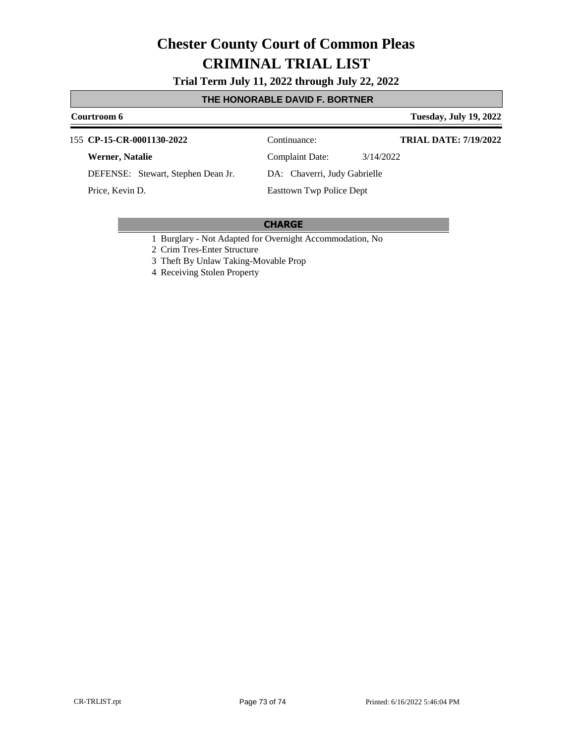**Trial Term July 11, 2022 through July 22, 2022**

### **THE HONORABLE DAVID F. BORTNER**

#### **Courtroom 6 Tuesday, July 19, 2022** 155 **CP-15-CR-0001130-2022** Continuance: **Werner, Natalie** DEFENSE: Stewart, Stephen Dean Jr. Complaint Date: 3/14/2022 DA: Chaverri, Judy Gabrielle Easttown Twp Police Dept **TRIAL DATE: 7/19/2022** Price, Kevin D.

#### **CHARGE**

1 Burglary - Not Adapted for Overnight Accommodation, No

- 2 Crim Tres-Enter Structure
- 3 Theft By Unlaw Taking-Movable Prop

4 Receiving Stolen Property